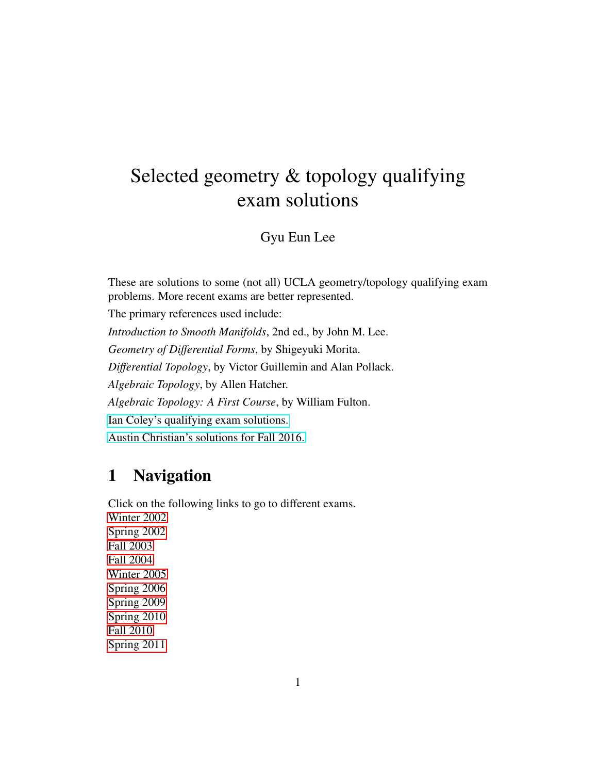# Selected geometry & topology qualifying exam solutions

Gyu Eun Lee

These are solutions to some (not all) UCLA geometry/topology qualifying exam problems. More recent exams are better represented.

The primary references used include:

*Introduction to Smooth Manifolds*, 2nd ed., by John M. Lee. *Geometry of Differential Forms*, by Shigeyuki Morita. *Differential Topology*, by Victor Guillemin and Alan Pollack. *Algebraic Topology*, by Allen Hatcher. *Algebraic Topology: A First Course*, by William Fulton. [Ian Coley's qualifying exam solutions.](https://www.math.ucla.edu/~iacoley/hw/gtqual.pdf)

[Austin Christian's solutions for Fall 2016.](https://www.math.ucla.edu/~archristian/notes/gt-qual.html)

# 1 Navigation

Click on the following links to go to different exams. [Winter 2002](#page-1-0) [Spring 2002](#page-2-0) [Fall 2003](#page-3-0) [Fall 2004](#page-3-1) [Winter 2005](#page-4-0) [Spring 2006](#page-5-0) [Spring 2009](#page-7-0) [Spring 2010](#page-7-1) [Fall 2010](#page-10-0) [Spring 2011](#page-13-0)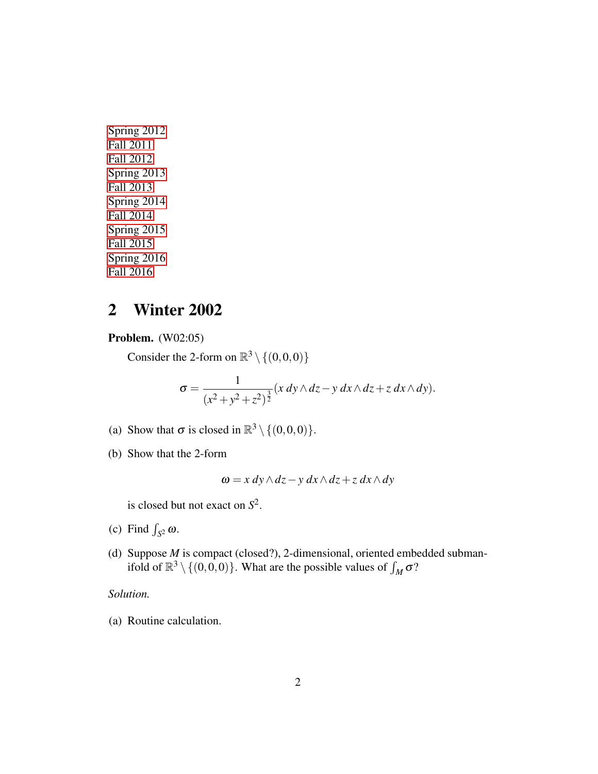[Spring 2012](#page-20-0) [Fall 2011](#page-15-0) [Fall 2012](#page-20-1) [Spring 2013](#page-25-0) [Fall 2013](#page-29-0) [Spring 2014](#page-33-0) [Fall 2014](#page-39-0) [Spring 2015](#page-44-0) [Fall 2015](#page-54-0) [Spring 2016](#page-61-0) [Fall 2016](#page-67-0)

# <span id="page-1-0"></span>2 Winter 2002

Problem. (W02:05)

Consider the 2-form on  $\mathbb{R}^3 \setminus \{(0,0,0)\}$ 

$$
\sigma = \frac{1}{(x^2 + y^2 + z^2)^{\frac{3}{2}}} (x\,dy \wedge dz - y\,dx \wedge dz + z\,dx \wedge dy).
$$

- (a) Show that  $\sigma$  is closed in  $\mathbb{R}^3 \setminus \{(0,0,0)\}.$
- (b) Show that the 2-form

$$
\omega = x\,dy \wedge dz - y\,dx \wedge dz + z\,dx \wedge dy
$$

is closed but not exact on *S* 2 .

- (c) Find  $\int_{S^2} \omega$ .
- (d) Suppose *M* is compact (closed?), 2-dimensional, oriented embedded submanifold of  $\mathbb{R}^3 \setminus \{(0,0,0)\}$ . What are the possible values of  $\int_M \sigma$ ?

### *Solution.*

(a) Routine calculation.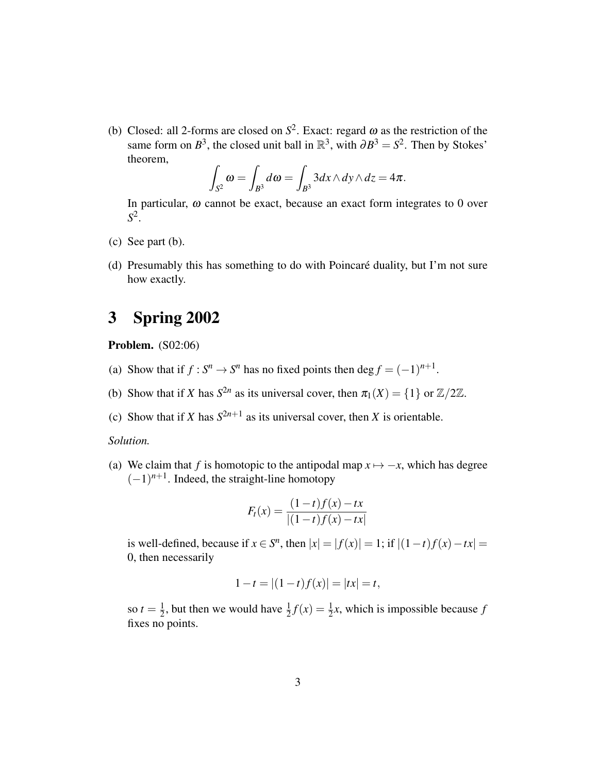(b) Closed: all 2-forms are closed on  $S^2$ . Exact: regard  $\omega$  as the restriction of the same form on  $B^3$ , the closed unit ball in  $\mathbb{R}^3$ , with  $\partial B^3 = S^2$ . Then by Stokes' theorem,

$$
\int_{S^2} \omega = \int_{B^3} d\omega = \int_{B^3} 3dx \wedge dy \wedge dz = 4\pi.
$$

In particular,  $\omega$  cannot be exact, because an exact form integrates to 0 over *S* 2 .

- (c) See part (b).
- (d) Presumably this has something to do with Poincaré duality, but I'm not sure how exactly.

# <span id="page-2-0"></span>3 Spring 2002

Problem. (S02:06)

- (a) Show that if  $f: S^n \to S^n$  has no fixed points then deg  $f = (-1)^{n+1}$ .
- (b) Show that if *X* has  $S^{2n}$  as its universal cover, then  $\pi_1(X) = \{1\}$  or  $\mathbb{Z}/2\mathbb{Z}$ .
- (c) Show that if *X* has  $S^{2n+1}$  as its universal cover, then *X* is orientable.

### *Solution.*

(a) We claim that *f* is homotopic to the antipodal map  $x \mapsto -x$ , which has degree  $(-1)^{n+1}$ . Indeed, the straight-line homotopy

$$
F_t(x) = \frac{(1-t)f(x) - tx}{|(1-t)f(x) - tx|}
$$

is well-defined, because if  $x \in S^n$ , then  $|x| = |f(x)| = 1$ ; if  $|(1-t)f(x) - tx| =$ 0, then necessarily

$$
1 - t = |(1 - t)f(x)| = |tx| = t,
$$

so  $t=\frac{1}{2}$  $\frac{1}{2}$ , but then we would have  $\frac{1}{2}f(x) = \frac{1}{2}x$ , which is impossible because *f* fixes no points.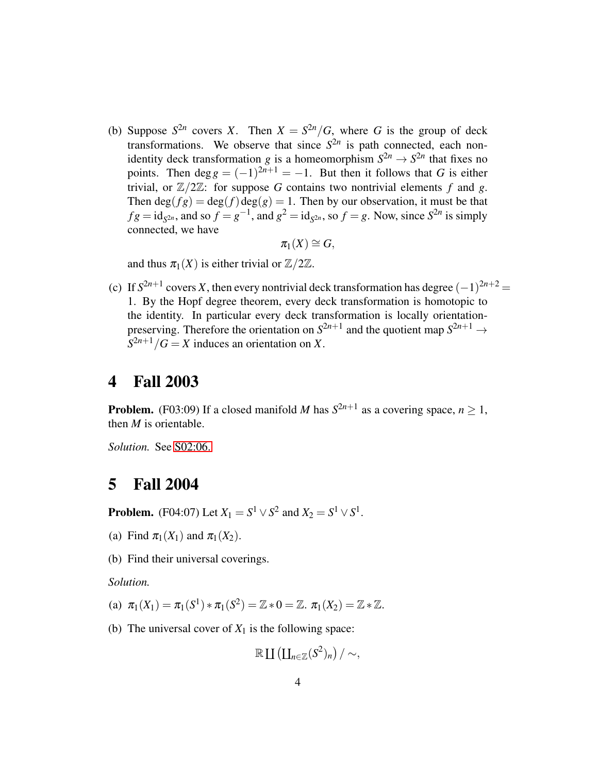(b) Suppose  $S^{2n}$  covers *X*. Then  $X = S^{2n}/G$ , where *G* is the group of deck transformations. We observe that since  $S^{2n}$  is path connected, each nonidentity deck transformation *g* is a homeomorphism  $S^{2n} \to S^{2n}$  that fixes no points. Then  $\deg g = (-1)^{2n+1} = -1$ . But then it follows that *G* is either trivial, or  $\mathbb{Z}/2\mathbb{Z}$ : for suppose G contains two nontrivial elements f and g. Then  $deg(fg) = deg(f)deg(g) = 1$ . Then by our observation, it must be that  $f g = id_{S^{2n}}$ , and so  $f = g^{-1}$ , and  $g^2 = id_{S^{2n}}$ , so  $f = g$ . Now, since  $S^{2n}$  is simply connected, we have

$$
\pi_1(X)\cong G,
$$

and thus  $\pi_1(X)$  is either trivial or  $\mathbb{Z}/2\mathbb{Z}$ .

(c) If  $S^{2n+1}$  covers *X*, then every nontrivial deck transformation has degree  $(-1)^{2n+2}$  = 1. By the Hopf degree theorem, every deck transformation is homotopic to the identity. In particular every deck transformation is locally orientationpreserving. Therefore the orientation on  $S^{2n+1}$  and the quotient map  $S^{2n+1} \to$  $S^{2n+1}/G = X$  induces an orientation on *X*.

### <span id="page-3-0"></span>4 Fall 2003

**Problem.** (F03:09) If a closed manifold *M* has  $S^{2n+1}$  as a covering space,  $n \ge 1$ , then *M* is orientable.

*Solution.* See [S02:06.](#page-2-0)

## <span id="page-3-1"></span>5 Fall 2004

**Problem.** (F04:07) Let  $X_1 = S^1 \vee S^2$  and  $X_2 = S^1 \vee S^1$ .

- (a) Find  $\pi_1(X_1)$  and  $\pi_1(X_2)$ .
- (b) Find their universal coverings.

*Solution.*

(a)  $\pi_1(X_1) = \pi_1(S^1) * \pi_1(S^2) = \mathbb{Z} * 0 = \mathbb{Z}$ .  $\pi_1(X_2) = \mathbb{Z} * \mathbb{Z}$ .

(b) The universal cover of  $X_1$  is the following space:

$$
\mathbb{R} \amalg (\amalg_{n \in \mathbb{Z}} (S^2)_n) / \sim,
$$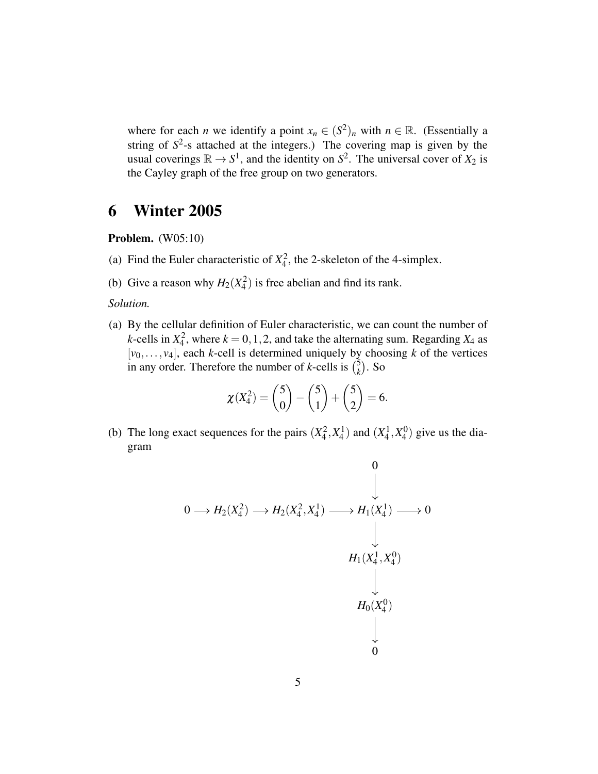where for each *n* we identify a point  $x_n \in (S^2)_n$  with  $n \in \mathbb{R}$ . (Essentially a string of  $S<sup>2</sup>$ -s attached at the integers.) The covering map is given by the usual coverings  $\mathbb{R} \to S^1$ , and the identity on  $S^2$ . The universal cover of  $X_2$  is the Cayley graph of the free group on two generators.

# <span id="page-4-0"></span>6 Winter 2005

Problem. (W05:10)

- (a) Find the Euler characteristic of  $X_4^2$ , the 2-skeleton of the 4-simplex.
- (b) Give a reason why  $H_2(X_4^2)$  is free abelian and find its rank.

### *Solution.*

(a) By the cellular definition of Euler characteristic, we can count the number of *k*-cells in  $X_4^2$ , where  $k = 0, 1, 2$ , and take the alternating sum. Regarding  $X_4$  as  $[v_0, \ldots, v_4]$ , each *k*-cell is determined uniquely by choosing *k* of the vertices in any order. Therefore the number of *k*-cells is  $\binom{5}{k}$  $\binom{5}{k}$ . So

$$
\chi(X_4^2) = \binom{5}{0} - \binom{5}{1} + \binom{5}{2} = 6.
$$

(b) The long exact sequences for the pairs  $(X_4^2, X_4^1)$  and  $(X_4^1, X_4^0)$  $^{(0)}_4$ ) give us the diagram

$$
0 \longrightarrow H_2(X_4^2) \longrightarrow H_2(X_4^2, X_4^1) \longrightarrow H_1(X_4^1) \longrightarrow 0
$$
\n
$$
\downarrow
$$
\n
$$
H_1(X_4^1, X_4^0)
$$
\n
$$
\downarrow
$$
\n
$$
H_0(X_4^0)
$$
\n
$$
\downarrow
$$
\n
$$
0
$$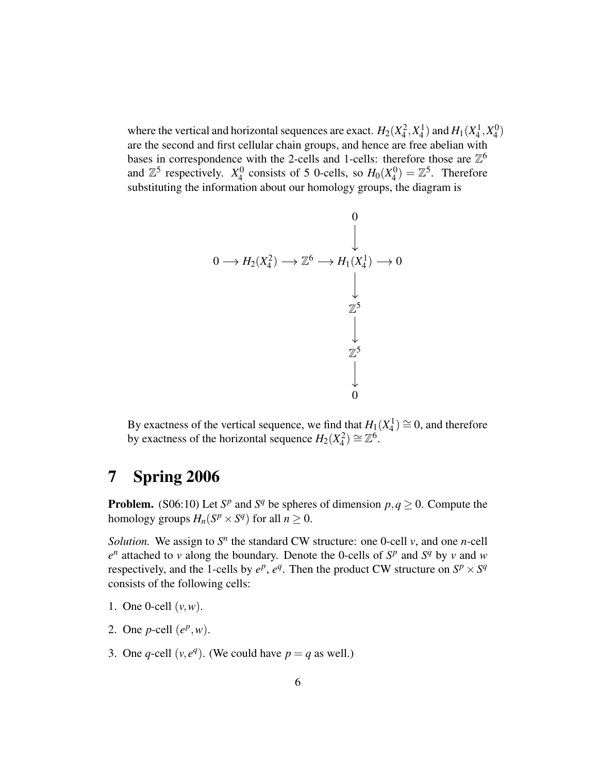where the vertical and horizontal sequences are exact.  $H_2(X_4^2, X_4^1)$  and  $H_1(X_4^1, X_4^0)$  $_{4}^{0}$ are the second and first cellular chain groups, and hence are free abelian with bases in correspondence with the 2-cells and 1-cells: therefore those are  $\mathbb{Z}^6$ and  $\mathbb{Z}^5$  respectively.  $X_4^0$  $^{0}_{4}$  consists of 5 0-cells, so  $H_0(X_4^0)$  $\mathcal{L}_4^0$  =  $\mathbb{Z}^5$ . Therefore substituting the information about our homology groups, the diagram is

$$
0 \longrightarrow H_2(X_4^2) \longrightarrow \mathbb{Z}^6 \longrightarrow H_1(X_4^1) \longrightarrow 0
$$
\n
$$
\downarrow
$$
\n
$$
\downarrow
$$
\n
$$
\mathbb{Z}^5
$$
\n
$$
\downarrow
$$
\n
$$
\mathbb{Z}^5
$$
\n
$$
\downarrow
$$
\n
$$
0
$$

By exactness of the vertical sequence, we find that  $H_1(X_4^1) \cong 0$ , and therefore by exactness of the horizontal sequence  $H_2(X_4^2) \cong \mathbb{Z}^6$ .

# <span id="page-5-0"></span>7 Spring 2006

**Problem.** (S06:10) Let  $S^p$  and  $S^q$  be spheres of dimension  $p, q \ge 0$ . Compute the homology groups  $H_n(S^p \times S^q)$  for all  $n \geq 0$ .

*Solution.* We assign to  $S<sup>n</sup>$  the standard CW structure: one 0-cell  $v$ , and one *n*-cell  $e^n$  attached to *v* along the boundary. Denote the 0-cells of  $S^p$  and  $S^q$  by *v* and *w* respectively, and the 1-cells by  $e^p$ ,  $e^q$ . Then the product CW structure on  $S^p \times S^q$ consists of the following cells:

- 1. One 0-cell  $(v, w)$ .
- 2. One *p*-cell  $(e^p, w)$ .
- 3. One *q*-cell  $(v, e^q)$ . (We could have  $p = q$  as well.)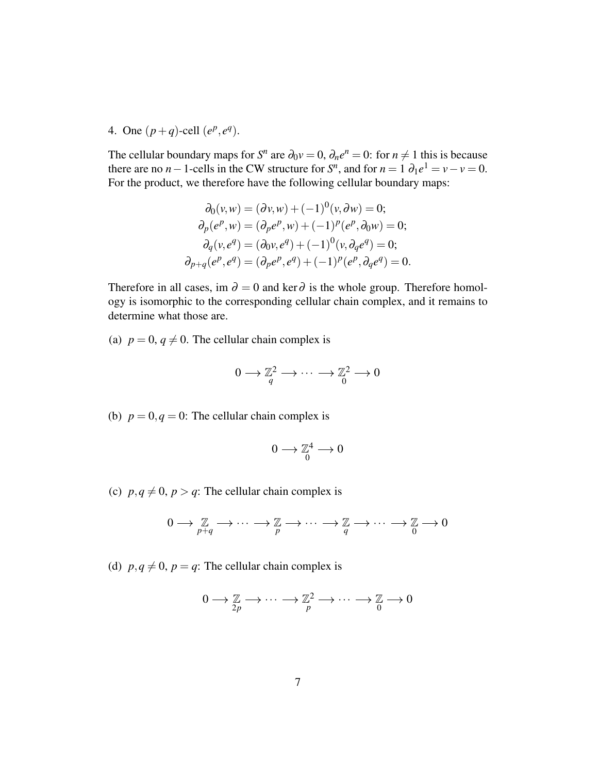4. One  $(p+q)$ -cell  $(e^p, e^q)$ .

The cellular boundary maps for  $S^n$  are  $\partial_0 v = 0$ ,  $\partial_n e^n = 0$ : for  $n \neq 1$  this is because there are no *n* − 1-cells in the CW structure for  $S<sup>n</sup>$ , and for  $n = 1$   $\partial_1 e^1 = v - v = 0$ . For the product, we therefore have the following cellular boundary maps:

$$
\partial_0(v, w) = (\partial v, w) + (-1)^0(v, \partial w) = 0;
$$
  
\n
$$
\partial_p(e^p, w) = (\partial_p e^p, w) + (-1)^p(e^p, \partial_0 w) = 0;
$$
  
\n
$$
\partial_q(v, e^q) = (\partial_0 v, e^q) + (-1)^0(v, \partial_q e^q) = 0;
$$
  
\n
$$
\partial_{p+q}(e^p, e^q) = (\partial_p e^p, e^q) + (-1)^p(e^p, \partial_q e^q) = 0.
$$

Therefore in all cases, im  $\partial = 0$  and ker $\partial$  is the whole group. Therefore homology is isomorphic to the corresponding cellular chain complex, and it remains to determine what those are.

(a)  $p = 0, q \neq 0$ . The cellular chain complex is

$$
0 \longrightarrow \mathbb{Z}_q^2 \longrightarrow \cdots \longrightarrow \mathbb{Z}_0^2 \longrightarrow 0
$$

(b)  $p = 0, q = 0$ : The cellular chain complex is

$$
0\longrightarrow \mathbb{Z}^4_0\longrightarrow 0
$$

(c)  $p, q \neq 0, p > q$ : The cellular chain complex is

$$
0 \longrightarrow \underset{p+q}{\mathbb{Z}} \longrightarrow \cdots \longrightarrow \underset{p}{\mathbb{Z}} \longrightarrow \cdots \longrightarrow \underset{q}{\mathbb{Z}} \longrightarrow \cdots \longrightarrow \underset{0}{\mathbb{Z}} \longrightarrow 0
$$

(d)  $p, q \neq 0$ ,  $p = q$ : The cellular chain complex is

$$
0 \longrightarrow \mathbb{Z} \longrightarrow \cdots \longrightarrow \mathbb{Z}^2 \longrightarrow \cdots \longrightarrow \mathbb{Z} \longrightarrow 0
$$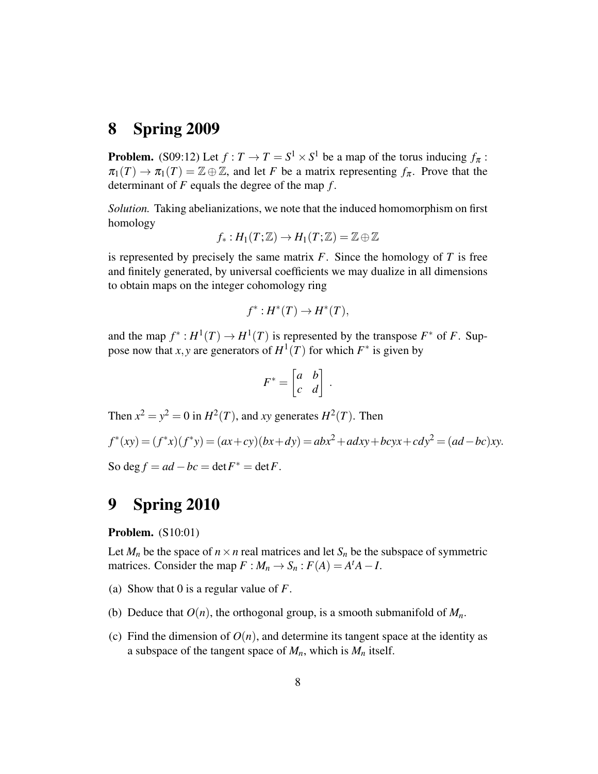# <span id="page-7-0"></span>8 Spring 2009

**Problem.** (S09:12) Let  $f: T \to T = S^1 \times S^1$  be a map of the torus inducing  $f_{\pi}$ :  $\pi_1(T) \to \pi_1(T) = \mathbb{Z} \oplus \mathbb{Z}$ , and let *F* be a matrix representing  $f_\pi$ . Prove that the determinant of *F* equals the degree of the map *f* .

*Solution.* Taking abelianizations, we note that the induced homomorphism on first homology

$$
f_*: H_1(T; \mathbb{Z}) \to H_1(T; \mathbb{Z}) = \mathbb{Z} \oplus \mathbb{Z}
$$

is represented by precisely the same matrix  $F$ . Since the homology of  $T$  is free and finitely generated, by universal coefficients we may dualize in all dimensions to obtain maps on the integer cohomology ring

$$
f^*: H^*(T) \to H^*(T),
$$

and the map  $f^*: H^1(T) \to H^1(T)$  is represented by the transpose  $F^*$  of F. Suppose now that *x*, *y* are generators of  $H^1(T)$  for which  $F^*$  is given by

$$
F^* = \begin{bmatrix} a & b \\ c & d \end{bmatrix} \, .
$$

Then  $x^2 = y^2 = 0$  in  $H^2(T)$ , and *xy* generates  $H^2(T)$ . Then  $f^*(xy) = (f^*x)(f^*y) = (ax+cy)(bx+dy) = abx^2 + adxy + bcyx + cdy^2 = (ad-bc)xy.$ So deg  $f = ad - bc = \det F^* = \det F$ .

# <span id="page-7-1"></span>9 Spring 2010

Problem. (S10:01)

Let  $M_n$  be the space of  $n \times n$  real matrices and let  $S_n$  be the subspace of symmetric matrices. Consider the map  $F : M_n \to S_n : F(A) = A^t A - I$ .

- (a) Show that 0 is a regular value of *F*.
- (b) Deduce that  $O(n)$ , the orthogonal group, is a smooth submanifold of  $M_n$ .
- (c) Find the dimension of  $O(n)$ , and determine its tangent space at the identity as a subspace of the tangent space of  $M_n$ , which is  $M_n$  itself.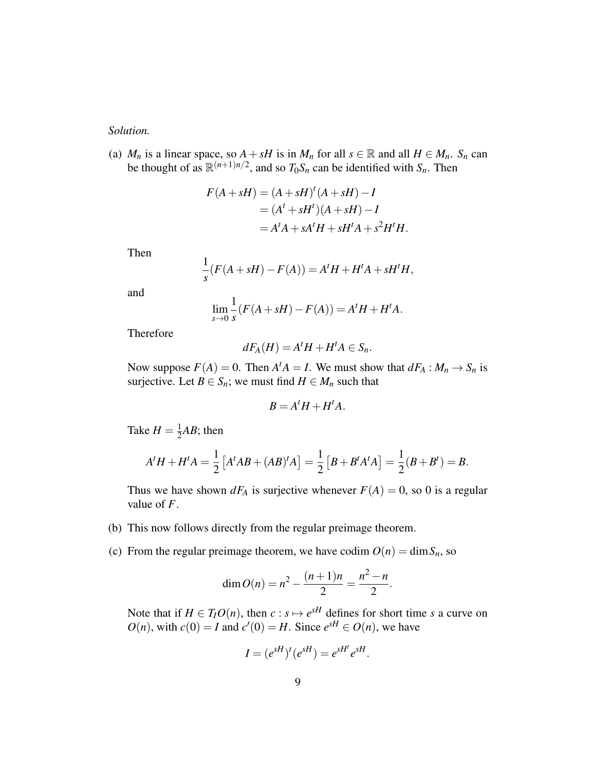### *Solution.*

(a) *M<sub>n</sub>* is a linear space, so  $A + sH$  is in  $M_n$  for all  $s \in \mathbb{R}$  and all  $H \in M_n$ .  $S_n$  can be thought of as  $\mathbb{R}^{(n+1)n/2}$ , and so  $T_0S_n$  can be identified with  $S_n$ . Then

$$
F(A+ sH) = (A + sH)t (A + sH) - I
$$
  
=  $(At + sHt)(A + sH) - I$   
=  $AtA + sAtH + sHtA + s2HtH$ .

Then

$$
\frac{1}{s}(F(A+sH)-F(A))=A^tH+H^tA+sH^tH,
$$

and

$$
\lim_{s \to 0} \frac{1}{s} (F(A + sH) - F(A)) = A^t H + H^t A.
$$

Therefore

$$
dF_A(H) = A^t H + H^t A \in S_n.
$$

Now suppose  $F(A) = 0$ . Then  $A^t A = I$ . We must show that  $dF_A : M_n \to S_n$  is surjective. Let *B*  $\in$  *S<sub>n</sub>*; we must find *H*  $\in$  *M<sub>n</sub>* such that

$$
B = A^t H + H^t A.
$$

Take  $H = \frac{1}{2}$  $\frac{1}{2}AB$ ; then

$$
AtH + HtA = \frac{1}{2} [AtAB + (AB)tA] = \frac{1}{2} [B + BtAtA] = \frac{1}{2}(B + Bt) = B.
$$

Thus we have shown  $dF_A$  is surjective whenever  $F(A) = 0$ , so 0 is a regular value of *F*.

- (b) This now follows directly from the regular preimage theorem.
- <span id="page-8-0"></span>(c) From the regular preimage theorem, we have codim  $O(n) = \dim S_n$ , so

$$
\dim O(n) = n^2 - \frac{(n+1)n}{2} = \frac{n^2 - n}{2}.
$$

Note that if  $H \in T_I O(n)$ , then  $c : s \mapsto e^{sH}$  defines for short time *s* a curve on  $O(n)$ , with  $c(0) = I$  and  $c'(0) = H$ . Since  $e^{sH} \in O(n)$ , we have

$$
I = (e^{sH})^t (e^{sH}) = e^{sH^t} e^{sH}.
$$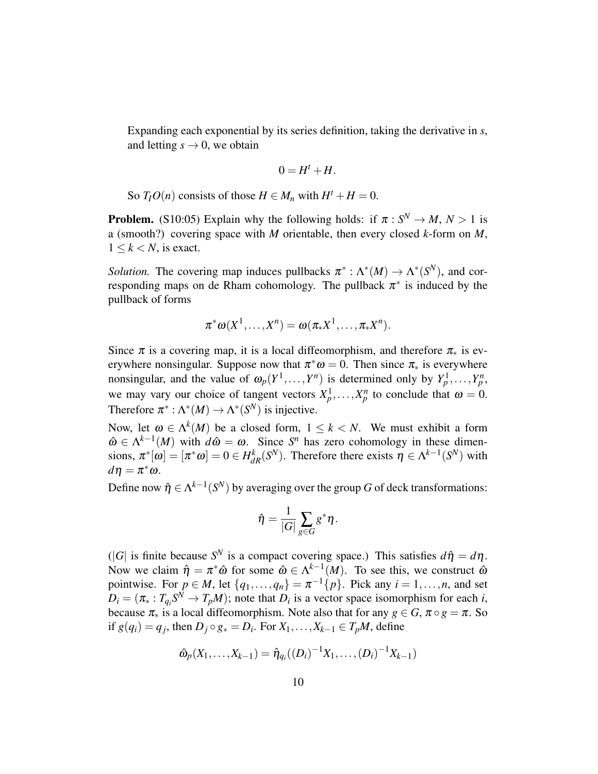Expanding each exponential by its series definition, taking the derivative in *s*, and letting  $s \rightarrow 0$ , we obtain

$$
0=H^t+H.
$$

So  $T_I O(n)$  consists of those  $H \in M_n$  with  $H^t + H = 0$ .

**Problem.** (S10:05) Explain why the following holds: if  $\pi : S^N \to M$ ,  $N > 1$  is a (smooth?) covering space with *M* orientable, then every closed *k*-form on *M*,  $1 \leq k \leq N$ , is exact.

*Solution*. The covering map induces pullbacks  $\pi^* : \Lambda^*(M) \to \Lambda^*(S^N)$ , and corresponding maps on de Rham cohomology. The pullback  $\pi^*$  is induced by the pullback of forms

$$
\pi^*\omega(X^1,\ldots,X^n)=\omega(\pi_*X^1,\ldots,\pi_*X^n).
$$

Since  $\pi$  is a covering map, it is a local diffeomorphism, and therefore  $\pi_*$  is everywhere nonsingular. Suppose now that  $\pi^*\omega = 0$ . Then since  $\pi_*$  is everywhere nonsingular, and the value of  $\omega_p(Y^1, \ldots, Y^n)$  is determined only by  $Y^1_p, \ldots, Y^n_p$ , we may vary our choice of tangent vectors  $X_p^1, \ldots, X_p^n$  to conclude that  $\omega = 0$ . Therefore  $\pi^* : \Lambda^*(M) \to \Lambda^*(S^N)$  is injective.

Now, let  $\omega \in \Lambda^k(M)$  be a closed form,  $1 \leq k < N$ . We must exhibit a form  $\hat{\omega} \in \Lambda^{k-1}(M)$  with  $d\hat{\omega} = \omega$ . Since  $S^n$  has zero cohomology in these dimensions,  $\pi^*[\omega] = [\pi^*\omega] = 0 \in H_{dR}^k(S^N)$ . Therefore there exists  $\eta \in \Lambda^{k-1}(S^N)$  with  $d\eta = \pi^*\omega$ .

Define now  $\hat{\eta} \in \Lambda^{k-1}(S^N)$  by averaging over the group *G* of deck transformations:

$$
\hat{\eta} = \frac{1}{|G|} \sum_{g \in G} g^* \eta.
$$

 $(|G|$  is finite because  $S<sup>N</sup>$  is a compact covering space.) This satisfies  $d\hat{\eta} = d\eta$ . Now we claim  $\hat{\eta} = \pi^* \hat{\omega}$  for some  $\hat{\omega} \in \Lambda^{k-1}(M)$ . To see this, we construct  $\hat{\omega}$ pointwise. For  $p \in M$ , let  $\{q_1, \ldots, q_n\} = \pi^{-1}\{p\}$ . Pick any  $i = 1, \ldots, n$ , and set  $D_i = (\pi_* : T_{q_i}S^N \to T_pM)$ ; note that  $D_i$  is a vector space isomorphism for each *i*, because  $\pi_*$  is a local diffeomorphism. Note also that for any  $g \in G$ ,  $\pi \circ g = \pi$ . So if  $g(q_i) = q_j$ , then  $D_j \circ g_* = D_i$ . For  $X_1, \ldots, X_{k-1} \in T_pM$ , define

$$
\hat{\omega}_p(X_1,\ldots,X_{k-1})=\hat{\eta}_{q_i}((D_i)^{-1}X_1,\ldots,(D_i)^{-1}X_{k-1})
$$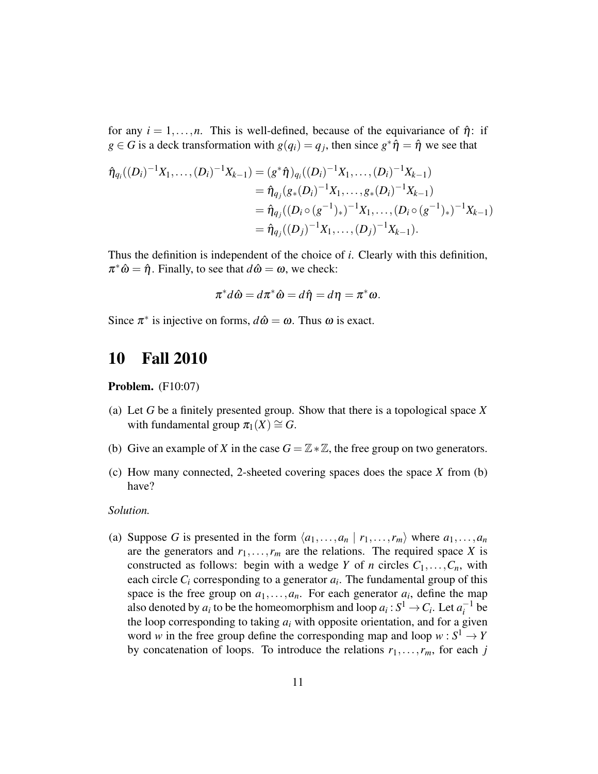for any  $i = 1, \ldots, n$ . This is well-defined, because of the equivariance of  $\hat{\eta}$ : if  $g \in G$  is a deck transformation with  $g(q_i) = q_j$ , then since  $g^* \hat{\eta} = \hat{\eta}$  we see that

$$
\hat{\eta}_{q_i}((D_i)^{-1}X_1,\ldots,(D_i)^{-1}X_{k-1}) = (g^*\hat{\eta})_{q_i}((D_i)^{-1}X_1,\ldots,(D_i)^{-1}X_{k-1})
$$
  
\n
$$
= \hat{\eta}_{q_j}(g_*(D_i)^{-1}X_1,\ldots,g_*(D_i)^{-1}X_{k-1})
$$
  
\n
$$
= \hat{\eta}_{q_j}((D_i \circ (g^{-1})_*)^{-1}X_1,\ldots,(D_i \circ (g^{-1})_*)^{-1}X_{k-1})
$$
  
\n
$$
= \hat{\eta}_{q_j}((D_j)^{-1}X_1,\ldots,(D_j)^{-1}X_{k-1}).
$$

Thus the definition is independent of the choice of *i*. Clearly with this definition,  $\pi^* \hat{\omega} = \hat{\eta}$ . Finally, to see that  $d\hat{\omega} = \omega$ , we check:

$$
\pi^*d\hat{\omega} = d\pi^*\hat{\omega} = d\hat{\eta} = d\eta = \pi^*\omega.
$$

Since  $\pi^*$  is injective on forms,  $d\hat{\omega} = \omega$ . Thus  $\omega$  is exact.

# <span id="page-10-0"></span>10 Fall 2010

**Problem.** (F10:07)

- (a) Let *G* be a finitely presented group. Show that there is a topological space *X* with fundamental group  $\pi_1(X) \cong G$ .
- (b) Give an example of *X* in the case  $G = \mathbb{Z} * \mathbb{Z}$ , the free group on two generators.
- (c) How many connected, 2-sheeted covering spaces does the space *X* from (b) have?

### *Solution.*

(a) Suppose *G* is presented in the form  $\langle a_1, \ldots, a_n | r_1, \ldots, r_m \rangle$  where  $a_1, \ldots, a_n$ are the generators and  $r_1, \ldots, r_m$  are the relations. The required space *X* is constructed as follows: begin with a wedge *Y* of *n* circles  $C_1, \ldots, C_n$ , with each circle  $C_i$  corresponding to a generator  $a_i$ . The fundamental group of this space is the free group on  $a_1, \ldots, a_n$ . For each generator  $a_i$ , define the map also denoted by  $a_i$  to be the homeomorphism and loop  $a_i : S^1 \to C_i$ . Let  $a_i^{-1}$  $i^{-1}$  be the loop corresponding to taking  $a_i$  with opposite orientation, and for a given word *w* in the free group define the corresponding map and loop  $w : S^1 \to Y$ by concatenation of loops. To introduce the relations  $r_1, \ldots, r_m$ , for each *j*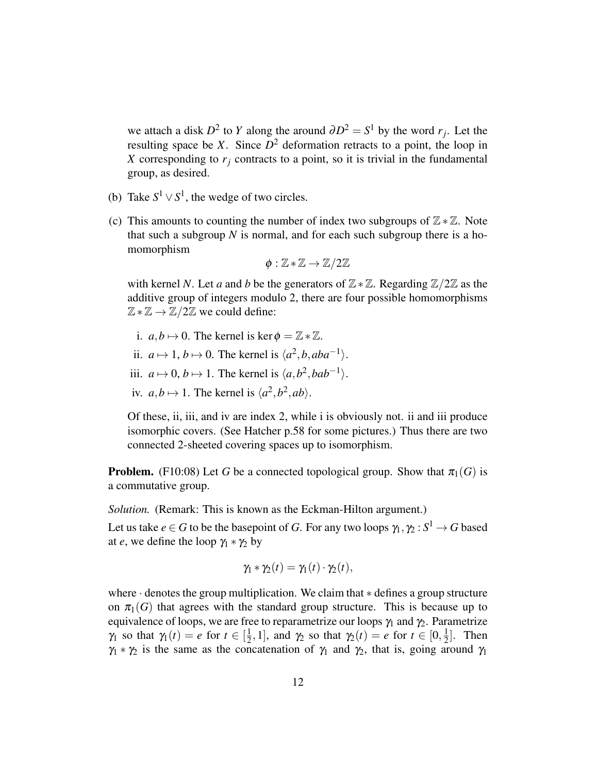we attach a disk  $D^2$  to *Y* along the around  $\partial D^2 = S^1$  by the word  $r_j$ . Let the resulting space be *X*. Since  $D^2$  deformation retracts to a point, the loop in *X* corresponding to  $r_j$  contracts to a point, so it is trivial in the fundamental group, as desired.

- (b) Take  $S^1 \vee S^1$ , the wedge of two circles.
- (c) This amounts to counting the number of index two subgroups of  $\mathbb{Z} * \mathbb{Z}$ . Note that such a subgroup *N* is normal, and for each such subgroup there is a homomorphism

$$
\phi:\mathbb{Z}\ast\mathbb{Z}\to\mathbb{Z}/2\mathbb{Z}
$$

with kernel *N*. Let *a* and *b* be the generators of  $\mathbb{Z} * \mathbb{Z}$ . Regarding  $\mathbb{Z}/2\mathbb{Z}$  as the additive group of integers modulo 2, there are four possible homomorphisms  $\mathbb{Z} * \mathbb{Z} \to \mathbb{Z}/2\mathbb{Z}$  we could define:

- i.  $a, b \mapsto 0$ . The kernel is ker  $\phi = \mathbb{Z} * \mathbb{Z}$ .
- ii.  $a \mapsto 1, b \mapsto 0$ . The kernel is  $\langle a^2, b, aba^{-1} \rangle$ .
- iii.  $a \mapsto 0, b \mapsto 1$ . The kernel is  $\langle a, b^2, bab^{-1} \rangle$ .
- iv.  $a, b \mapsto 1$ . The kernel is  $\langle a^2, b^2, ab \rangle$ .

Of these, ii, iii, and iv are index 2, while i is obviously not. ii and iii produce isomorphic covers. (See Hatcher p.58 for some pictures.) Thus there are two connected 2-sheeted covering spaces up to isomorphism.

**Problem.** (F10:08) Let G be a connected topological group. Show that  $\pi_1(G)$  is a commutative group.

*Solution.* (Remark: This is known as the Eckman-Hilton argument.)

Let us take  $e \in G$  to be the basepoint of  $G.$  For any two loops  $\gamma_1, \gamma_2: S^1 \to G$  based at *e*, we define the loop  $\gamma_1 * \gamma_2$  by

$$
\gamma_1 * \gamma_2(t) = \gamma_1(t) \cdot \gamma_2(t),
$$

where · denotes the group multiplication. We claim that ∗ defines a group structure on  $\pi_1(G)$  that agrees with the standard group structure. This is because up to equivalence of loops, we are free to reparametrize our loops  $\gamma_1$  and  $\gamma_2$ . Parametrize  $\gamma_1$  so that  $\gamma_1(t) = e$  for  $t \in \left[\frac{1}{2}\right]$  $\frac{1}{2}$ , 1], and  $\gamma_2$  so that  $\gamma_2(t) = e$  for  $t \in [0, \frac{1}{2}]$  $\frac{1}{2}$ . Then  $\gamma_1 * \gamma_2$  is the same as the concatenation of  $\gamma_1$  and  $\gamma_2$ , that is, going around  $\gamma_1$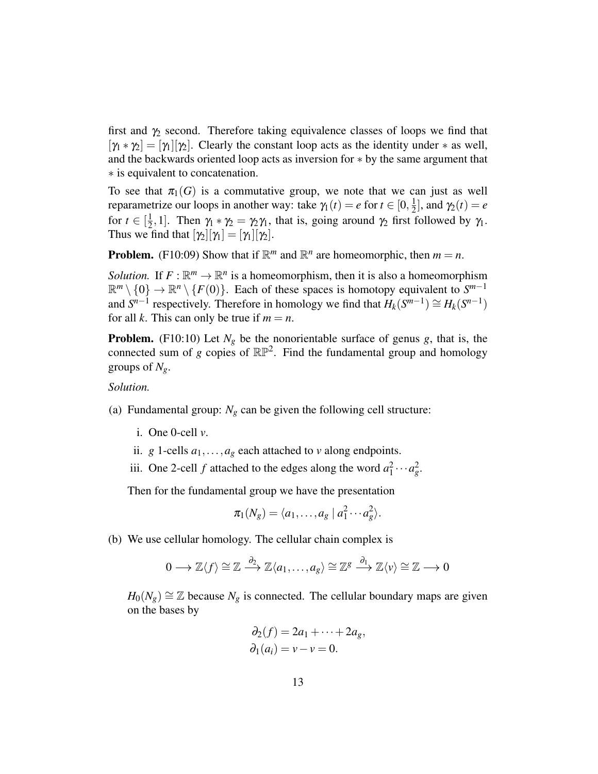first and  $\gamma_2$  second. Therefore taking equivalence classes of loops we find that  $[\gamma_1 * \gamma_2] = [\gamma_1][\gamma_2]$ . Clearly the constant loop acts as the identity under  $*$  as well, and the backwards oriented loop acts as inversion for ∗ by the same argument that ∗ is equivalent to concatenation.

To see that  $\pi_1(G)$  is a commutative group, we note that we can just as well reparametrize our loops in another way: take  $γ_1(t) = e$  for  $t \in [0, \frac{1}{2}]$  $\frac{1}{2}$ , and  $\gamma_2(t) = e$ for  $t \in \left[\frac{1}{2}\right]$  $\frac{1}{2}$ , 1]. Then  $\gamma_1 * \gamma_2 = \gamma_2 \gamma_1$ , that is, going around  $\gamma_2$  first followed by  $\gamma_1$ . Thus we find that  $[\gamma_2][\gamma_1] = [\gamma_1][\gamma_2]$ .

**Problem.** (F10:09) Show that if  $\mathbb{R}^m$  and  $\mathbb{R}^n$  are homeomorphic, then  $m = n$ .

*Solution.* If  $F: \mathbb{R}^m \to \mathbb{R}^n$  is a homeomorphism, then it is also a homeomorphism  $\mathbb{R}^m \setminus \{0\} \to \mathbb{R}^n \setminus \{F(0)\}.$  Each of these spaces is homotopy equivalent to  $S^{m-1}$ and  $S^{n-1}$  respectively. Therefore in homology we find that  $H_k(S^{m-1}) \cong H_k(S^{n-1})$ for all *k*. This can only be true if  $m = n$ .

**Problem.** (F10:10) Let  $N_g$  be the nonorientable surface of genus  $g$ , that is, the connected sum of *g* copies of  $\mathbb{RP}^2$ . Find the fundamental group and homology groups of  $N_g$ .

*Solution.*

- (a) Fundamental group:  $N_g$  can be given the following cell structure:
	- i. One 0-cell *v*.
	- ii. *g* 1-cells  $a_1, \ldots, a_g$  each attached to *v* along endpoints.
	- iii. One 2-cell *f* attached to the edges along the word  $a_1^2 \cdots a_g^2$ .

Then for the fundamental group we have the presentation

$$
\pi_1(N_g) = \langle a_1, \ldots, a_g \mid a_1^2 \cdots a_g^2 \rangle.
$$

(b) We use cellular homology. The cellular chain complex is

$$
0 \longrightarrow \mathbb{Z}\langle f \rangle \cong \mathbb{Z} \stackrel{\partial_2}{\longrightarrow} \mathbb{Z}\langle a_1, \ldots, a_g \rangle \cong \mathbb{Z}^g \stackrel{\partial_1}{\longrightarrow} \mathbb{Z}\langle v \rangle \cong \mathbb{Z} \longrightarrow 0
$$

 $H_0(N_g) \cong \mathbb{Z}$  because  $N_g$  is connected. The cellular boundary maps are given on the bases by

$$
\partial_2(f) = 2a_1 + \dots + 2a_g,
$$
  
\n
$$
\partial_1(a_i) = v - v = 0.
$$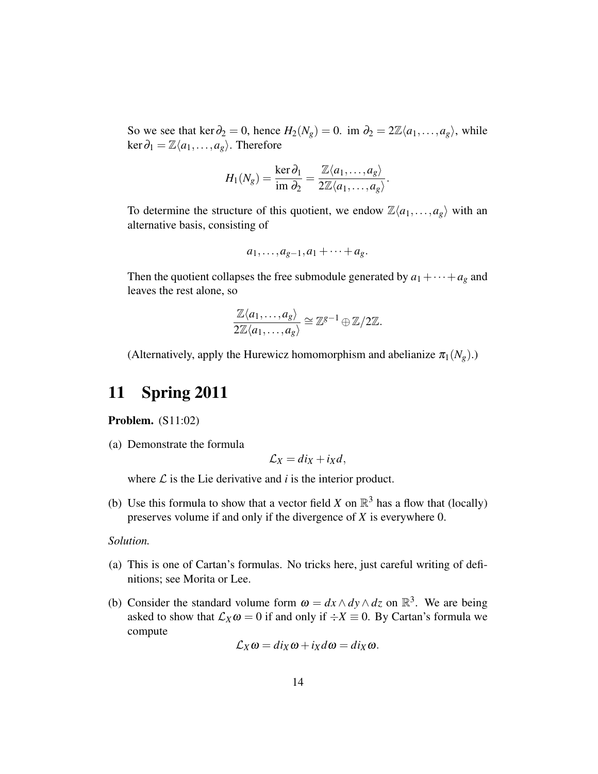So we see that ker  $\partial_2 = 0$ , hence  $H_2(N_g) = 0$ . im  $\partial_2 = 2\mathbb{Z}\langle a_1, \ldots, a_g \rangle$ , while  $\ker \partial_1 = \mathbb{Z}\langle a_1,\ldots,a_g\rangle$ . Therefore

$$
H_1(N_g) = \frac{\ker \partial_1}{\mathrm{im} \ \partial_2} = \frac{\mathbb{Z}\langle a_1,\ldots,a_g\rangle}{2\mathbb{Z}\langle a_1,\ldots,a_g\rangle}.
$$

To determine the structure of this quotient, we endow  $\mathbb{Z}\langle a_1,\ldots,a_g\rangle$  with an alternative basis, consisting of

$$
a_1,\ldots,a_{g-1},a_1+\cdots+a_g.
$$

Then the quotient collapses the free submodule generated by  $a_1 + \cdots + a_g$  and leaves the rest alone, so

$$
\frac{\mathbb{Z}\langle a_1,\ldots,a_g\rangle}{2\mathbb{Z}\langle a_1,\ldots,a_g\rangle}\cong\mathbb{Z}^{g-1}\oplus\mathbb{Z}/2\mathbb{Z}.
$$

(Alternatively, apply the Hurewicz homomorphism and abelianize  $\pi_1(N_g)$ .)

# <span id="page-13-0"></span>11 Spring 2011

Problem. (S11:02)

(a) Demonstrate the formula

$$
\mathcal{L}_X = di_X + i_X d,
$$

where  $\mathcal L$  is the Lie derivative and  $i$  is the interior product.

(b) Use this formula to show that a vector field *X* on  $\mathbb{R}^3$  has a flow that (locally) preserves volume if and only if the divergence of *X* is everywhere 0.

### *Solution.*

- (a) This is one of Cartan's formulas. No tricks here, just careful writing of definitions; see Morita or Lee.
- <span id="page-13-1"></span>(b) Consider the standard volume form  $\omega = dx \wedge dy \wedge dz$  on  $\mathbb{R}^3$ . We are being asked to show that  $\mathcal{L}_X \omega = 0$  if and only if  $\div X \equiv 0$ . By Cartan's formula we compute

$$
\mathcal{L}_X\omega = di_X\omega + i_Xd\omega = di_X\omega.
$$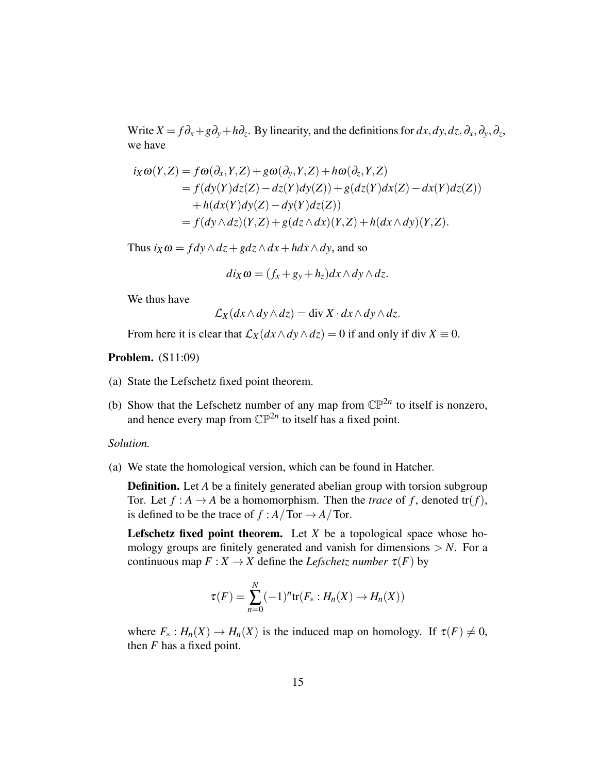Write  $X = f\partial_x + g\partial_y + h\partial_z$ . By linearity, and the definitions for  $dx, dy, dz, \partial_x, \partial_y, \partial_z$ , we have

$$
i_X \omega(Y, Z) = f\omega(\partial_x, Y, Z) + g\omega(\partial_y, Y, Z) + h\omega(\partial_z, Y, Z)
$$
  
=  $f(dy(Y)dz(Z) - dz(Y)dy(Z)) + g(dz(Y)dx(Z) - dx(Y)dz(Z))$   
+  $h(dx(Y)dy(Z) - dy(Y)dz(Z))$   
=  $f(dy \wedge dz)(Y, Z) + g(dz \wedge dx)(Y, Z) + h(dx \wedge dy)(Y, Z).$ 

Thus  $i_X \omega = f dy \wedge dz + g dz \wedge dx + h dx \wedge dy$ , and so

$$
di_X\omega = (f_x + g_y + h_z)dx \wedge dy \wedge dz.
$$

We thus have

$$
\mathcal{L}_X(dx \wedge dy \wedge dz) = \text{div } X \cdot dx \wedge dy \wedge dz.
$$

From here it is clear that  $\mathcal{L}_X$  $(dx \wedge dy \wedge dz) = 0$  if and only if div  $X \equiv 0$ .

Problem. (S11:09)

- (a) State the Lefschetz fixed point theorem.
- (b) Show that the Lefschetz number of any map from  $\mathbb{CP}^{2n}$  to itself is nonzero, and hence every map from  $\mathbb{CP}^{2n}$  to itself has a fixed point.

*Solution.*

(a) We state the homological version, which can be found in Hatcher.

**Definition.** Let *A* be a finitely generated abelian group with torsion subgroup Tor. Let  $f : A \to A$  be a homomorphism. Then the *trace* of f, denoted tr(f), is defined to be the trace of  $f : A/\text{Tor} \to A/\text{Tor}$ .

Lefschetz fixed point theorem. Let  $X$  be a topological space whose homology groups are finitely generated and vanish for dimensions  $> N$ . For a continuous map  $F: X \to X$  define the *Lefschetz number*  $\tau(F)$  by

$$
\tau(F) = \sum_{n=0}^{N} (-1)^n \text{tr}(F_* : H_n(X) \to H_n(X))
$$

where  $F_* : H_n(X) \to H_n(X)$  is the induced map on homology. If  $\tau(F) \neq 0$ , then *F* has a fixed point.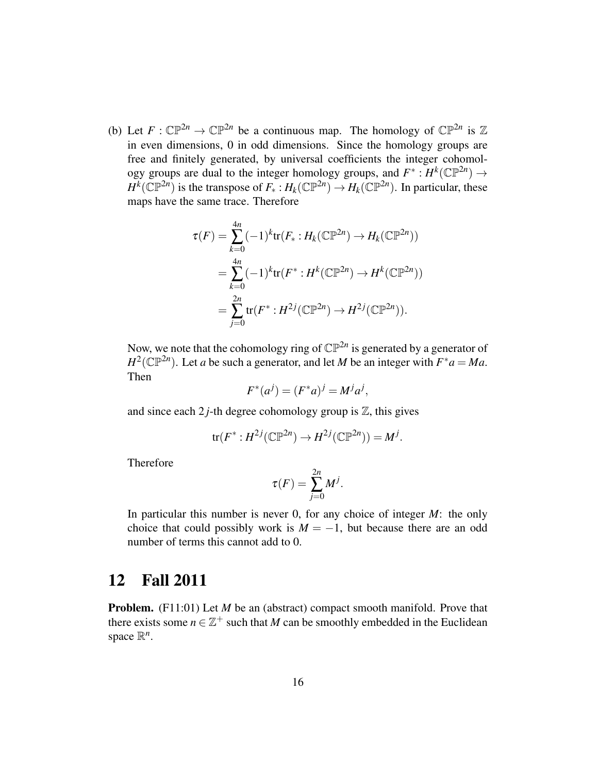(b) Let  $F: \mathbb{CP}^{2n} \to \mathbb{CP}^{2n}$  be a continuous map. The homology of  $\mathbb{CP}^{2n}$  is  $\mathbb{Z}$ in even dimensions, 0 in odd dimensions. Since the homology groups are free and finitely generated, by universal coefficients the integer cohomology groups are dual to the integer homology groups, and  $F^*: H^k(\mathbb{CP}^{2n}) \to$  $H^k(\mathbb{CP}^{2n})$  is the transpose of  $F_*: H_k(\mathbb{CP}^{2n}) \to H_k(\mathbb{CP}^{2n})$ . In particular, these maps have the same trace. Therefore

$$
\tau(F) = \sum_{k=0}^{4n} (-1)^k \text{tr}(F_* : H_k(\mathbb{CP}^{2n}) \to H_k(\mathbb{CP}^{2n}))
$$
  
= 
$$
\sum_{k=0}^{4n} (-1)^k \text{tr}(F^* : H^k(\mathbb{CP}^{2n}) \to H^k(\mathbb{CP}^{2n}))
$$
  
= 
$$
\sum_{j=0}^{2n} \text{tr}(F^* : H^{2j}(\mathbb{CP}^{2n}) \to H^{2j}(\mathbb{CP}^{2n})).
$$

Now, we note that the cohomology ring of  $\mathbb{CP}^{2n}$  is generated by a generator of  $H^2(\mathbb{CP}^{2n})$ . Let *a* be such a generator, and let *M* be an integer with  $F^*a = Ma$ . Then

$$
F^*(a^j) = (F^*a)^j = M^ja^j,
$$

and since each  $2j$ -th degree cohomology group is  $\mathbb{Z}$ , this gives

$$
\text{tr}(F^*:H^{2j}(\mathbb{C}\mathbb{P}^{2n})\to H^{2j}(\mathbb{C}\mathbb{P}^{2n}))=M^j.
$$

Therefore

$$
\tau(F) = \sum_{j=0}^{2n} M^j.
$$

In particular this number is never 0, for any choice of integer *M*: the only choice that could possibly work is  $M = -1$ , but because there are an odd number of terms this cannot add to 0.

# <span id="page-15-0"></span>12 Fall 2011

**Problem.** (F11:01) Let *M* be an (abstract) compact smooth manifold. Prove that there exists some  $n \in \mathbb{Z}^+$  such that *M* can be smoothly embedded in the Euclidean space  $\mathbb{R}^n$ .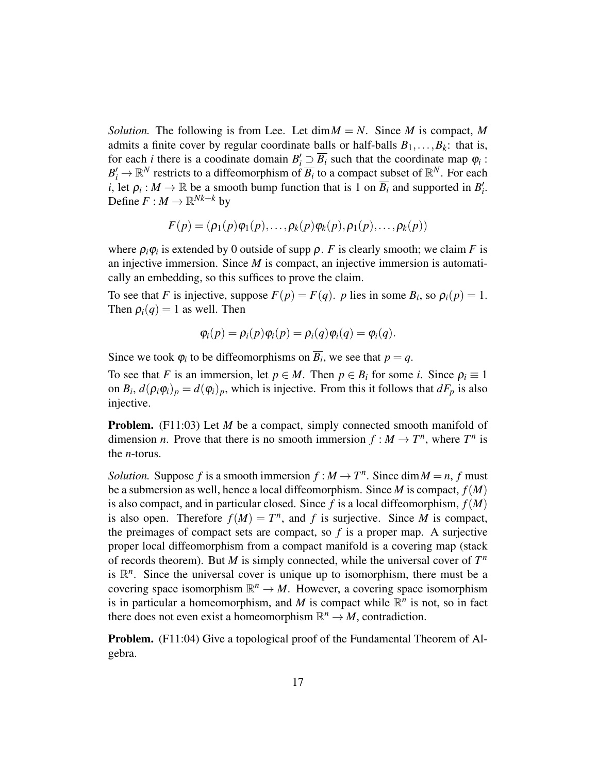*Solution.* The following is from Lee. Let  $\dim M = N$ . Since *M* is compact, *M* admits a finite cover by regular coordinate balls or half-balls  $B_1, \ldots, B_k$ : that is, for each *i* there is a coodinate domain  $B_i' \supseteq \overline{B_i}$  such that the coordinate map  $\varphi_i$ :  $B'_i \to \mathbb{R}^N$  restricts to a diffeomorphism of  $\overline{B_i}$  to a compact subset of  $\mathbb{R}^N$ . For each *i*, let  $\rho_i : M \to \mathbb{R}$  be a smooth bump function that is 1 on  $\overline{B_i}$  and supported in  $B'_i$ . Define  $F : M \to \mathbb{R}^{Nk+k}$  by

$$
F(p) = (\rho_1(p)\varphi_1(p), \ldots, \rho_k(p)\varphi_k(p), \rho_1(p), \ldots, \rho_k(p))
$$

where  $\rho_i \varphi_i$  is extended by 0 outside of supp  $\rho$ . *F* is clearly smooth; we claim *F* is an injective immersion. Since *M* is compact, an injective immersion is automatically an embedding, so this suffices to prove the claim.

To see that *F* is injective, suppose  $F(p) = F(q)$ . *p* lies in some  $B_i$ , so  $\rho_i(p) = 1$ . Then  $\rho_i(q) = 1$  as well. Then

$$
\varphi_i(p) = \rho_i(p)\varphi_i(p) = \rho_i(q)\varphi_i(q) = \varphi_i(q).
$$

Since we took  $\varphi_i$  to be diffeomorphisms on  $\overline{B_i}$ , we see that  $p = q$ .

To see that *F* is an immersion, let  $p \in M$ . Then  $p \in B_i$  for some *i*. Since  $\rho_i \equiv 1$ on  $B_i$ ,  $d(\rho_i \phi_i)_p = d(\phi_i)_p$ , which is injective. From this it follows that  $dF_p$  is also injective.

Problem. (F11:03) Let *M* be a compact, simply connected smooth manifold of dimension *n*. Prove that there is no smooth immersion  $f : M \to T^n$ , where  $T^n$  is the *n*-torus.

*Solution.* Suppose *f* is a smooth immersion  $f : M \to T^n$ . Since dim  $M = n$ , f must be a submersion as well, hence a local diffeomorphism. Since *M* is compact, *f*(*M*) is also compact, and in particular closed. Since  $f$  is a local diffeomorphism,  $f(M)$ is also open. Therefore  $f(M) = T^n$ , and *f* is surjective. Since *M* is compact, the preimages of compact sets are compact, so  $f$  is a proper map. A surjective proper local diffeomorphism from a compact manifold is a covering map (stack of records theorem). But  $M$  is simply connected, while the universal cover of  $T<sup>n</sup>$ is  $\mathbb{R}^n$ . Since the universal cover is unique up to isomorphism, there must be a covering space isomorphism  $\mathbb{R}^n \to M$ . However, a covering space isomorphism is in particular a homeomorphism, and *M* is compact while  $\mathbb{R}^n$  is not, so in fact there does not even exist a homeomorphism  $\mathbb{R}^n \to M$ , contradiction.

Problem. (F11:04) Give a topological proof of the Fundamental Theorem of Algebra.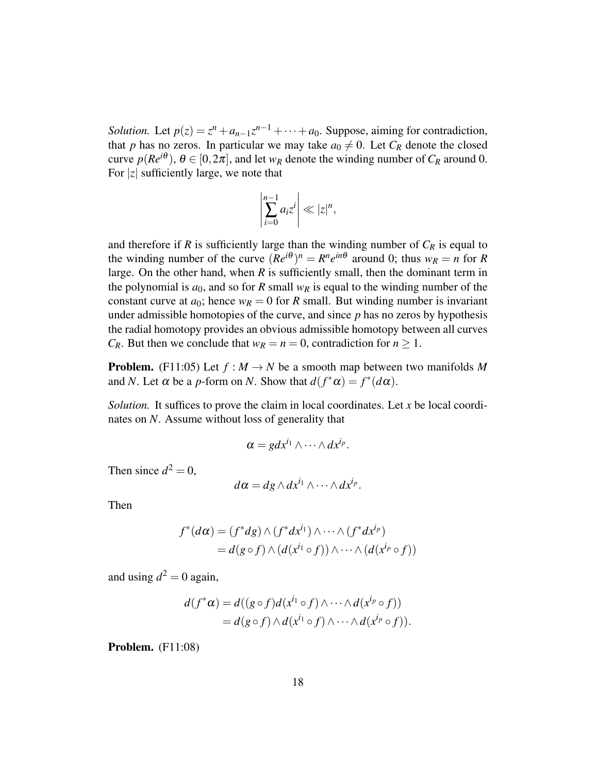*Solution.* Let  $p(z) = z^n + a_{n-1}z^{n-1} + \cdots + a_0$ . Suppose, aiming for contradiction, that *p* has no zeros. In particular we may take  $a_0 \neq 0$ . Let  $C_R$  denote the closed curve  $p(Re^{i\theta})$ ,  $\theta \in [0, 2\pi]$ , and let  $w_R$  denote the winding number of  $C_R$  around 0. For |*z*| sufficiently large, we note that

$$
\left|\sum_{i=0}^{n-1}a_iz^i\right|\ll|z|^n,
$$

and therefore if  $R$  is sufficiently large than the winding number of  $C_R$  is equal to the winding number of the curve  $(Re^{i\theta})^n = R^n e^{in\theta}$  around 0; thus  $w_R = n$  for R large. On the other hand, when *R* is sufficiently small, then the dominant term in the polynomial is  $a_0$ , and so for *R* small  $w_R$  is equal to the winding number of the constant curve at  $a_0$ ; hence  $w_R = 0$  for R small. But winding number is invariant under admissible homotopies of the curve, and since *p* has no zeros by hypothesis the radial homotopy provides an obvious admissible homotopy between all curves *C<sub>R</sub>*. But then we conclude that  $w_R = n = 0$ , contradiction for  $n \ge 1$ .

**Problem.** (F11:05) Let  $f : M \to N$  be a smooth map between two manifolds M and *N*. Let  $\alpha$  be a *p*-form on *N*. Show that  $d(f^*\alpha) = f^*(d\alpha)$ .

*Solution.* It suffices to prove the claim in local coordinates. Let *x* be local coordinates on *N*. Assume without loss of generality that

$$
\alpha = g dx^{i_1} \wedge \cdots \wedge dx^{i_p}.
$$

Then since  $d^2 = 0$ ,

$$
d\alpha = dg \wedge dx^{i_1} \wedge \cdots \wedge dx^{i_p}.
$$

Then

$$
f^*(d\alpha) = (f^*dg) \wedge (f^*dx^{i_1}) \wedge \cdots \wedge (f^*dx^{i_p})
$$
  
=  $d(g \circ f) \wedge (d(x^{i_1} \circ f)) \wedge \cdots \wedge (d(x^{i_p} \circ f))$ 

and using  $d^2 = 0$  again,

$$
d(f^*\alpha) = d((g \circ f)d(x^{i_1} \circ f) \wedge \cdots \wedge d(x^{i_p} \circ f))
$$
  
= 
$$
d(g \circ f) \wedge d(x^{i_1} \circ f) \wedge \cdots \wedge d(x^{i_p} \circ f)).
$$

**Problem.** (F11:08)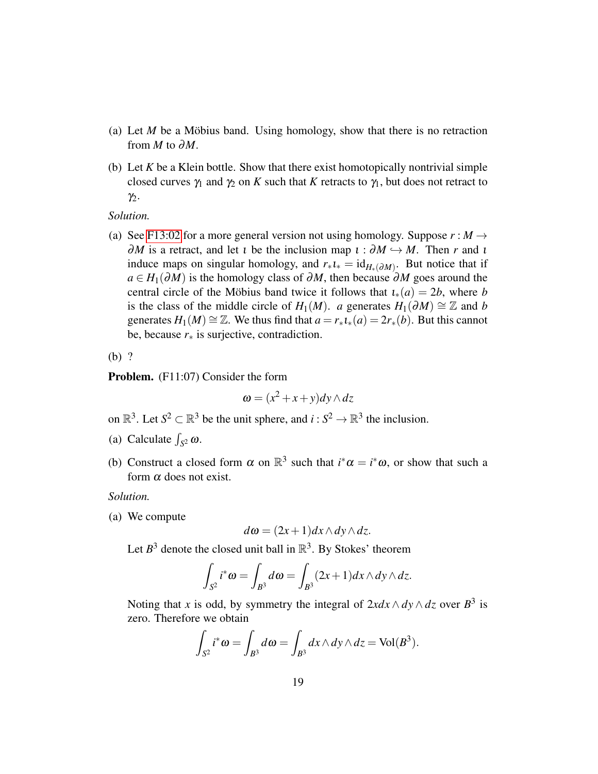- (a) Let  $M$  be a Möbius band. Using homology, show that there is no retraction from  $M$  to  $\partial M$ .
- (b) Let *K* be a Klein bottle. Show that there exist homotopically nontrivial simple closed curves  $\gamma_1$  and  $\gamma_2$  on *K* such that *K* retracts to  $\gamma_1$ , but does not retract to  $\gamma_2$ .

*Solution.*

(a) See [F13:02](#page-29-0) for a more general version not using homology. Suppose  $r : M \rightarrow$  $\partial M$  is a retract, and let *i* be the inclusion map  $\iota : \partial M \hookrightarrow M$ . Then *r* and *i* induce maps on singular homology, and  $r_*i_* = id_{H_*(\partial M)}$ . But notice that if  $a \in H_1(\partial M)$  is the homology class of  $\partial M$ , then because  $\partial M$  goes around the central circle of the Möbius band twice it follows that  $i_*(a) = 2b$ , where *b* is the class of the middle circle of *H*<sub>1</sub>(*M*). *a* generates *H*<sub>1</sub>( $\partial M$ ) ≅ Z and *b* generates  $H_1(M) \cong \mathbb{Z}$ . We thus find that  $a = r_*i_*(a) = 2r_*(b)$ . But this cannot be, because  $r<sub>*</sub>$  is surjective, contradiction.

(b) ?

Problem. (F11:07) Consider the form

$$
\boldsymbol{\omega} = (x^2 + x + y)dy \wedge dz
$$

on  $\mathbb{R}^3$ . Let  $S^2 \subset \mathbb{R}^3$  be the unit sphere, and  $i: S^2 \to \mathbb{R}^3$  the inclusion.

- (a) Calculate  $\int_{S^2} \omega$ .
- (b) Construct a closed form  $\alpha$  on  $\mathbb{R}^3$  such that  $i^* \alpha = i^* \omega$ , or show that such a form  $\alpha$  does not exist.

*Solution.*

(a) We compute

$$
d\omega = (2x+1)dx \wedge dy \wedge dz.
$$

Let  $B^3$  denote the closed unit ball in  $\mathbb{R}^3$ . By Stokes' theorem

$$
\int_{S^2} i^*\omega = \int_{B^3} d\omega = \int_{B^3} (2x+1) dx \wedge dy \wedge dz.
$$

Noting that *x* is odd, by symmetry the integral of  $2xdx \wedge dy \wedge dz$  over  $B^3$  is zero. Therefore we obtain

$$
\int_{S^2} i^* \omega = \int_{B^3} d\omega = \int_{B^3} dx \wedge dy \wedge dz = \text{Vol}(B^3).
$$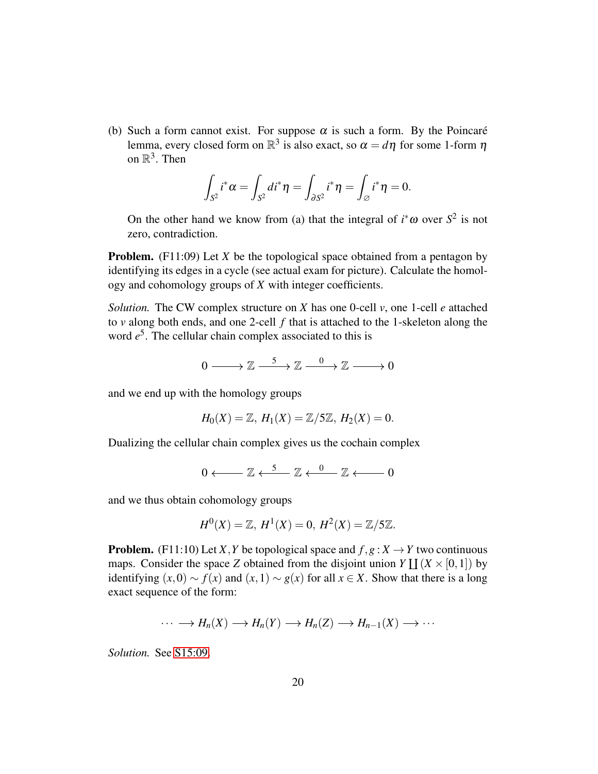(b) Such a form cannot exist. For suppose  $\alpha$  is such a form. By the Poincaré lemma, every closed form on  $\mathbb{R}^3$  is also exact, so  $\alpha = d\eta$  for some 1-form  $\eta$ on  $\mathbb{R}^3$ . Then

$$
\int_{S^2} i^* \alpha = \int_{S^2} di^* \eta = \int_{\partial S^2} i^* \eta = \int_{\varnothing} i^* \eta = 0.
$$

On the other hand we know from (a) that the integral of  $i^* \omega$  over  $S^2$  is not zero, contradiction.

**Problem.** (F11:09) Let *X* be the topological space obtained from a pentagon by identifying its edges in a cycle (see actual exam for picture). Calculate the homology and cohomology groups of *X* with integer coefficients.

*Solution.* The CW complex structure on *X* has one 0-cell *v*, one 1-cell *e* attached to *v* along both ends, and one 2-cell *f* that is attached to the 1-skeleton along the word  $e^5$ . The cellular chain complex associated to this is

$$
0\longrightarrow \mathbb{Z}\stackrel{5}{\longrightarrow}\mathbb{Z}\stackrel{0}{\longrightarrow}\mathbb{Z}\stackrel{0}{\longrightarrow}0
$$

and we end up with the homology groups

$$
H_0(X) = \mathbb{Z}, H_1(X) = \mathbb{Z}/5\mathbb{Z}, H_2(X) = 0.
$$

Dualizing the cellular chain complex gives us the cochain complex

$$
0 \longleftarrow \mathbb{Z} \xleftarrow{5} \mathbb{Z} \xleftarrow{0} \mathbb{Z} \xleftarrow{0} 0
$$

and we thus obtain cohomology groups

$$
H^{0}(X) = \mathbb{Z}, H^{1}(X) = 0, H^{2}(X) = \mathbb{Z}/5\mathbb{Z}.
$$

**Problem.** (F11:10) Let *X*, *Y* be topological space and  $f, g: X \to Y$  two continuous maps. Consider the space *Z* obtained from the disjoint union  $Y \coprod (X \times [0,1])$  by identifying  $(x,0)$  ∼  $f(x)$  and  $(x,1)$  ∼  $g(x)$  for all  $x \in X$ . Show that there is a long exact sequence of the form:

$$
\cdots \longrightarrow H_n(X) \longrightarrow H_n(Y) \longrightarrow H_n(Z) \longrightarrow H_{n-1}(X) \longrightarrow \cdots
$$

*Solution.* See [S15:09.](#page-51-0)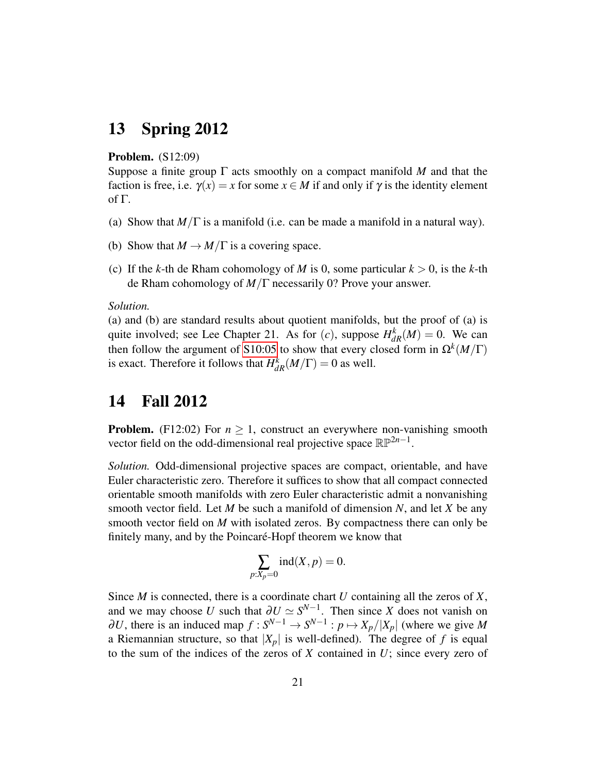# <span id="page-20-0"></span>13 Spring 2012

### Problem. (S12:09)

Suppose a finite group Γ acts smoothly on a compact manifold *M* and that the faction is free, i.e.  $\gamma(x) = x$  for some  $x \in M$  if and only if  $\gamma$  is the identity element of Γ.

- (a) Show that  $M/\Gamma$  is a manifold (i.e. can be made a manifold in a natural way).
- (b) Show that  $M \to M/\Gamma$  is a covering space.
- (c) If the *k*-th de Rham cohomology of *M* is 0, some particular  $k > 0$ , is the *k*-th de Rham cohomology of *M*/Γ necessarily 0? Prove your answer.

### *Solution.*

(a) and (b) are standard results about quotient manifolds, but the proof of (a) is quite involved; see Lee Chapter 21. As for  $(c)$ , suppose  $H_{dR}^k(M) = 0$ . We can then follow the argument of [S10:05](#page-8-0) to show that every closed form in  $\Omega^k(M/\Gamma)$ is exact. Therefore it follows that  $H_{dR}^k(M/\Gamma) = 0$  as well.

# <span id="page-20-1"></span>14 Fall 2012

**Problem.** (F12:02) For  $n \ge 1$ , construct an everywhere non-vanishing smooth vector field on the odd-dimensional real projective space  $\mathbb{RP}^{2n-1}$ .

*Solution.* Odd-dimensional projective spaces are compact, orientable, and have Euler characteristic zero. Therefore it suffices to show that all compact connected orientable smooth manifolds with zero Euler characteristic admit a nonvanishing smooth vector field. Let *M* be such a manifold of dimension *N*, and let *X* be any smooth vector field on *M* with isolated zeros. By compactness there can only be finitely many, and by the Poincaré-Hopf theorem we know that

$$
\sum_{p:X_p=0} \operatorname{ind}(X,p) = 0.
$$

Since *M* is connected, there is a coordinate chart *U* containing all the zeros of *X*, and we may choose *U* such that  $\partial U \simeq S^{N-1}$ . Then since *X* does not vanish on  $\partial U$ , there is an induced map  $f: S^{N-1} \to S^{N-1}: p \mapsto X_p/|X_p|$  (where we give M a Riemannian structure, so that  $|X_p|$  is well-defined). The degree of f is equal to the sum of the indices of the zeros of *X* contained in *U*; since every zero of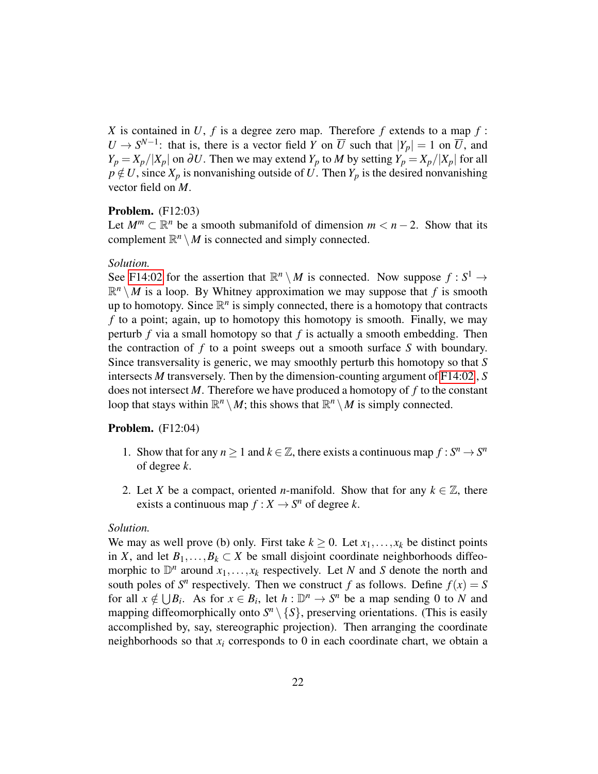*X* is contained in *U*, *f* is a degree zero map. Therefore *f* extends to a map *f* :  $U \to S^{N-1}$ : that is, there is a vector field *Y* on  $\overline{U}$  such that  $|Y_p| = 1$  on  $\overline{U}$ , and *Y*<sub>p</sub> = *X*<sub>p</sub>/|*X*<sub>p</sub>| on ∂*U*. Then we may extend *Y*<sub>p</sub> to *M* by setting *Y*<sub>p</sub> = *X*<sub>p</sub>/|*X*<sub>p</sub>| for all  $p \notin U$ , since  $X_p$  is nonvanishing outside of U. Then  $Y_p$  is the desired nonvanishing vector field on *M*.

### Problem. (F12:03)

Let  $M^m \subset \mathbb{R}^n$  be a smooth submanifold of dimension  $m < n - 2$ . Show that its complement  $\mathbb{R}^n \setminus M$  is connected and simply connected.

### *Solution.*

See [F14:02](#page-39-1) for the assertion that  $\mathbb{R}^n \setminus M$  is connected. Now suppose  $f : S^1 \to$  $\mathbb{R}^n \setminus M$  is a loop. By Whitney approximation we may suppose that *f* is smooth up to homotopy. Since  $\mathbb{R}^n$  is simply connected, there is a homotopy that contracts *f* to a point; again, up to homotopy this homotopy is smooth. Finally, we may perturb  $f$  via a small homotopy so that  $f$  is actually a smooth embedding. Then the contraction of *f* to a point sweeps out a smooth surface *S* with boundary. Since transversality is generic, we may smoothly perturb this homotopy so that *S* intersects *M* transversely. Then by the dimension-counting argument of [F14:02](#page-39-1) , *S* does not intersect *M*. Therefore we have produced a homotopy of *f* to the constant loop that stays within  $\mathbb{R}^n \setminus M$ ; this shows that  $\mathbb{R}^n \setminus M$  is simply connected.

#### **Problem.** (F12:04)

- 1. Show that for any  $n \geq 1$  and  $k \in \mathbb{Z}$ , there exists a continuous map  $f : S^n \to S^n$ of degree *k*.
- 2. Let *X* be a compact, oriented *n*-manifold. Show that for any  $k \in \mathbb{Z}$ , there exists a continuous map  $f: X \to S^n$  of degree *k*.

#### *Solution.*

We may as well prove (b) only. First take  $k \geq 0$ . Let  $x_1, \ldots, x_k$  be distinct points in *X*, and let  $B_1, \ldots, B_k \subset X$  be small disjoint coordinate neighborhoods diffeomorphic to  $\mathbb{D}^n$  around  $x_1, \ldots, x_k$  respectively. Let *N* and *S* denote the north and south poles of  $S<sup>n</sup>$  respectively. Then we construct *f* as follows. Define  $f(x) = S$ for all  $x \notin \bigcup B_i$ . As for  $x \in B_i$ , let  $h : \mathbb{D}^n \to S^n$  be a map sending 0 to *N* and mapping diffeomorphically onto  $S<sup>n</sup> \setminus \{S\}$ , preserving orientations. (This is easily accomplished by, say, stereographic projection). Then arranging the coordinate neighborhoods so that  $x_i$  corresponds to 0 in each coordinate chart, we obtain a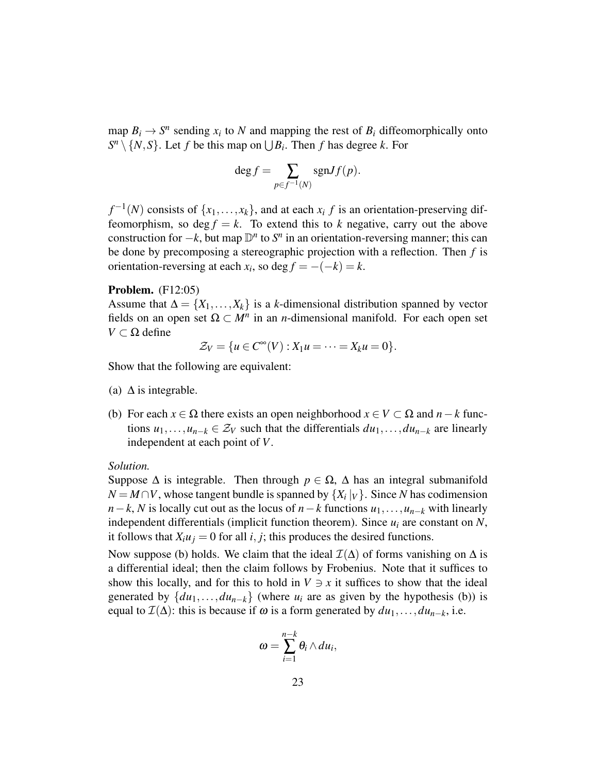map  $B_i \to S^n$  sending  $x_i$  to *N* and mapping the rest of  $B_i$  diffeomorphically onto  $S^n \setminus \{N, S\}$ . Let *f* be this map on  $\bigcup B_i$ . Then *f* has degree *k*. For

$$
\deg f = \sum_{p \in f^{-1}(N)} \text{sgn} Jf(p).
$$

 $f^{-1}(N)$  consists of  $\{x_1, \ldots, x_k\}$ , and at each  $x_i \, f$  is an orientation-preserving diffeomorphism, so  $\deg f = k$ . To extend this to *k* negative, carry out the above construction for  $-k$ , but map  $\mathbb{D}^n$  to  $S^n$  in an orientation-reversing manner; this can be done by precomposing a stereographic projection with a reflection. Then *f* is orientation-reversing at each  $x_i$ , so deg  $f = -(-k) = k$ .

### Problem. (F12:05)

Assume that  $\Delta = \{X_1, \ldots, X_k\}$  is a *k*-dimensional distribution spanned by vector fields on an open set  $\Omega \subset M^n$  in an *n*-dimensional manifold. For each open set  $V ⊂ Ω$  define

$$
\mathcal{Z}_V = \{u \in C^\infty(V) : X_1u = \cdots = X_ku = 0\}.
$$

Show that the following are equivalent:

- (a)  $\Delta$  is integrable.
- (b) For each  $x \in \Omega$  there exists an open neighborhood  $x \in V \subset \Omega$  and  $n k$  functions  $u_1, \ldots, u_{n-k} \in \mathcal{Z}_V$  such that the differentials  $du_1, \ldots, du_{n-k}$  are linearly independent at each point of *V*.

#### *Solution.*

Suppose  $\Delta$  is integrable. Then through  $p \in \Omega$ ,  $\Delta$  has an integral submanifold  $N = M \cap V$ , whose tangent bundle is spanned by  $\{X_i | V\}$ . Since *N* has codimension  $n-k$ , *N* is locally cut out as the locus of  $n-k$  functions  $u_1, \ldots, u_{n-k}$  with linearly independent differentials (implicit function theorem). Since *u<sup>i</sup>* are constant on *N*, it follows that  $X_i u_j = 0$  for all *i*, *j*; this produces the desired functions.

Now suppose (b) holds. We claim that the ideal  $\mathcal{I}(\Delta)$  of forms vanishing on  $\Delta$  is a differential ideal; then the claim follows by Frobenius. Note that it suffices to show this locally, and for this to hold in  $V \ni x$  it suffices to show that the ideal generated by  $\{du_1, \ldots, du_{n-k}\}$  (where  $u_i$  are as given by the hypothesis (b)) is equal to  $\mathcal{I}(\Delta)$ : this is because if  $\omega$  is a form generated by  $du_1, \ldots, du_{n-k}$ , i.e.

$$
\omega=\sum_{i=1}^{n-k}\theta_i\wedge du_i,
$$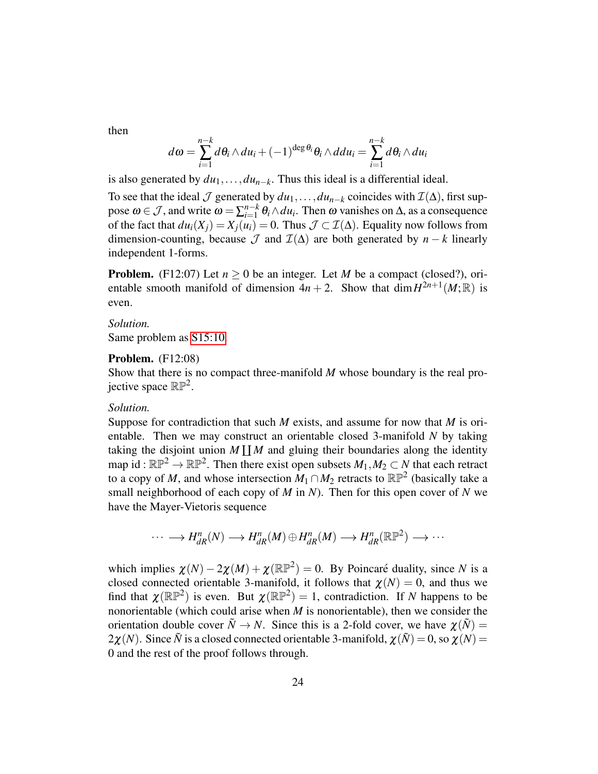then

$$
d\omega = \sum_{i=1}^{n-k} d\theta_i \wedge du_i + (-1)^{\deg \theta_i} \theta_i \wedge ddu_i = \sum_{i=1}^{n-k} d\theta_i \wedge du_i
$$

is also generated by  $du_1, \ldots, du_{n-k}$ . Thus this ideal is a differential ideal.

To see that the ideal  $\mathcal J$  generated by  $du_1, \ldots, du_{n-k}$  coincides with  $\mathcal I(\Delta)$ , first suppose  $\omega \in \mathcal{J}$ , and write  $\omega = \sum_{i=1}^{n-k}$  $\lim_{i=1}^{n-k} \theta_i \wedge du_i$ . Then  $\omega$  vanishes on  $\Delta$ , as a consequence of the fact that  $du_i(X_i) = X_i(u_i) = 0$ . Thus  $\mathcal{J} \subset \mathcal{I}(\Delta)$ . Equality now follows from dimension-counting, because  $\mathcal J$  and  $\mathcal I(\Delta)$  are both generated by  $n - k$  linearly independent 1-forms.

**Problem.** (F12:07) Let  $n \ge 0$  be an integer. Let *M* be a compact (closed?), orientable smooth manifold of dimension  $4n + 2$ . Show that  $\dim H^{2n+1}(M;\mathbb{R})$  is even.

#### *Solution.*

Same problem as [S15:10.](#page-51-0)

### **Problem.** (F12:08)

Show that there is no compact three-manifold *M* whose boundary is the real projective space  $\mathbb{RP}^2$ .

### *Solution.*

Suppose for contradiction that such *M* exists, and assume for now that *M* is orientable. Then we may construct an orientable closed 3-manifold *N* by taking taking the disjoint union  $M \coprod M$  and gluing their boundaries along the identity map id:  $\mathbb{RP}^2 \to \mathbb{RP}^2$ . Then there exist open subsets  $M_1, M_2 \subset N$  that each retract to a copy of *M*, and whose intersection  $M_1 \cap M_2$  retracts to  $\mathbb{RP}^2$  (basically take a small neighborhood of each copy of *M* in *N*). Then for this open cover of *N* we have the Mayer-Vietoris sequence

$$
\cdots \longrightarrow H_{dR}^n(N) \longrightarrow H_{dR}^n(M) \oplus H_{dR}^n(M) \longrightarrow H_{dR}^n(\mathbb{RP}^2) \longrightarrow \cdots
$$

which implies  $\chi(N) - 2\chi(M) + \chi(\mathbb{RP}^2) = 0$ . By Poincaré duality, since N is a closed connected orientable 3-manifold, it follows that  $\chi(N) = 0$ , and thus we find that  $\chi(\mathbb{RP}^2)$  is even. But  $\chi(\mathbb{RP}^2) = 1$ , contradiction. If *N* happens to be nonorientable (which could arise when *M* is nonorientable), then we consider the orientation double cover  $\tilde{N} \to N$ . Since this is a 2-fold cover, we have  $\chi(\tilde{N}) =$  $2\chi(N)$ . Since  $\tilde{N}$  is a closed connected orientable 3-manifold,  $\chi(\tilde{N}) = 0$ , so  $\chi(N) = 0$ 0 and the rest of the proof follows through.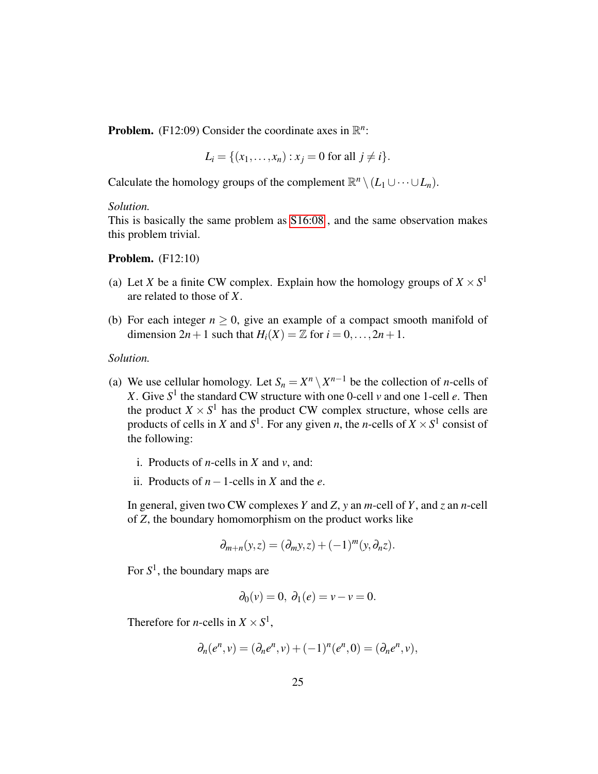**Problem.** (F12:09) Consider the coordinate axes in  $\mathbb{R}^n$ :

$$
L_i = \{(x_1, ..., x_n) : x_j = 0 \text{ for all } j \neq i\}.
$$

Calculate the homology groups of the complement  $\mathbb{R}^n \setminus (L_1 \cup \cdots \cup L_n)$ .

### *Solution.*

This is basically the same problem as [S16:08](#page-65-0) , and the same observation makes this problem trivial.

**Problem.** (F12:10)

- (a) Let *X* be a finite CW complex. Explain how the homology groups of  $X \times S^1$ are related to those of *X*.
- (b) For each integer  $n \geq 0$ , give an example of a compact smooth manifold of dimension  $2n+1$  such that  $H_i(X) = \mathbb{Z}$  for  $i = 0, \ldots, 2n+1$ .

#### *Solution.*

- (a) We use cellular homology. Let  $S_n = X^n \setminus X^{n-1}$  be the collection of *n*-cells of *X*. Give  $S^1$  the standard CW structure with one 0-cell *v* and one 1-cell *e*. Then the product  $X \times S^1$  has the product CW complex structure, whose cells are products of cells in *X* and  $S^1$ . For any given *n*, the *n*-cells of  $X \times S^1$  consist of the following:
	- i. Products of *n*-cells in *X* and *v*, and:
	- ii. Products of *n*−1-cells in *X* and the *e*.

In general, given two CW complexes *Y* and *Z*, *y* an *m*-cell of *Y*, and *z* an *n*-cell of *Z*, the boundary homomorphism on the product works like

$$
\partial_{m+n}(y,z)=(\partial_my,z)+(-1)^m(y,\partial_nz).
$$

For *S* 1 , the boundary maps are

$$
\partial_0(v) = 0, \ \partial_1(e) = v - v = 0.
$$

Therefore for *n*-cells in  $X \times S^1$ ,

$$
\partial_n(e^n, v) = (\partial_n e^n, v) + (-1)^n (e^n, 0) = (\partial_n e^n, v),
$$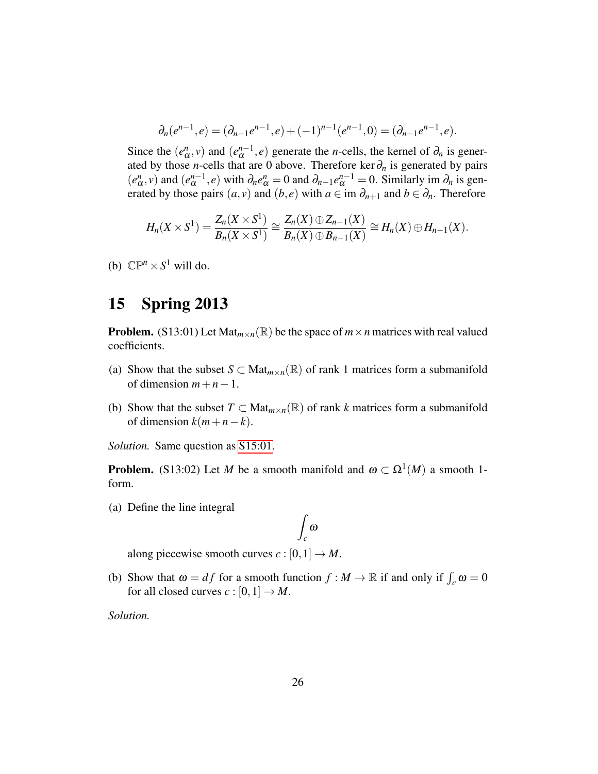$$
\partial_n(e^{n-1},e)=(\partial_{n-1}e^{n-1},e)+(-1)^{n-1}(e^{n-1},0)=(\partial_{n-1}e^{n-1},e).
$$

Since the  $(e^n$  $(\alpha_n^n, v)$  and  $(e_\alpha^{n-1}, e)$  generate the *n*-cells, the kernel of  $\partial_n$  is generated by those *n*-cells that are 0 above. Therefore ker $\partial_n$  is generated by pairs (*e n*  $(a_n^m, v)$  and  $(e_\alpha^{n-1}, e)$  with  $\partial_n e_\alpha^n = 0$  and  $\partial_{n-1} e_\alpha^{n-1} = 0$ . Similarly im  $\partial_n$  is generated by those pairs  $(a, v)$  and  $(b, e)$  with  $a \in \text{im } \partial_{n+1}$  and  $b \in \partial_n$ . Therefore

$$
H_n(X \times S^1) = \frac{Z_n(X \times S^1)}{B_n(X \times S^1)} \cong \frac{Z_n(X) \oplus Z_{n-1}(X)}{B_n(X) \oplus B_{n-1}(X)} \cong H_n(X) \oplus H_{n-1}(X).
$$

(b)  $\mathbb{CP}^n \times S^1$  will do.

# <span id="page-25-0"></span>15 Spring 2013

**Problem.** (S13:01) Let  $\text{Mat}_{m \times n}(\mathbb{R})$  be the space of  $m \times n$  matrices with real valued coefficients.

- (a) Show that the subset  $S \subset Mat_{m \times n}(\mathbb{R})$  of rank 1 matrices form a submanifold of dimension  $m+n-1$ .
- <span id="page-25-1"></span>(b) Show that the subset  $T \subset Mat_{m \times n}(\mathbb{R})$  of rank *k* matrices form a submanifold of dimension  $k(m+n-k)$ .

*Solution.* Same question as [S15:01.](#page-44-0)

**Problem.** (S13:02) Let *M* be a smooth manifold and  $\omega \subset \Omega^1(M)$  a smooth 1form.

(a) Define the line integral

$$
\int_{c} \omega
$$

along piecewise smooth curves  $c : [0,1] \rightarrow M$ .

(b) Show that  $\omega = df$  for a smooth function  $f : M \to \mathbb{R}$  if and only if  $\int_c \omega = 0$ for all closed curves  $c : [0,1] \rightarrow M$ .

*Solution.*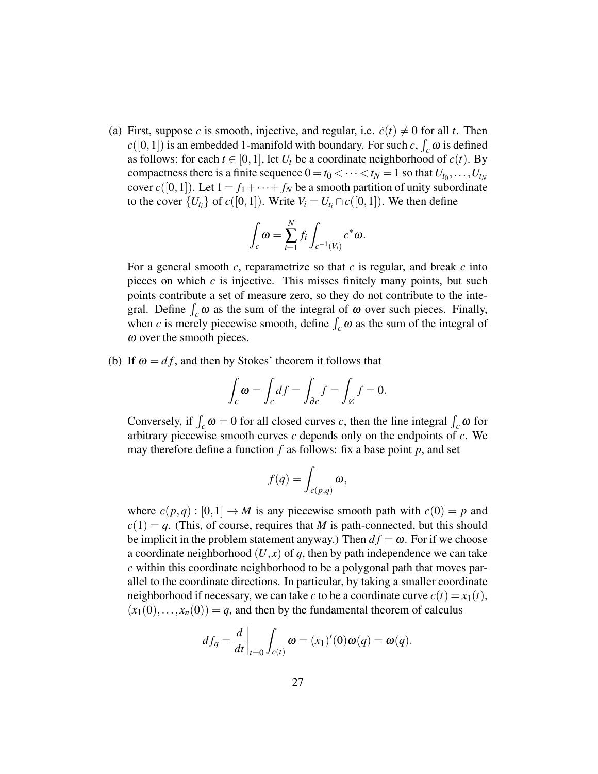(a) First, suppose *c* is smooth, injective, and regular, i.e.  $\dot{c}(t) \neq 0$  for all *t*. Then  $c([0,1])$  is an embedded 1-manifold with boundary. For such *c*,  $\int_c \omega$  is defined as follows: for each  $t \in [0,1]$ , let  $U_t$  be a coordinate neighborhood of  $c(t)$ . By compactness there is a finite sequence  $0 = t_0 < \cdots < t_N = 1$  so that  $U_{t_0}, \ldots, U_{t_N}$ cover  $c([0,1])$ . Let  $1 = f_1 + \cdots + f_N$  be a smooth partition of unity subordinate to the cover  $\{U_{t_i}\}$  of  $c([0,1])$ . Write  $V_i = U_{t_i} \cap c([0,1])$ . We then define

$$
\int_{c} \omega = \sum_{i=1}^{N} f_{i} \int_{c^{-1}(V_{i})} c^{*} \omega.
$$

For a general smooth *c*, reparametrize so that *c* is regular, and break *c* into pieces on which *c* is injective. This misses finitely many points, but such points contribute a set of measure zero, so they do not contribute to the integral. Define  $\int_c \omega$  as the sum of the integral of  $\omega$  over such pieces. Finally, when *c* is merely piecewise smooth, define  $\int_c \omega$  as the sum of the integral of ω over the smooth pieces.

(b) If  $\omega = df$ , and then by Stokes' theorem it follows that

$$
\int_{c} \omega = \int_{c} df = \int_{\partial c} f = \int_{\varnothing} f = 0.
$$

Conversely, if  $\int_c \omega = 0$  for all closed curves *c*, then the line integral  $\int_c \omega$  for arbitrary piecewise smooth curves *c* depends only on the endpoints of *c*. We may therefore define a function *f* as follows: fix a base point *p*, and set

$$
f(q) = \int_{c(p,q)} \omega,
$$

where  $c(p,q): [0,1] \to M$  is any piecewise smooth path with  $c(0) = p$  and  $c(1) = q$ . (This, of course, requires that *M* is path-connected, but this should be implicit in the problem statement anyway.) Then  $df = \omega$ . For if we choose a coordinate neighborhood  $(U, x)$  of q, then by path independence we can take *c* within this coordinate neighborhood to be a polygonal path that moves parallel to the coordinate directions. In particular, by taking a smaller coordinate neighborhood if necessary, we can take *c* to be a coordinate curve  $c(t) = x_1(t)$ ,  $(x_1(0),...,x_n(0)) = q$ , and then by the fundamental theorem of calculus

$$
df_q = \frac{d}{dt}\bigg|_{t=0} \int_{c(t)} \omega = (x_1)'(0)\omega(q) = \omega(q).
$$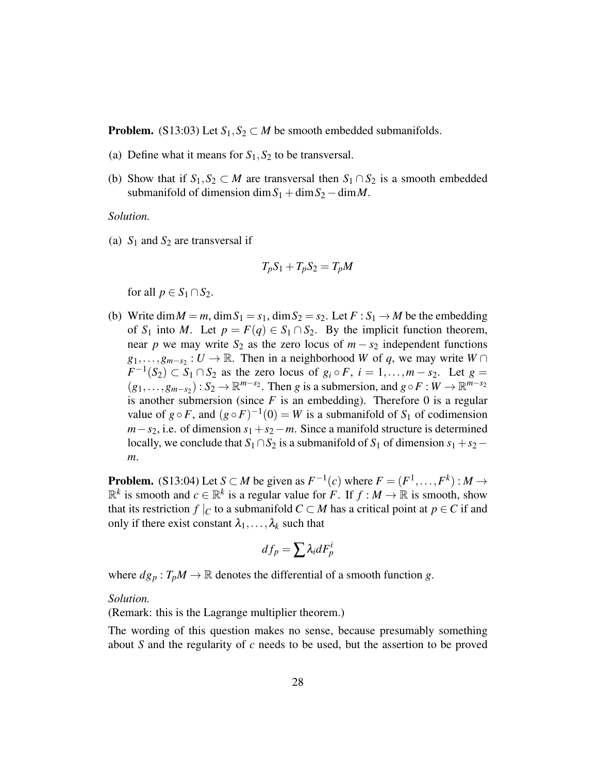**Problem.** (S13:03) Let  $S_1, S_2 \subset M$  be smooth embedded submanifolds.

- (a) Define what it means for  $S_1$ ,  $S_2$  to be transversal.
- (b) Show that if  $S_1, S_2 \subset M$  are transversal then  $S_1 \cap S_2$  is a smooth embedded submanifold of dimension dim  $S_1 + \text{dim} S_2 - \text{dim} M$ .

*Solution.*

(a)  $S_1$  and  $S_2$  are transversal if

$$
T_p S_1 + T_p S_2 = T_p M
$$

for all  $p \in S_1 \cap S_2$ .

<span id="page-27-0"></span>(b) Write dim  $M = m$ , dim  $S_1 = s_1$ , dim  $S_2 = s_2$ . Let  $F : S_1 \rightarrow M$  be the embedding of *S*<sub>1</sub> into *M*. Let  $p = F(q) \in S_1 \cap S_2$ . By the implicit function theorem, near *p* we may write  $S_2$  as the zero locus of  $m - s_2$  independent functions  $g_1, \ldots, g_{m-s_2} : U \to \mathbb{R}$ . Then in a neighborhood *W* of *q*, we may write  $W \cap$  $F^{-1}(S_2) \subset S_1 \cap S_2$  as the zero locus of  $g_i \circ F$ ,  $i = 1, \ldots, m - s_2$ . Let  $g =$  $(g_1, \ldots, g_{m-s_2}) : S_2 \to \mathbb{R}^{m-s_2}$ . Then *g* is a submersion, and  $g \circ F : W \to \mathbb{R}^{m-s_2}$ is another submersion (since  $F$  is an embedding). Therefore 0 is a regular value of  $g \circ F$ , and  $(g \circ F)^{-1}(0) = W$  is a submanifold of  $S_1$  of codimension  $m-s_2$ , i.e. of dimension  $s_1+s_2-m$ . Since a manifold structure is determined locally, we conclude that  $S_1 \cap S_2$  is a submanifold of  $S_1$  of dimension  $s_1 + s_2$  − *m*.

**Problem.** (S13:04) Let *S*  $\subset M$  be given as  $F^{-1}(c)$  where  $F = (F^1, \ldots, F^k) : M \to$  $\mathbb{R}^k$  is smooth and  $c \in \mathbb{R}^k$  is a regular value for *F*. If  $f : M \to \mathbb{R}$  is smooth, show that its restriction *f*  $|C|$  to a submanifold  $C \subset M$  has a critical point at  $p \in C$  if and only if there exist constant  $\lambda_1, \ldots, \lambda_k$  such that

$$
df_p = \sum \lambda_i dF_p^i
$$

where  $dg_p: T_pM \to \mathbb{R}$  denotes the differential of a smooth function *g*.

### *Solution.*

(Remark: this is the Lagrange multiplier theorem.)

The wording of this question makes no sense, because presumably something about *S* and the regularity of *c* needs to be used, but the assertion to be proved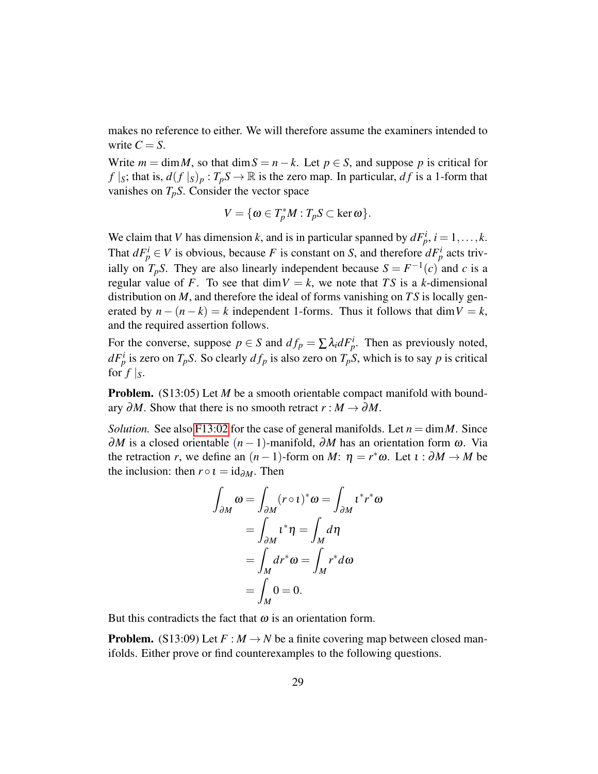makes no reference to either. We will therefore assume the examiners intended to write  $C = S$ .

Write  $m = \dim M$ , so that  $\dim S = n - k$ . Let  $p \in S$ , and suppose p is critical for *f*  $|s|$ ; that is,  $d(f|s)p : T_pS \to \mathbb{R}$  is the zero map. In particular, *df* is a 1-form that vanishes on  $T_pS$ . Consider the vector space

$$
V = \{ \omega \in T_p^*M : T_pS \subset \ker \omega \}.
$$

We claim that *V* has dimension *k*, and is in particular spanned by  $dF_p^i$ ,  $i = 1, ..., k$ . That  $dF_p^i \in V$  is obvious, because *F* is constant on *S*, and therefore  $dF_p^i$  acts trivially on  $T_pS$ . They are also linearly independent because  $S = F^{-1}(c)$  and *c* is a regular value of *F*. To see that  $\dim V = k$ , we note that *TS* is a *k*-dimensional distribution on *M*, and therefore the ideal of forms vanishing on *T S* is locally generated by  $n - (n - k) = k$  independent 1-forms. Thus it follows that dim  $V = k$ , and the required assertion follows.

For the converse, suppose  $p \in S$  and  $df_p = \sum \lambda_i dF^i_p$ . Then as previously noted,  $dF_p^i$  is zero on  $T_pS$ . So clearly  $df_p$  is also zero on  $T_pS$ , which is to say *p* is critical for  $f|_S$ .

**Problem.** (S13:05) Let *M* be a smooth orientable compact manifold with boundary  $\partial M$ . Show that there is no smooth retract  $r : M \to \partial M$ .

*Solution.* See also [F13:02](#page-29-0) for the case of general manifolds. Let  $n = \dim M$ . Since  $\partial M$  is a closed orientable  $(n-1)$ -manifold,  $\partial M$  has an orientation form  $\omega$ . Via the retraction *r*, we define an  $(n-1)$ -form on *M*:  $\eta = r^* \omega$ . Let  $\iota : \partial M \to M$  be the inclusion: then  $r \circ i = id_{\partial M}$ . Then

$$
\int_{\partial M} \omega = \int_{\partial M} (r \circ t)^* \omega = \int_{\partial M} t^* r^* \omega
$$

$$
= \int_{\partial M} t^* \eta = \int_M d\eta
$$

$$
= \int_M dr^* \omega = \int_M r^* d\omega
$$

$$
= \int_M 0 = 0.
$$

But this contradicts the fact that  $\omega$  is an orientation form.

**Problem.** (S13:09) Let  $F : M \to N$  be a finite covering map between closed manifolds. Either prove or find counterexamples to the following questions.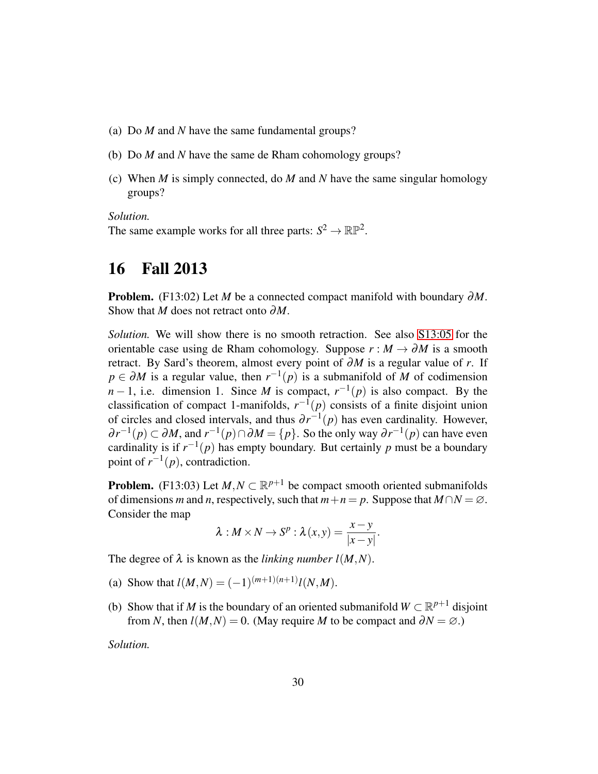- (a) Do *M* and *N* have the same fundamental groups?
- (b) Do *M* and *N* have the same de Rham cohomology groups?
- (c) When *M* is simply connected, do *M* and *N* have the same singular homology groups?

*Solution.*

The same example works for all three parts:  $S^2 \to \mathbb{RP}^2$ .

# <span id="page-29-0"></span>16 Fall 2013

Problem. (F13:02) Let *M* be a connected compact manifold with boundary ∂*M*. Show that *M* does not retract onto ∂*M*.

*Solution.* We will show there is no smooth retraction. See also [S13:05](#page-27-0) for the orientable case using de Rham cohomology. Suppose  $r : M \to \partial M$  is a smooth retract. By Sard's theorem, almost every point of ∂*M* is a regular value of *r*. If  $p \in \partial M$  is a regular value, then  $r^{-1}(p)$  is a submanifold of *M* of codimension *n* − 1, i.e. dimension 1. Since *M* is compact,  $r^{-1}(p)$  is also compact. By the classification of compact 1-manifolds,  $r^{-1}(p)$  consists of a finite disjoint union of circles and closed intervals, and thus  $\partial r^{-1}(p)$  has even cardinality. However,  $\partial r^{-1}(p) \subset \partial M$ , and  $r^{-1}(p) \cap \partial M = \{p\}$ . So the only way  $\partial r^{-1}(p)$  can have even cardinality is if  $r^{-1}(p)$  has empty boundary. But certainly p must be a boundary point of  $r^{-1}(p)$ , contradiction.

**Problem.** (F13:03) Let  $M, N \subset \mathbb{R}^{p+1}$  be compact smooth oriented submanifolds of dimensions *m* and *n*, respectively, such that  $m+n = p$ . Suppose that  $M \cap N = \emptyset$ . Consider the map

$$
\lambda: M \times N \to S^p : \lambda(x, y) = \frac{x - y}{|x - y|}.
$$

The degree of  $\lambda$  is known as the *linking number l(M,N)*.

- (a) Show that  $l(M,N) = (-1)^{(m+1)(n+1)} l(N,M)$ .
- (b) Show that if *M* is the boundary of an oriented submanifold  $W \subset \mathbb{R}^{p+1}$  disjoint from *N*, then  $l(M,N) = 0$ . (May require *M* to be compact and  $\partial N = \emptyset$ .)

*Solution.*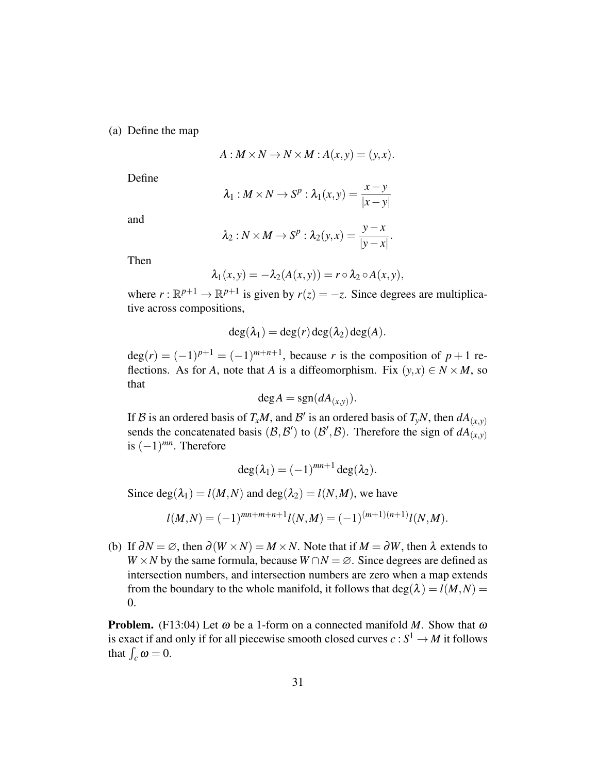(a) Define the map

$$
A: M \times N \to N \times M : A(x, y) = (y, x).
$$

Define

$$
\lambda_1: M \times N \to S^p: \lambda_1(x, y) = \frac{x - y}{|x - y|}
$$

and

$$
\lambda_2: N \times M \to S^p: \lambda_2(y, x) = \frac{y - x}{|y - x|}.
$$

Then

$$
\lambda_1(x,y) = -\lambda_2(A(x,y)) = r \circ \lambda_2 \circ A(x,y),
$$

where  $r : \mathbb{R}^{p+1} \to \mathbb{R}^{p+1}$  is given by  $r(z) = -z$ . Since degrees are multiplicative across compositions,

$$
\deg(\lambda_1) = \deg(r) \deg(\lambda_2) \deg(A).
$$

 $deg(r) = (-1)^{p+1} = (-1)^{m+n+1}$ , because *r* is the composition of  $p+1$  reflections. As for *A*, note that *A* is a diffeomorphism. Fix  $(y, x) \in N \times M$ , so that

$$
\deg A = \text{sgn}(dA_{(x,y)}).
$$

If B is an ordered basis of  $T_xM$ , and B' is an ordered basis of  $T_yN$ , then  $dA_{(x,y)}$ sends the concatenated basis  $(\mathcal{B}, \mathcal{B}')$  to  $(\mathcal{B}', \mathcal{B})$ . Therefore the sign of  $dA_{(x,y)}^{(x)}$ is  $(-1)^{mn}$ . Therefore

$$
\deg(\lambda_1) = (-1)^{mn+1} \deg(\lambda_2).
$$

Since  $deg(\lambda_1) = l(M,N)$  and  $deg(\lambda_2) = l(N,M)$ , we have

$$
l(M,N) = (-1)^{mn+m+n+1} l(N,M) = (-1)^{(m+1)(n+1)} l(N,M).
$$

<span id="page-30-0"></span>(b) If  $\partial N = \emptyset$ , then  $\partial (W \times N) = M \times N$ . Note that if  $M = \partial W$ , then  $\lambda$  extends to *W* × *N* by the same formula, because  $W \cap N = \emptyset$ . Since degrees are defined as intersection numbers, and intersection numbers are zero when a map extends from the boundary to the whole manifold, it follows that  $deg(\lambda) = l(M,N)$ 0.

**Problem.** (F13:04) Let  $\omega$  be a 1-form on a connected manifold *M*. Show that  $\omega$ is exact if and only if for all piecewise smooth closed curves  $c : S^1 \to M$  it follows that  $\int_c \omega = 0$ .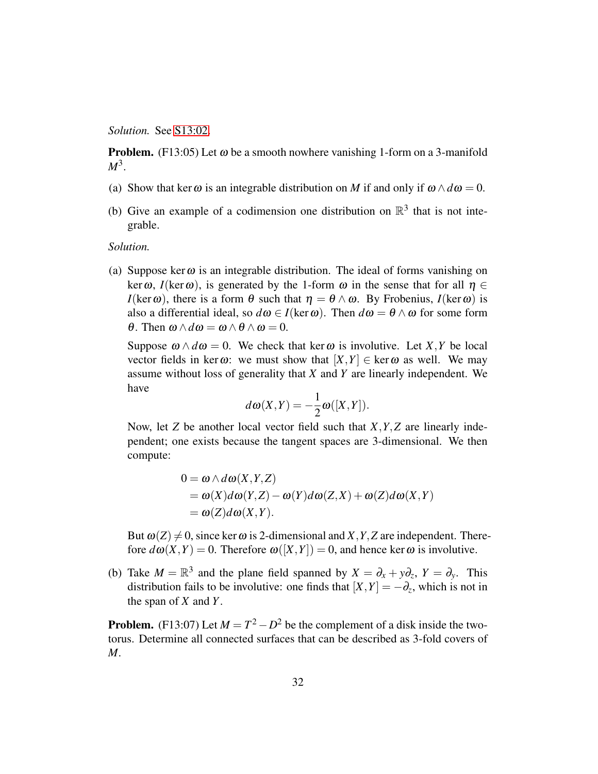*Solution.* See [S13:02.](#page-25-1)

**Problem.** (F13:05) Let  $\omega$  be a smooth nowhere vanishing 1-form on a 3-manifold *M*<sup>3</sup> .

- (a) Show that ker  $\omega$  is an integrable distribution on *M* if and only if  $\omega \wedge d\omega = 0$ .
- (b) Give an example of a codimension one distribution on  $\mathbb{R}^3$  that is not integrable.

*Solution.*

(a) Suppose ker $\omega$  is an integrable distribution. The ideal of forms vanishing on ker  $\omega$ , *I*(ker  $\omega$ ), is generated by the 1-form  $\omega$  in the sense that for all  $\eta \in$ *I*(ker  $\omega$ ), there is a form  $\theta$  such that  $\eta = \theta \wedge \omega$ . By Frobenius, *I*(ker  $\omega$ ) is also a differential ideal, so  $d\omega \in I(\ker \omega)$ . Then  $d\omega = \theta \wedge \omega$  for some form θ. Then  $ω \land dω = ω \land θ \land ω = 0$ .

Suppose  $\omega \wedge d\omega = 0$ . We check that ker  $\omega$  is involutive. Let *X*, *Y* be local vector fields in ker $\omega$ : we must show that  $[X, Y] \in \text{ker } \omega$  as well. We may assume without loss of generality that *X* and *Y* are linearly independent. We have

$$
d\omega(X,Y) = -\frac{1}{2}\omega([X,Y]).
$$

Now, let *Z* be another local vector field such that *X*,*Y*,*Z* are linearly independent; one exists because the tangent spaces are 3-dimensional. We then compute:

$$
0 = \omega \wedge d\omega(X, Y, Z)
$$
  
=  $\omega(X)d\omega(Y, Z) - \omega(Y)d\omega(Z, X) + \omega(Z)d\omega(X, Y)$   
=  $\omega(Z)d\omega(X, Y)$ .

But  $\omega(Z) \neq 0$ , since ker  $\omega$  is 2-dimensional and *X*, *Y*, *Z* are independent. Therefore  $d\omega(X,Y) = 0$ . Therefore  $\omega([X,Y]) = 0$ , and hence ker  $\omega$  is involutive.

(b) Take  $M = \mathbb{R}^3$  and the plane field spanned by  $X = \partial_x + y \partial_z$ ,  $Y = \partial_y$ . This distribution fails to be involutive: one finds that  $[X, Y] = -\partial_z$ , which is not in the span of *X* and *Y*.

**Problem.** (F13:07) Let  $M = T^2 - D^2$  be the complement of a disk inside the twotorus. Determine all connected surfaces that can be described as 3-fold covers of *M*.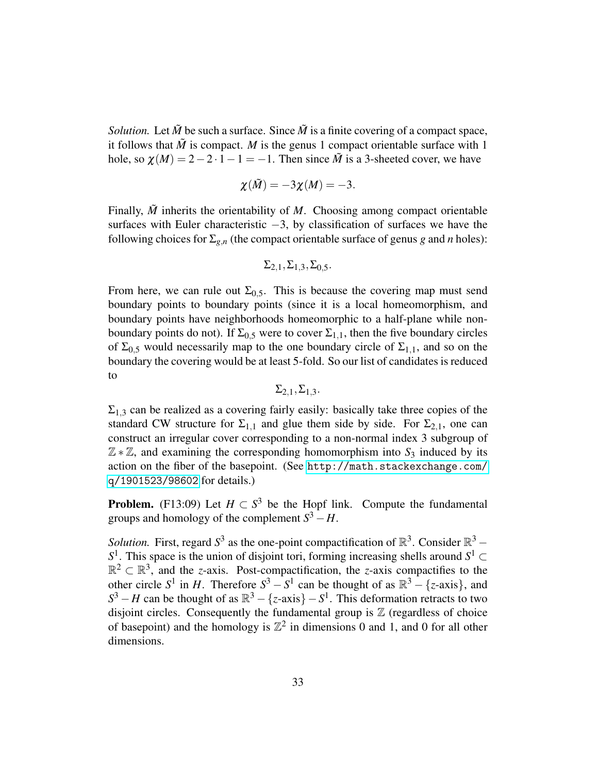*Solution.* Let  $\tilde{M}$  be such a surface. Since  $\tilde{M}$  is a finite covering of a compact space, it follows that  $\tilde{M}$  is compact. *M* is the genus 1 compact orientable surface with 1 hole, so  $\chi(M) = 2 - 2 \cdot 1 - 1 = -1$ . Then since  $\tilde{M}$  is a 3-sheeted cover, we have

$$
\chi(\tilde{M})=-3\chi(M)=-3.
$$

Finally, *M* inherits the orientability of *M*. Choosing among compact orientable surfaces with Euler characteristic −3, by classification of surfaces we have the following choices for  $\Sigma_{g,n}$  (the compact orientable surface of genus *g* and *n* holes):

$$
\Sigma_{2,1}, \Sigma_{1,3}, \Sigma_{0,5}.
$$

From here, we can rule out  $\Sigma_{0.5}$ . This is because the covering map must send boundary points to boundary points (since it is a local homeomorphism, and boundary points have neighborhoods homeomorphic to a half-plane while nonboundary points do not). If  $\Sigma_{0.5}$  were to cover  $\Sigma_{1.1}$ , then the five boundary circles of  $\Sigma_{0.5}$  would necessarily map to the one boundary circle of  $\Sigma_{1,1}$ , and so on the boundary the covering would be at least 5-fold. So our list of candidates is reduced to

 $\Sigma$ <sub>2,1</sub>, $\Sigma$ <sub>1,3</sub>.

 $\Sigma_{1,3}$  can be realized as a covering fairly easily: basically take three copies of the standard CW structure for  $\Sigma_{1,1}$  and glue them side by side. For  $\Sigma_{2,1}$ , one can construct an irregular cover corresponding to a non-normal index 3 subgroup of Z ∗ Z, and examining the corresponding homomorphism into *S*<sup>3</sup> induced by its action on the fiber of the basepoint. (See [http://math.stackexchange.com/](http://math.stackexchange.com/q/1901523/98602) [q/1901523/98602](http://math.stackexchange.com/q/1901523/98602) for details.)

**Problem.** (F13:09) Let  $H \subset S^3$  be the Hopf link. Compute the fundamental groups and homology of the complement  $S^3 - H$ .

*Solution*. First, regard  $S^3$  as the one-point compactification of  $\mathbb{R}^3$ . Consider  $\mathbb{R}^3$  – *S*<sup>1</sup>. This space is the union of disjoint tori, forming increasing shells around *S*<sup>1</sup> ⊂  $\mathbb{R}^2 \subset \mathbb{R}^3$ , and the *z*-axis. Post-compactification, the *z*-axis compactifies to the other circle  $S^1$  in *H*. Therefore  $S^3 - S^1$  can be thought of as  $\mathbb{R}^3 - \{z\}$ -axis}, and  $S^3 - H$  can be thought of as  $\mathbb{R}^3 - \{z\}$ -axis $\} - S^1$ . This deformation retracts to two disjoint circles. Consequently the fundamental group is  $\mathbb Z$  (regardless of choice of basepoint) and the homology is  $\mathbb{Z}^2$  in dimensions 0 and 1, and 0 for all other dimensions.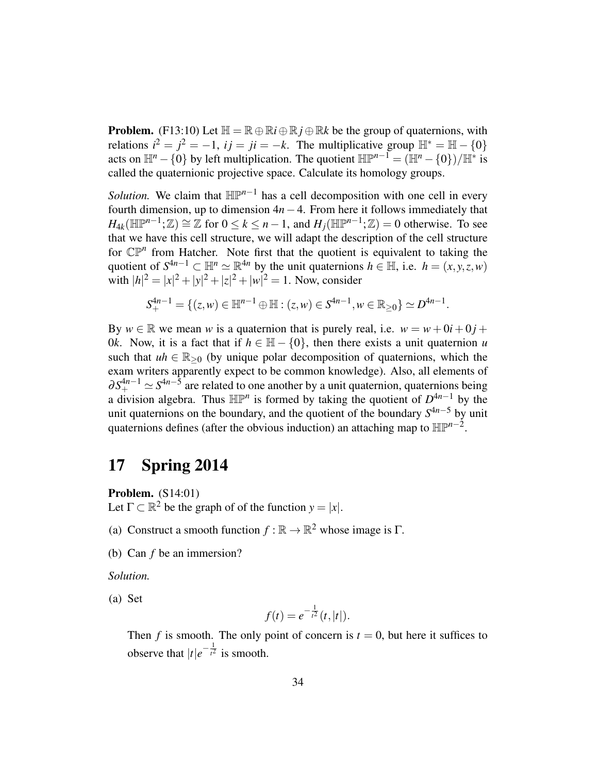**Problem.** (F13:10) Let  $\mathbb{H} = \mathbb{R} \oplus \mathbb{R}i \oplus \mathbb{R}j \oplus \mathbb{R}k$  be the group of quaternions, with relations  $i^2 = j^2 = -1$ ,  $ij = ji = -k$ . The multiplicative group  $\mathbb{H}^* = \mathbb{H} - \{0\}$ acts on  $\mathbb{H}^n - \{0\}$  by left multiplication. The quotient  $\mathbb{H}\mathbb{P}^{n-1} = (\mathbb{H}^n - \{0\})/\mathbb{H}^*$  is called the quaternionic projective space. Calculate its homology groups.

*Solution*. We claim that  $\mathbb{HP}^{n-1}$  has a cell decomposition with one cell in every fourth dimension, up to dimension  $4n-4$ . From here it follows immediately that  $H_{4k}(\mathbb{HP}^{n-1};\mathbb{Z}) \cong \mathbb{Z}$  for  $0 \le k \le n-1$ , and  $H_j(\mathbb{HP}^{n-1};\mathbb{Z}) = 0$  otherwise. To see that we have this cell structure, we will adapt the description of the cell structure for  $\mathbb{CP}^n$  from Hatcher. Note first that the quotient is equivalent to taking the quotient of  $S^{4n-1} \subset \mathbb{H}^n \simeq \mathbb{R}^{4n}$  by the unit quaternions  $h \in \mathbb{H}$ , i.e.  $h = (x, y, z, w)$ with  $|h|^2 = |x|^2 + |y|^2 + |z|^2 + |w|^2 = 1$ . Now, consider

$$
S_+^{4n-1} = \{ (z,w) \in \mathbb{H}^{n-1} \oplus \mathbb{H} : (z,w) \in S^{4n-1}, w \in \mathbb{R}_{\geq 0} \} \simeq D^{4n-1}.
$$

By  $w \in \mathbb{R}$  we mean w is a quaternion that is purely real, i.e.  $w = w + 0i + 0j + 0j$ 0*k*. Now, it is a fact that if  $h \in \mathbb{H} - \{0\}$ , then there exists a unit quaternion *u* such that  $uh \in \mathbb{R}_{\geq 0}$  (by unique polar decomposition of quaternions, which the exam writers apparently expect to be common knowledge). Also, all elements of  $\partial S^{4n-1}_{+} \simeq S^{4n-5}$  are related to one another by a unit quaternion, quaternions being a division algebra. Thus  $\mathbb{HP}^n$  is formed by taking the quotient of  $D^{4n-1}$  by the unit quaternions on the boundary, and the quotient of the boundary *S* <sup>4</sup>*n*−<sup>5</sup> by unit quaternions defines (after the obvious induction) an attaching map to  $\mathbb{HP}^{n-2}$ .

# <span id="page-33-0"></span>17 Spring 2014

Problem. (S14:01)

Let  $\Gamma \subset \mathbb{R}^2$  be the graph of of the function  $y = |x|$ .

- (a) Construct a smooth function  $f : \mathbb{R} \to \mathbb{R}^2$  whose image is  $\Gamma$ .
- (b) Can *f* be an immersion?

*Solution.*

(a) Set

$$
f(t) = e^{-\frac{1}{t^2}}(t,|t|).
$$

Then *f* is smooth. The only point of concern is  $t = 0$ , but here it suffices to observe that  $|t|e^{-\frac{1}{t^2}}$  $\overline{t^2}$  is smooth.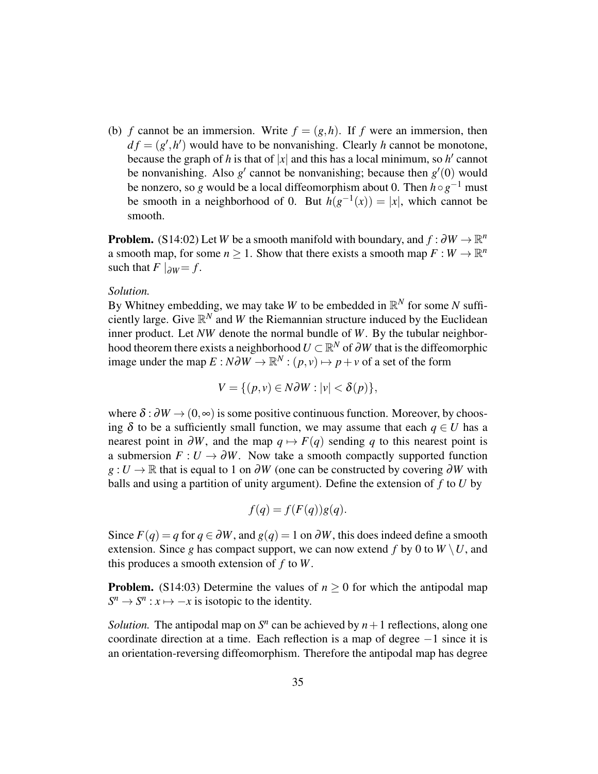<span id="page-34-0"></span>(b) *f* cannot be an immersion. Write  $f = (g, h)$ . If *f* were an immersion, then  $df = (g', h')$  would have to be nonvanishing. Clearly *h* cannot be monotone, because the graph of *h* is that of  $|x|$  and this has a local minimum, so *h'* cannot be nonvanishing. Also  $g'$  cannot be nonvanishing; because then  $g'(0)$  would be nonzero, so *g* would be a local diffeomorphism about 0. Then *h*◦*g* <sup>−</sup><sup>1</sup> must be smooth in a neighborhood of 0. But  $h(g^{-1}(x)) = |x|$ , which cannot be smooth.

**Problem.** (S14:02) Let *W* be a smooth manifold with boundary, and  $f : \partial W \to \mathbb{R}^n$ a smooth map, for some  $n \geq 1$ . Show that there exists a smooth map  $F: W \to \mathbb{R}^n$ such that  $F|_{\partial W} = f$ .

### *Solution.*

By Whitney embedding, we may take *W* to be embedded in  $\mathbb{R}^N$  for some *N* sufficiently large. Give  $\mathbb{R}^N$  and W the Riemannian structure induced by the Euclidean inner product. Let *NW* denote the normal bundle of *W*. By the tubular neighborhood theorem there exists a neighborhood  $U \subset \mathbb{R}^N$  of  $\partial W$  that is the diffeomorphic image under the map  $E : N \partial W \to \mathbb{R}^N : (p, v) \mapsto p + v$  of a set of the form

$$
V = \{ (p, v) \in N \partial W : |v| < \delta(p) \},
$$

where  $\delta : \partial W \to (0, \infty)$  is some positive continuous function. Moreover, by choosing  $\delta$  to be a sufficiently small function, we may assume that each  $q \in U$  has a nearest point in  $\partial W$ , and the map  $q \mapsto F(q)$  sending *q* to this nearest point is a submersion  $F: U \to \partial W$ . Now take a smooth compactly supported function *g* : *U* → ℝ that is equal to 1 on ∂*W* (one can be constructed by covering ∂*W* with balls and using a partition of unity argument). Define the extension of *f* to *U* by

$$
f(q) = f(F(q))g(q).
$$

Since  $F(q) = q$  for  $q \in \partial W$ , and  $g(q) = 1$  on  $\partial W$ , this does indeed define a smooth extension. Since *g* has compact support, we can now extend *f* by 0 to  $W \setminus U$ , and this produces a smooth extension of *f* to *W*.

**Problem.** (S14:03) Determine the values of  $n \geq 0$  for which the antipodal map  $S^n \to S^n$ :  $x \mapsto -x$  is isotopic to the identity.

*Solution*. The antipodal map on  $S<sup>n</sup>$  can be achieved by  $n+1$  reflections, along one coordinate direction at a time. Each reflection is a map of degree −1 since it is an orientation-reversing diffeomorphism. Therefore the antipodal map has degree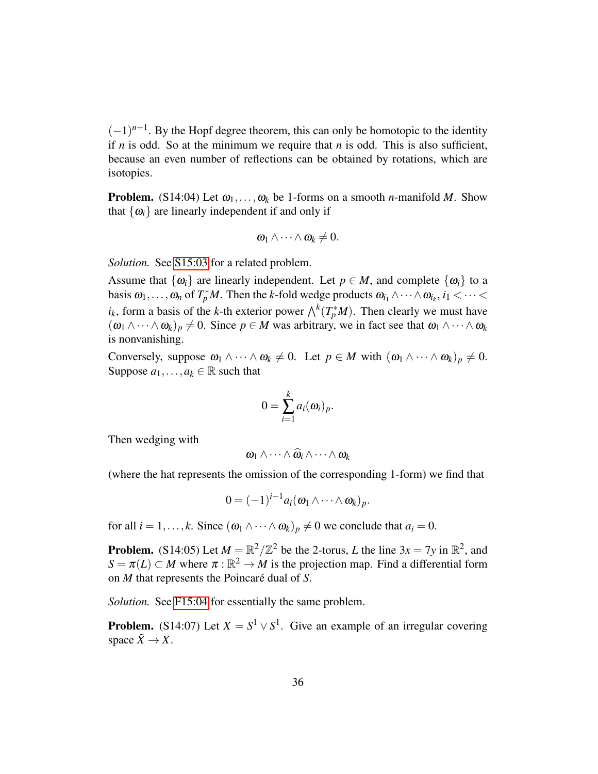$(-1)^{n+1}$ . By the Hopf degree theorem, this can only be homotopic to the identity if *n* is odd. So at the minimum we require that *n* is odd. This is also sufficient, because an even number of reflections can be obtained by rotations, which are isotopies.

**Problem.** (S14:04) Let  $\omega_1, \ldots, \omega_k$  be 1-forms on a smooth *n*-manifold *M*. Show that  $\{\omega_i\}$  are linearly independent if and only if

$$
\boldsymbol{\omega}_1 \wedge \cdots \wedge \boldsymbol{\omega}_k \neq 0.
$$

*Solution.* See [S15:03](#page-44-0) for a related problem.

Assume that  $\{\omega_i\}$  are linearly independent. Let  $p \in M$ , and complete  $\{\omega_i\}$  to a basis  $\omega_1, \ldots, \omega_n$  of  $T_p^*M$ . Then the *k*-fold wedge products  $\omega_{i_1} \wedge \cdots \wedge \omega_{i_k}$ ,  $i_1 < \cdots <$  $i_k$ , form a basis of the *k*-th exterior power  $\bigwedge^k(T_p^*M)$ . Then clearly we must have  $((\omega_1 \wedge \cdots \wedge \omega_k)_p \neq 0$ . Since  $p \in M$  was arbitrary, we in fact see that  $\omega_1 \wedge \cdots \wedge \omega_k$ is nonvanishing.

Conversely, suppose  $\omega_1 \wedge \cdots \wedge \omega_k \neq 0$ . Let  $p \in M$  with  $(\omega_1 \wedge \cdots \wedge \omega_k)_p \neq 0$ . Suppose  $a_1, \ldots, a_k \in \mathbb{R}$  such that

$$
0=\sum_{i=1}^k a_i(\omega_i)_p.
$$

Then wedging with

$$
\omega_1\wedge\cdots\wedge\widehat{\omega}_i\wedge\cdots\wedge\omega_k
$$

(where the hat represents the omission of the corresponding 1-form) we find that

$$
0=(-1)^{i-1}a_i(\omega_1\wedge\cdots\wedge\omega_k)_p.
$$

for all  $i = 1, ..., k$ . Since  $(\omega_1 \wedge \cdots \wedge \omega_k)_p \neq 0$  we conclude that  $a_i = 0$ .

**Problem.** (S14:05) Let  $M = \mathbb{R}^2/\mathbb{Z}^2$  be the 2-torus, *L* the line  $3x = 7y$  in  $\mathbb{R}^2$ , and  $S = \pi(L) \subset M$  where  $\pi : \mathbb{R}^2 \to M$  is the projection map. Find a differential form on *M* that represents the Poincaré dual of *S*.

*Solution.* See [F15:04](#page-55-0) for essentially the same problem.

**Problem.** (S14:07) Let  $X = S^1 \vee S^1$ . Give an example of an irregular covering space  $\tilde{X} \to X$ .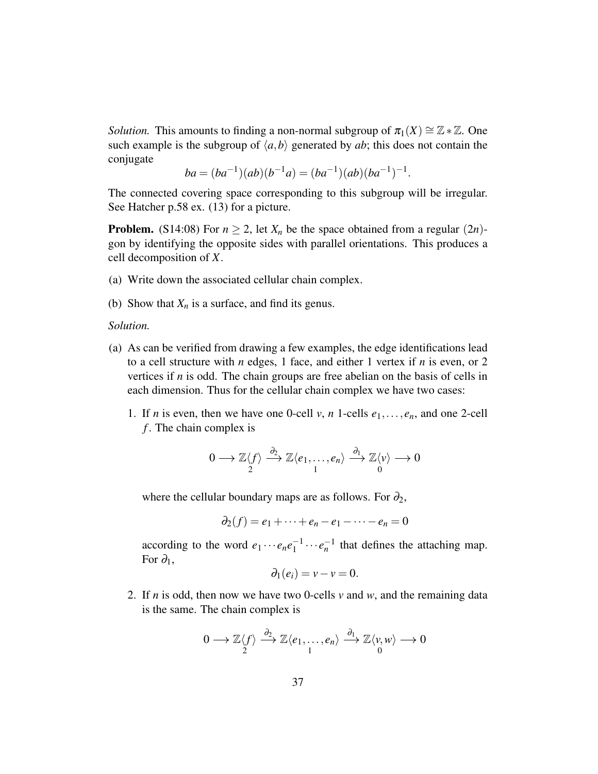*Solution.* This amounts to finding a non-normal subgroup of  $\pi_1(X) \cong \mathbb{Z} * \mathbb{Z}$ . One such example is the subgroup of  $\langle a,b \rangle$  generated by *ab*; this does not contain the conjugate

$$
ba = (ba^{-1})(ab)(b^{-1}a) = (ba^{-1})(ab)(ba^{-1})^{-1}.
$$

The connected covering space corresponding to this subgroup will be irregular. See Hatcher p.58 ex. (13) for a picture.

**Problem.** (S14:08) For  $n \ge 2$ , let  $X_n$  be the space obtained from a regular (2*n*)gon by identifying the opposite sides with parallel orientations. This produces a cell decomposition of *X*.

- (a) Write down the associated cellular chain complex.
- (b) Show that  $X_n$  is a surface, and find its genus.

#### *Solution.*

- (a) As can be verified from drawing a few examples, the edge identifications lead to a cell structure with *n* edges, 1 face, and either 1 vertex if *n* is even, or 2 vertices if *n* is odd. The chain groups are free abelian on the basis of cells in each dimension. Thus for the cellular chain complex we have two cases:
	- 1. If *n* is even, then we have one 0-cell *v*, *n* 1-cells  $e_1, \ldots, e_n$ , and one 2-cell *f* . The chain complex is

$$
0 \longrightarrow \mathbb{Z}\langle f \rangle \stackrel{\partial_2}{\longrightarrow} \mathbb{Z}\langle e_1, \ldots, e_n \rangle \stackrel{\partial_1}{\longrightarrow} \mathbb{Z}\langle v \rangle \longrightarrow 0
$$

where the cellular boundary maps are as follows. For  $\partial_2$ ,

$$
\partial_2(f) = e_1 + \cdots + e_n - e_1 - \cdots - e_n = 0
$$

according to the word  $e_1 \cdots e_n e_1^{-1}$  $\frac{1}{1}$ <sup>-1</sup>  $\cdots$  *e*<sub>n</sub><sup>-1</sup> that defines the attaching map. For  $\partial_1$ ,

$$
\partial_1(e_i)=v-v=0.
$$

2. If *n* is odd, then now we have two 0-cells *v* and *w*, and the remaining data is the same. The chain complex is

$$
0\longrightarrow \mathbb{Z}\langle f\rangle\stackrel{\partial_2}\longrightarrow \mathbb{Z}\langle e_1,\ldots,e_n\rangle\stackrel{\partial_1}\longrightarrow \mathbb{Z}\langle v,w\rangle\longrightarrow 0\\ 0\qquad
$$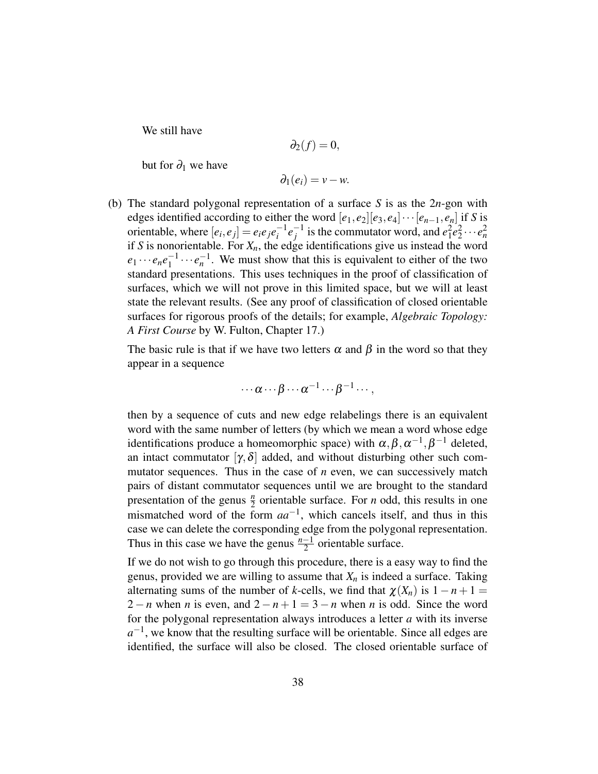We still have

$$
\partial_2(f)=0,
$$

but for  $\partial_1$  we have

$$
\partial_1(e_i)=v-w.
$$

(b) The standard polygonal representation of a surface *S* is as the 2*n*-gon with edges identified according to either the word  $[e_1, e_2][e_3, e_4] \cdots [e_{n-1}, e_n]$  if *S* is orientable, where  $[e_i, e_j] = e_i e_j e_i^{-1}$  $e^{-1}e^{-1}$  $e_1^{-1}$  is the commutator word, and  $e_1^2e_2^2\cdots e_n^2$ if *S* is nonorientable. For *Xn*, the edge identifications give us instead the word  $e_1 \cdots e_n e_1^{-1}$  $\frac{n-1}{1} \cdots e_n^{-1}$ . We must show that this is equivalent to either of the two standard presentations. This uses techniques in the proof of classification of surfaces, which we will not prove in this limited space, but we will at least state the relevant results. (See any proof of classification of closed orientable surfaces for rigorous proofs of the details; for example, *Algebraic Topology: A First Course* by W. Fulton, Chapter 17.)

The basic rule is that if we have two letters  $\alpha$  and  $\beta$  in the word so that they appear in a sequence

$$
\cdots \alpha \cdots \beta \cdots \alpha^{-1} \cdots \beta^{-1} \cdots,
$$

then by a sequence of cuts and new edge relabelings there is an equivalent word with the same number of letters (by which we mean a word whose edge identifications produce a homeomorphic space) with  $\alpha, \beta, \alpha^{-1}, \beta^{-1}$  deleted, an intact commutator  $[\gamma, \delta]$  added, and without disturbing other such commutator sequences. Thus in the case of *n* even, we can successively match pairs of distant commutator sequences until we are brought to the standard presentation of the genus  $\frac{n}{2}$  orientable surface. For *n* odd, this results in one mismatched word of the form *aa*−<sup>1</sup> , which cancels itself, and thus in this case we can delete the corresponding edge from the polygonal representation. Thus in this case we have the genus  $\frac{n-1}{2}$  orientable surface.

If we do not wish to go through this procedure, there is a easy way to find the genus, provided we are willing to assume that  $X_n$  is indeed a surface. Taking alternating sums of the number of *k*-cells, we find that  $\chi(X_n)$  is  $1 - n + 1 =$ 2 − *n* when *n* is even, and  $2 - n + 1 = 3 - n$  when *n* is odd. Since the word for the polygonal representation always introduces a letter *a* with its inverse  $a^{-1}$ , we know that the resulting surface will be orientable. Since all edges are identified, the surface will also be closed. The closed orientable surface of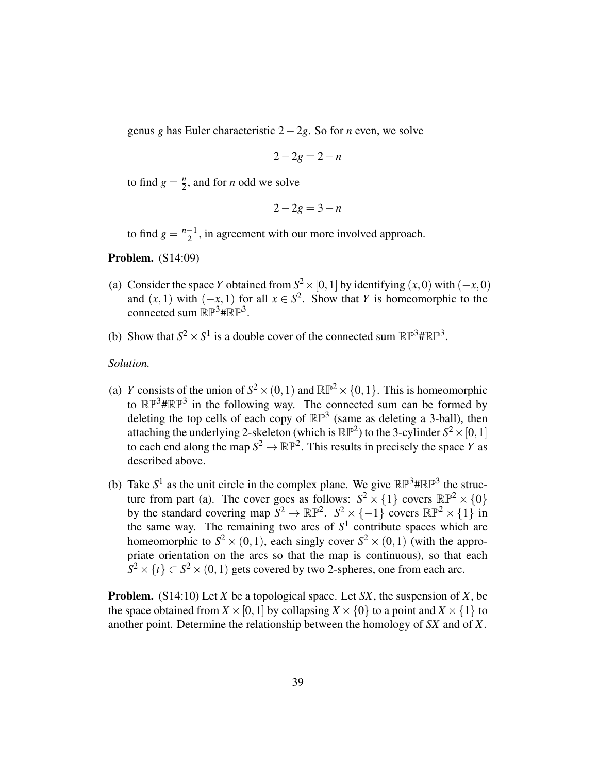genus *g* has Euler characteristic 2−2*g*. So for *n* even, we solve

$$
2-2g=2-n
$$

to find  $g = \frac{n}{2}$  $\frac{n}{2}$ , and for *n* odd we solve

$$
2-2g=3-n
$$

to find  $g = \frac{n-1}{2}$  $\frac{-1}{2}$ , in agreement with our more involved approach.

Problem. (S14:09)

- (a) Consider the space *Y* obtained from  $S^2 \times [0,1]$  by identifying  $(x,0)$  with  $(-x,0)$ and  $(x, 1)$  with  $(-x, 1)$  for all  $x \in S^2$ . Show that *Y* is homeomorphic to the connected sum  $\mathbb{RP}^3 \# \mathbb{RP}^3$ .
- (b) Show that  $S^2 \times S^1$  is a double cover of the connected sum  $\mathbb{RP}^3 \sharp \mathbb{RP}^3$ .

*Solution.*

- (a) *Y* consists of the union of  $S^2 \times (0,1)$  and  $\mathbb{RP}^2 \times \{0,1\}$ . This is homeomorphic to  $\mathbb{RP}^3 \# \mathbb{RP}^3$  in the following way. The connected sum can be formed by deleting the top cells of each copy of  $\mathbb{RP}^3$  (same as deleting a 3-ball), then attaching the underlying 2-skeleton (which is  $\mathbb{RP}^2$ ) to the 3-cylinder  $S^2 \times [0,1]$ to each end along the map  $S^2 \to \mathbb{RP}^2$ . This results in precisely the space *Y* as described above.
- <span id="page-38-0"></span>(b) Take  $S^1$  as the unit circle in the complex plane. We give  $\mathbb{RP}^3 \sharp \mathbb{RP}^3$  the structure from part (a). The cover goes as follows:  $S^2 \times \{1\}$  covers  $\mathbb{RP}^2 \times \{0\}$ by the standard covering map  $S^2 \to \mathbb{RP}^2$ .  $S^2 \times \{-1\}$  covers  $\mathbb{RP}^2 \times \{1\}$  in the same way. The remaining two arcs of  $S<sup>1</sup>$  contribute spaces which are homeomorphic to  $S^2 \times (0,1)$ , each singly cover  $S^2 \times (0,1)$  (with the appropriate orientation on the arcs so that the map is continuous), so that each  $S^2 \times \{t\} \subset S^2 \times (0,1)$  gets covered by two 2-spheres, one from each arc.

Problem. (S14:10) Let *X* be a topological space. Let *SX*, the suspension of *X*, be the space obtained from  $X \times [0,1]$  by collapsing  $X \times \{0\}$  to a point and  $X \times \{1\}$  to another point. Determine the relationship between the homology of *SX* and of *X*.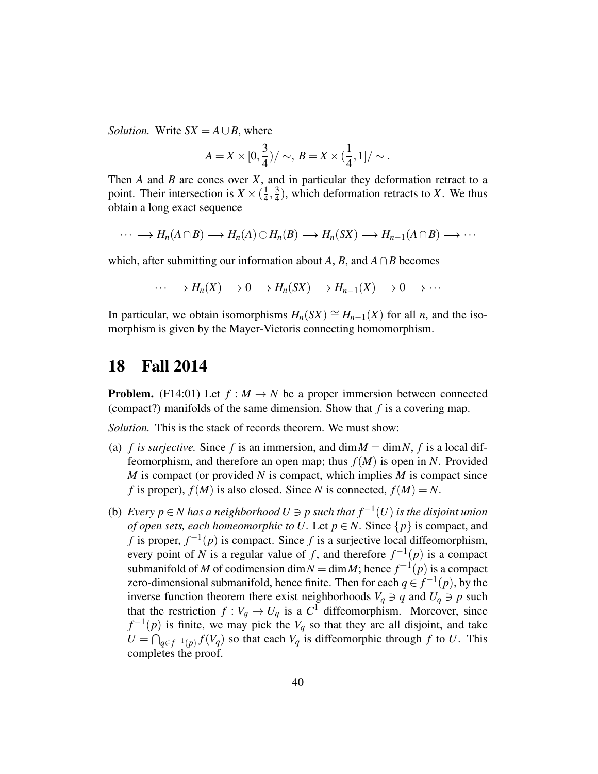*Solution.* Write  $SX = A \cup B$ , where

$$
A = X \times [0, \frac{3}{4}) / \sim, B = X \times (\frac{1}{4}, 1] / \sim.
$$

Then *A* and *B* are cones over *X*, and in particular they deformation retract to a point. Their intersection is  $X \times (\frac{1}{4})$  $\frac{1}{4}, \frac{3}{4}$  $\frac{3}{4}$ ), which deformation retracts to *X*. We thus obtain a long exact sequence

$$
\cdots \longrightarrow H_n(A \cap B) \longrightarrow H_n(A) \oplus H_n(B) \longrightarrow H_n(SX) \longrightarrow H_{n-1}(A \cap B) \longrightarrow \cdots
$$

which, after submitting our information about *A*, *B*, and  $A \cap B$  becomes

$$
\cdots \longrightarrow H_n(X) \longrightarrow 0 \longrightarrow H_n(SX) \longrightarrow H_{n-1}(X) \longrightarrow 0 \longrightarrow \cdots
$$

In particular, we obtain isomorphisms  $H_n(SX) \cong H_{n-1}(X)$  for all *n*, and the isomorphism is given by the Mayer-Vietoris connecting homomorphism.

# <span id="page-39-0"></span>18 Fall 2014

**Problem.** (F14:01) Let  $f : M \to N$  be a proper immersion between connected (compact?) manifolds of the same dimension. Show that *f* is a covering map.

*Solution.* This is the stack of records theorem. We must show:

- (a) *f is surjective.* Since *f* is an immersion, and  $\dim M = \dim N$ , *f* is a local diffeomorphism, and therefore an open map; thus  $f(M)$  is open in *N*. Provided *M* is compact (or provided *N* is compact, which implies *M* is compact since *f* is proper),  $f(M)$  is also closed. Since *N* is connected,  $f(M) = N$ .
- <span id="page-39-1"></span>(b) *Every p* ∈ *N* has a neighborhood  $U \ni p$  such that  $f^{-1}(U)$  is the disjoint union *of open sets, each homeomorphic to U.* Let  $p \in N$ . Since  $\{p\}$  is compact, and *f* is proper,  $f^{-1}(p)$  is compact. Since *f* is a surjective local diffeomorphism, every point of *N* is a regular value of *f*, and therefore  $f^{-1}(p)$  is a compact submanifold of *M* of codimension dim  $N = \dim M$ ; hence  $f^{-1}(p)$  is a compact zero-dimensional submanifold, hence finite. Then for each  $q \in f^{-1}(p)$ , by the inverse function theorem there exist neighborhoods  $V_q \ni q$  and  $U_q \ni p$  such that the restriction  $f: V_q \to U_q$  is a  $C^1$  diffeomorphism. Moreover, since  $f^{-1}(p)$  is finite, we may pick the  $V_q$  so that they are all disjoint, and take  $U = \bigcap_{q \in f^{-1}(p)} f(V_q)$  so that each  $V_q$  is diffeomorphic through *f* to *U*. This completes the proof.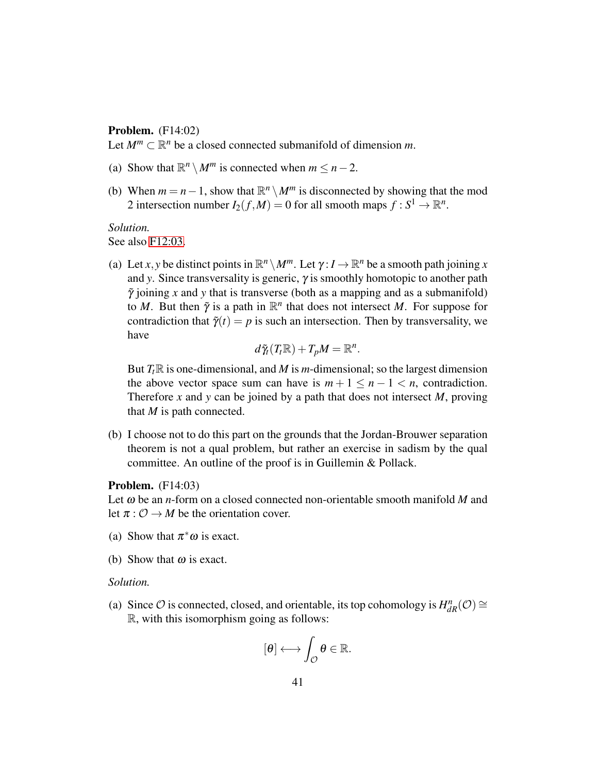### Problem. (F14:02)

Let  $M^m \subset \mathbb{R}^n$  be a closed connected submanifold of dimension m.

- (a) Show that  $\mathbb{R}^n \setminus M^m$  is connected when  $m \leq n-2$ .
- (b) When  $m = n 1$ , show that  $\mathbb{R}^n \setminus M^m$  is disconnected by showing that the mod 2 intersection number  $I_2(f,M) = 0$  for all smooth maps  $f : S^1 \to \mathbb{R}^n$ .

### *Solution.*

See also [F12:03.](#page-20-1)

(a) Let *x*, *y* be distinct points in  $\mathbb{R}^n \setminus M^m$ . Let  $\gamma: I \to \mathbb{R}^n$  be a smooth path joining *x* and *y*. Since transversality is generic, γ is smoothly homotopic to another path  $\tilde{\gamma}$  joining *x* and *y* that is transverse (both as a mapping and as a submanifold) to *M*. But then  $\tilde{\gamma}$  is a path in  $\mathbb{R}^n$  that does not intersect *M*. For suppose for contradiction that  $\tilde{\gamma}(t) = p$  is such an intersection. Then by transversality, we have

$$
d\tilde{\gamma}_t(T_t\mathbb{R})+T_pM=\mathbb{R}^n.
$$

But  $T_t \mathbb{R}$  is one-dimensional, and *M* is *m*-dimensional; so the largest dimension the above vector space sum can have is  $m + 1 \leq n - 1 \leq n$ , contradiction. Therefore *x* and *y* can be joined by a path that does not intersect *M*, proving that *M* is path connected.

(b) I choose not to do this part on the grounds that the Jordan-Brouwer separation theorem is not a qual problem, but rather an exercise in sadism by the qual committee. An outline of the proof is in Guillemin & Pollack.

### Problem. (F14:03)

Let ω be an *n*-form on a closed connected non-orientable smooth manifold *M* and let  $\pi: \mathcal{O} \to M$  be the orientation cover.

- (a) Show that  $\pi^* \omega$  is exact.
- (b) Show that  $\omega$  is exact.

### *Solution.*

(a) Since  $\mathcal O$  is connected, closed, and orientable, its top cohomology is  $H^n_{dR}(\mathcal O) \cong$ R, with this isomorphism going as follows:

$$
[\theta]\longleftrightarrow \int_{\mathcal{O}}\theta\in\mathbb{R}.
$$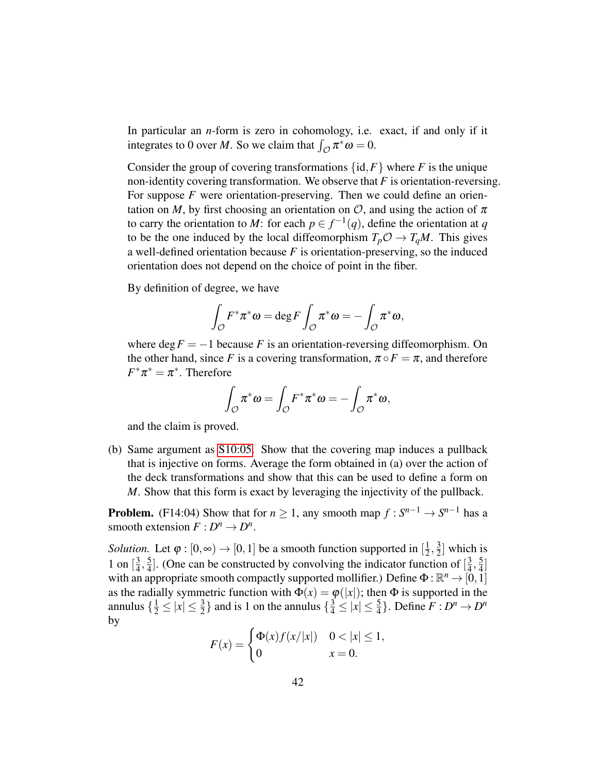In particular an *n*-form is zero in cohomology, i.e. exact, if and only if it integrates to 0 over *M*. So we claim that  $\int_{\mathcal{O}} \pi^* \omega = 0$ .

Consider the group of covering transformations  $\{id, F\}$  where *F* is the unique non-identity covering transformation. We observe that *F* is orientation-reversing. For suppose *F* were orientation-preserving. Then we could define an orientation on *M*, by first choosing an orientation on  $\mathcal{O}$ , and using the action of  $\pi$ to carry the orientation to *M*: for each  $p \in f^{-1}(q)$ , define the orientation at *q* to be the one induced by the local diffeomorphism  $T_p \mathcal{O} \to T_q M$ . This gives a well-defined orientation because *F* is orientation-preserving, so the induced orientation does not depend on the choice of point in the fiber.

By definition of degree, we have

$$
\int_{\mathcal{O}} F^* \pi^* \omega = \deg F \int_{\mathcal{O}} \pi^* \omega = - \int_{\mathcal{O}} \pi^* \omega,
$$

where  $\deg F = -1$  because *F* is an orientation-reversing diffeomorphism. On the other hand, since *F* is a covering transformation,  $\pi \circ F = \pi$ , and therefore  $F^*\pi^* = \pi^*$ . Therefore

$$
\int_{\mathcal{O}} \pi^* \omega = \int_{\mathcal{O}} F^* \pi^* \omega = - \int_{\mathcal{O}} \pi^* \omega,
$$

and the claim is proved.

(b) Same argument as [S10:05.](#page-8-0) Show that the covering map induces a pullback that is injective on forms. Average the form obtained in (a) over the action of the deck transformations and show that this can be used to define a form on *M*. Show that this form is exact by leveraging the injectivity of the pullback.

**Problem.** (F14:04) Show that for  $n \geq 1$ , any smooth map  $f : S^{n-1} \to S^{n-1}$  has a smooth extension  $F: D^n \to D^n$ .

*Solution.* Let  $\varphi : [0, \infty) \to [0, 1]$  be a smooth function supported in  $\left[\frac{1}{2}, \infty\right]$  $\frac{1}{2}, \frac{3}{2}$  $\frac{3}{2}$  which is 1 on  $\left[\frac{3}{4}\right]$  $\frac{3}{4}, \frac{5}{4}$  $\frac{5}{4}$ ]. (One can be constructed by convolving the indicator function of  $\left[\frac{3}{4}\right]$  $\frac{3}{4}, \frac{5}{4}$  $\frac{5}{4}$ ] with an appropriate smooth compactly supported mollifier.) Define  $\Phi : \mathbb{R}^n \to [0,1]$ as the radially symmetric function with  $\Phi(x) = \phi(|x|)$ ; then  $\Phi$  is supported in the annulus  $\{\frac{1}{2} \le |x| \le \frac{3}{2}\}$  and is 1 on the annulus  $\{\frac{3}{4} \le |x| \le \frac{5}{4}\}$ . Define  $F: D^n \to D^n$ by

$$
F(x) = \begin{cases} \Phi(x)f(x/|x|) & 0 < |x| \le 1, \\ 0 & x = 0. \end{cases}
$$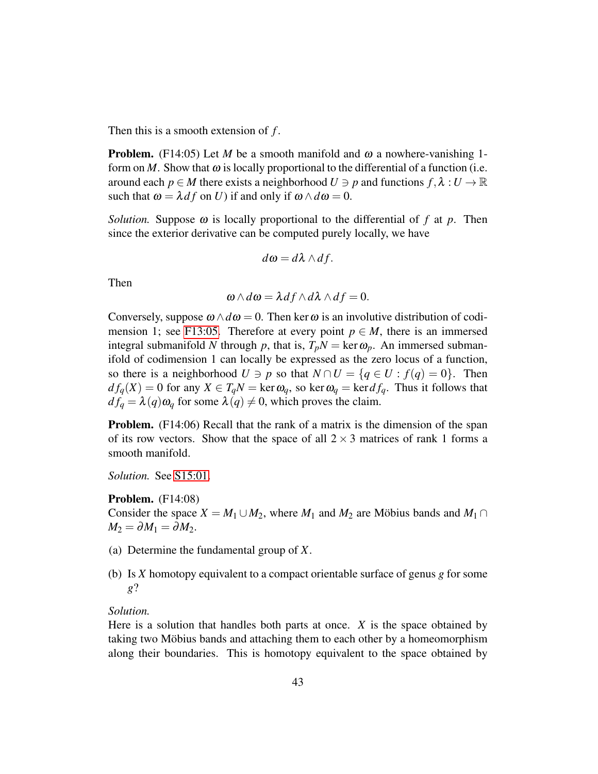Then this is a smooth extension of *f* .

**Problem.** (F14:05) Let *M* be a smooth manifold and  $\omega$  a nowhere-vanishing 1form on *M*. Show that  $\omega$  is locally proportional to the differential of a function (i.e. around each  $p \in M$  there exists a neighborhood  $U \ni p$  and functions  $f, \lambda : U \to \mathbb{R}$ such that  $\omega = \lambda df$  on *U*) if and only if  $\omega \wedge d\omega = 0$ .

*Solution.* Suppose  $\omega$  is locally proportional to the differential of f at p. Then since the exterior derivative can be computed purely locally, we have

$$
d\omega = d\lambda \wedge df.
$$

Then

$$
\omega \wedge d\omega = \lambda df \wedge d\lambda \wedge df = 0.
$$

Conversely, suppose  $\omega \wedge d\omega = 0$ . Then ker  $\omega$  is an involutive distribution of codi-mension 1; see [F13:05.](#page-30-0) Therefore at every point  $p \in M$ , there is an immersed integral submanifold *N* through *p*, that is,  $T_pN = \text{ker } \omega_p$ . An immersed submanifold of codimension 1 can locally be expressed as the zero locus of a function, so there is a neighborhood  $U \ni p$  so that  $N \cap U = \{q \in U : f(q) = 0\}$ . Then  $df_q(X) = 0$  for any  $X \in T_qN = \text{ker } \omega_q$ , so  $\text{ker } \omega_q = \text{ker } df_q$ . Thus it follows that  $df_q = \lambda(q)\omega_q$  for some  $\lambda(q) \neq 0$ , which proves the claim.

Problem. (F14:06) Recall that the rank of a matrix is the dimension of the span of its row vectors. Show that the space of all  $2 \times 3$  matrices of rank 1 forms a smooth manifold.

*Solution.* See [S15:01.](#page-44-0)

Problem. (F14:08)

Consider the space  $X = M_1 \cup M_2$ , where  $M_1$  and  $M_2$  are Möbius bands and  $M_1 \cap$  $M_2 = \partial M_1 = \partial M_2.$ 

- (a) Determine the fundamental group of *X*.
- (b) Is *X* homotopy equivalent to a compact orientable surface of genus *g* for some *g*?

### *Solution.*

Here is a solution that handles both parts at once. *X* is the space obtained by taking two Möbius bands and attaching them to each other by a homeomorphism along their boundaries. This is homotopy equivalent to the space obtained by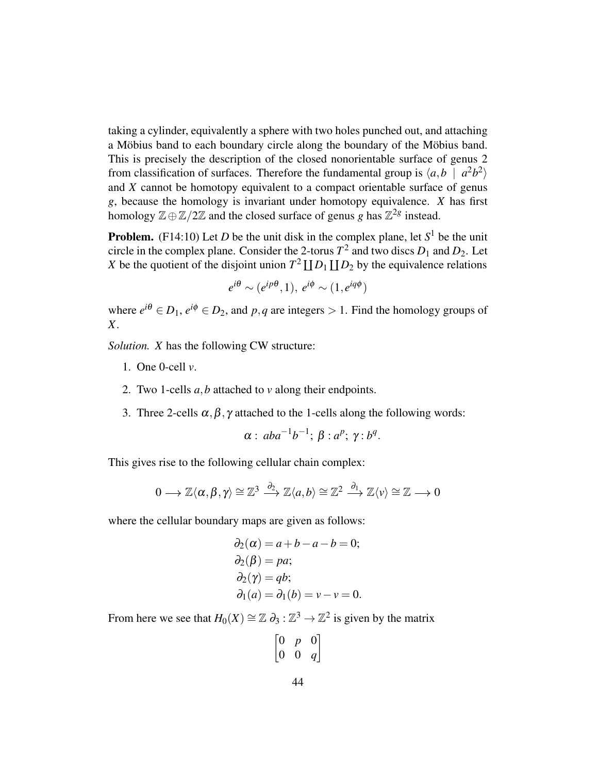taking a cylinder, equivalently a sphere with two holes punched out, and attaching a Möbius band to each boundary circle along the boundary of the Möbius band. This is precisely the description of the closed nonorientable surface of genus 2 from classification of surfaces. Therefore the fundamental group is  $\langle a,b \mid a^2b^2 \rangle$ and *X* cannot be homotopy equivalent to a compact orientable surface of genus *g*, because the homology is invariant under homotopy equivalence. *X* has first homology  $\mathbb{Z} \oplus \mathbb{Z}/2\mathbb{Z}$  and the closed surface of genus *g* has  $\mathbb{Z}^{2g}$  instead.

**Problem.** (F14:10) Let *D* be the unit disk in the complex plane, let  $S^1$  be the unit circle in the complex plane. Consider the 2-torus  $T^2$  and two discs  $D_1$  and  $D_2$ . Let *X* be the quotient of the disjoint union  $T^2 \coprod D_1 \coprod D_2$  by the equivalence relations

$$
e^{i\theta} \sim (e^{ip\theta}, 1), e^{i\phi} \sim (1, e^{iq\phi})
$$

where  $e^{i\theta} \in D_1$ ,  $e^{i\phi} \in D_2$ , and  $p, q$  are integers  $> 1$ . Find the homology groups of *X*.

*Solution. X* has the following CW structure:

- 1. One 0-cell *v*.
- 2. Two 1-cells *a*,*b* attached to *v* along their endpoints.
- 3. Three 2-cells  $\alpha, \beta, \gamma$  attached to the 1-cells along the following words:

$$
\alpha: aba^{-1}b^{-1}; \beta: a^p; \gamma: b^q.
$$

This gives rise to the following cellular chain complex:

$$
0\longrightarrow \mathbb{Z}\langle \alpha,\beta,\gamma\rangle\cong \mathbb{Z}^3\stackrel{\partial_2}{\longrightarrow} \mathbb{Z}\langle a,b\rangle\cong \mathbb{Z}^2\stackrel{\partial_1}{\longrightarrow} \mathbb{Z}\langle v\rangle\cong \mathbb{Z}\longrightarrow 0
$$

where the cellular boundary maps are given as follows:

$$
\partial_2(\alpha) = a + b - a - b = 0;
$$
  
\n
$$
\partial_2(\beta) = pa;
$$
  
\n
$$
\partial_2(\gamma) = qb;
$$
  
\n
$$
\partial_1(a) = \partial_1(b) = v - v = 0.
$$

From here we see that  $H_0(X) \cong \mathbb{Z} \partial_3 : \mathbb{Z}^3 \to \mathbb{Z}^2$  is given by the matrix

|                                                             | р |                                        |
|-------------------------------------------------------------|---|----------------------------------------|
| $\bigg[ \begin{smallmatrix} 0 \ 0 \end{smallmatrix} \bigg]$ | 0 | $\begin{bmatrix} 0 \\ q \end{bmatrix}$ |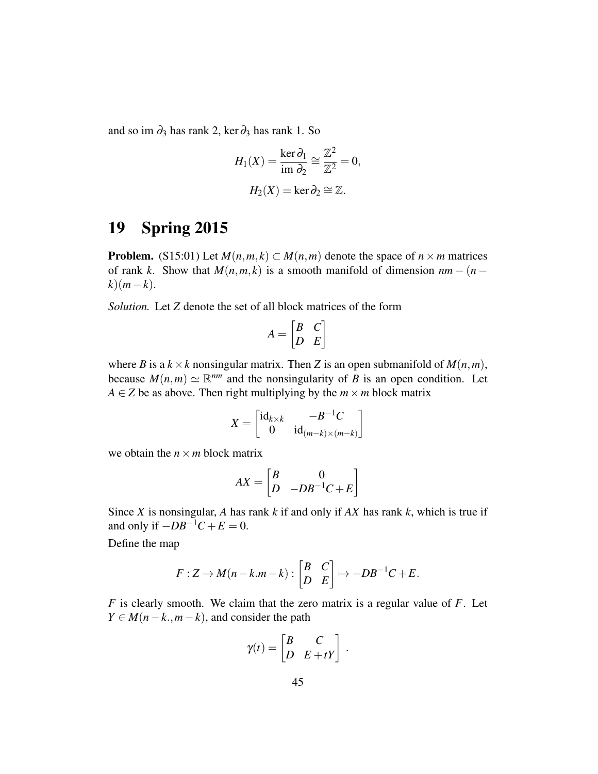and so im  $\partial_3$  has rank 2, ker $\partial_3$  has rank 1. So

$$
H_1(X) = \frac{\ker \partial_1}{\operatorname{im} \partial_2} \cong \frac{\mathbb{Z}^2}{\mathbb{Z}^2} = 0,
$$
  

$$
H_2(X) = \ker \partial_2 \cong \mathbb{Z}.
$$

# <span id="page-44-0"></span>19 Spring 2015

**Problem.** (S15:01) Let  $M(n,m,k) \subset M(n,m)$  denote the space of  $n \times m$  matrices of rank *k*. Show that  $M(n, m, k)$  is a smooth manifold of dimension  $nm - (n - k)$  $k(m-k)$ .

*Solution.* Let *Z* denote the set of all block matrices of the form

$$
A = \begin{bmatrix} B & C \\ D & E \end{bmatrix}
$$

where *B* is a  $k \times k$  nonsingular matrix. Then *Z* is an open submanifold of  $M(n, m)$ , because  $M(n,m) \simeq \mathbb{R}^{nm}$  and the nonsingularity of *B* is an open condition. Let *A* ∈ *Z* be as above. Then right multiplying by the  $m \times m$  block matrix

$$
X = \begin{bmatrix} \mathrm{id}_{k \times k} & -B^{-1}C \\ 0 & \mathrm{id}_{(m-k) \times (m-k)} \end{bmatrix}
$$

we obtain the  $n \times m$  block matrix

$$
AX = \begin{bmatrix} B & 0 \\ D & -DB^{-1}C + E \end{bmatrix}
$$

Since *X* is nonsingular, *A* has rank *k* if and only if *AX* has rank *k*, which is true if and only if  $-DB^{-1}C + E = 0$ .

Define the map

$$
F: Z \to M(n-k.m-k): \begin{bmatrix} B & C \\ D & E \end{bmatrix} \mapsto -DB^{-1}C + E.
$$

*F* is clearly smooth. We claim that the zero matrix is a regular value of *F*. Let  $Y \in M(n-k, m-k)$ , and consider the path

$$
\gamma(t) = \begin{bmatrix} B & C \\ D & E + tY \end{bmatrix}.
$$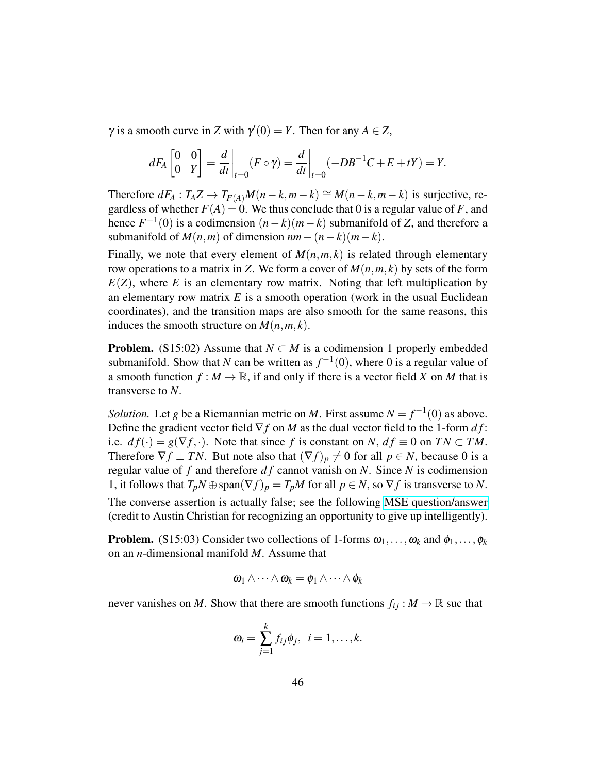$\gamma$  is a smooth curve in *Z* with  $\gamma'(0) = Y$ . Then for any  $A \in Z$ ,

$$
dF_A\begin{bmatrix} 0 & 0 \\ 0 & Y \end{bmatrix} = \frac{d}{dt}\bigg|_{t=0} (F \circ \gamma) = \frac{d}{dt}\bigg|_{t=0} (-DB^{-1}C + E + tY) = Y.
$$

Therefore  $dF_A: T_A Z \to T_{F(A)} M(n-k, m-k) \cong M(n-k, m-k)$  is surjective, regardless of whether  $F(A) = 0$ . We thus conclude that 0 is a regular value of *F*, and hence  $F^{-1}(0)$  is a codimension  $(n-k)(m-k)$  submanifold of *Z*, and therefore a submanifold of  $M(n,m)$  of dimension  $nm-(n-k)(m-k)$ .

Finally, we note that every element of  $M(n, m, k)$  is related through elementary row operations to a matrix in *Z*. We form a cover of  $M(n, m, k)$  by sets of the form  $E(Z)$ , where *E* is an elementary row matrix. Noting that left multiplication by an elementary row matrix  $E$  is a smooth operation (work in the usual Euclidean coordinates), and the transition maps are also smooth for the same reasons, this induces the smooth structure on  $M(n, m, k)$ .

**Problem.** (S15:02) Assume that  $N \subset M$  is a codimension 1 properly embedded submanifold. Show that *N* can be written as  $f^{-1}(0)$ , where 0 is a regular value of a smooth function  $f : M \to \mathbb{R}$ , if and only if there is a vector field *X* on *M* that is transverse to *N*.

*Solution.* Let *g* be a Riemannian metric on *M*. First assume  $N = f^{-1}(0)$  as above. Define the gradient vector field  $\nabla f$  on *M* as the dual vector field to the 1-form *d* f: i.e.  $df(\cdot) = g(\nabla f, \cdot)$ . Note that since f is constant on *N*,  $df \equiv 0$  on  $TN \subset TM$ . Therefore  $\nabla f \perp TN$ . But note also that  $(\nabla f)_p \neq 0$  for all  $p \in N$ , because 0 is a regular value of *f* and therefore *d f* cannot vanish on *N*. Since *N* is codimension 1, it follows that  $T_pN \oplus \text{span}(\nabla f)_p = T_pM$  for all  $p \in N$ , so  $\nabla f$  is transverse to N. The converse assertion is actually false; see the following [MSE question/answer](http://math.stackexchange.com/questions/1695151/when-does-a-codimension-1-submanifold-admit-a-transverse-vector-field) (credit to Austin Christian for recognizing an opportunity to give up intelligently).

**Problem.** (S15:03) Consider two collections of 1-forms  $\omega_1, \ldots, \omega_k$  and  $\phi_1, \ldots, \phi_k$ on an *n*-dimensional manifold *M*. Assume that

$$
\omega_1 \wedge \cdots \wedge \omega_k = \phi_1 \wedge \cdots \wedge \phi_k
$$

never vanishes on *M*. Show that there are smooth functions  $f_{ij}: M \to \mathbb{R}$  suc that

$$
\omega_i=\sum_{j=1}^k f_{ij}\phi_j, \ \ i=1,\ldots,k.
$$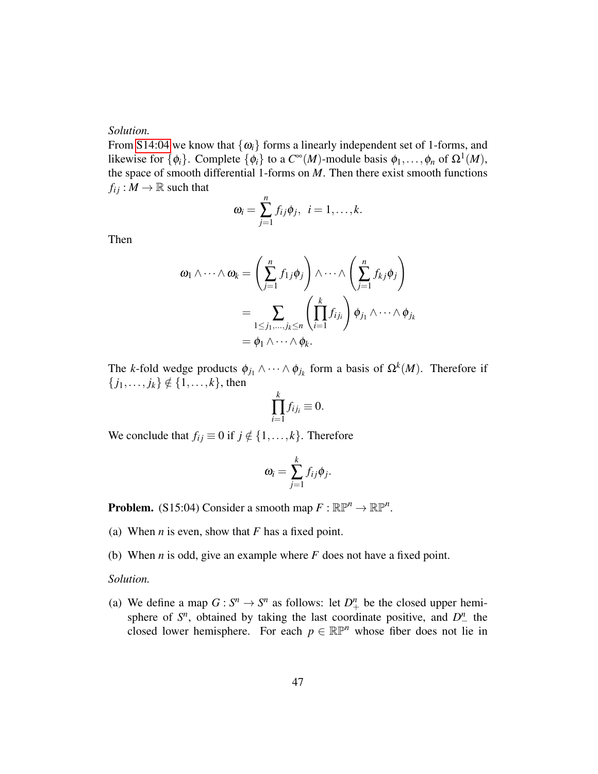### *Solution.*

From [S14:04](#page-34-0) we know that  $\{\omega_i\}$  forms a linearly independent set of 1-forms, and likewise for  $\{\phi_i\}$ . Complete  $\{\phi_i\}$  to a  $C^{\infty}(M)$ -module basis  $\phi_1, \ldots, \phi_n$  of  $\Omega^1(M)$ , the space of smooth differential 1-forms on *M*. Then there exist smooth functions  $f_{ij}: M \to \mathbb{R}$  such that

$$
\omega_i=\sum_{j=1}^n f_{ij}\phi_j, \ \ i=1,\ldots,k.
$$

Then

$$
\omega_1 \wedge \cdots \wedge \omega_k = \left(\sum_{j=1}^n f_{1j} \phi_j\right) \wedge \cdots \wedge \left(\sum_{j=1}^n f_{kj} \phi_j\right)
$$
  
= 
$$
\sum_{1 \leq j_1, \dots, j_k \leq n} \left(\prod_{i=1}^k f_{ij_i}\right) \phi_{j_1} \wedge \cdots \wedge \phi_{j_k}
$$
  
= 
$$
\phi_1 \wedge \cdots \wedge \phi_k.
$$

The *k*-fold wedge products  $\phi_{j_1} \wedge \cdots \wedge \phi_{j_k}$  form a basis of  $\Omega^k(M)$ . Therefore if  $\{j_1, \ldots, j_k\} \notin \{1, \ldots, k\}$ , then

$$
\prod_{i=1}^k f_{ij_i} \equiv 0.
$$

We conclude that  $f_{ij} \equiv 0$  if  $j \notin \{1, \ldots, k\}$ . Therefore

$$
\omega_i = \sum_{j=1}^k f_{ij} \phi_j.
$$

**Problem.** (S15:04) Consider a smooth map  $F : \mathbb{R}P^n \to \mathbb{R}P^n$ .

- (a) When *n* is even, show that *F* has a fixed point.
- (b) When *n* is odd, give an example where *F* does not have a fixed point.

#### *Solution.*

(a) We define a map  $G: S^n \to S^n$  as follows: let  $D^n_+$  be the closed upper hemisphere of  $S<sup>n</sup>$ , obtained by taking the last coordinate positive, and  $D^n$  the closed lower hemisphere. For each  $p \in \mathbb{RP}^n$  whose fiber does not lie in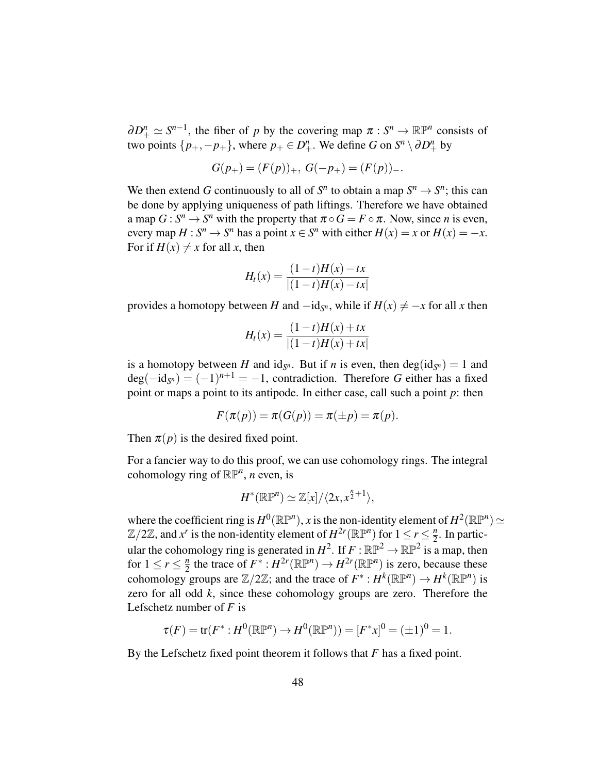$\partial D^n_+ \simeq S^{n-1}$ , the fiber of *p* by the covering map  $\pi : S^n \to \mathbb{R} \mathbb{P}^n$  consists of two points  $\{p_+,-p_+\}$ , where  $p_+ \in D^n_+$ . We define *G* on  $S^n \setminus \partial D^n_+$  by

$$
G(p_+) = (F(p))_+, \ G(-p_+) = (F(p))_-.
$$

We then extend *G* continuously to all of  $S^n$  to obtain a map  $S^n \to S^n$ ; this can be done by applying uniqueness of path liftings. Therefore we have obtained a map  $G: S^n \to S^n$  with the property that  $\pi \circ G = F \circ \pi$ . Now, since *n* is even, every map  $H: S^n \to S^n$  has a point  $x \in S^n$  with either  $H(x) = x$  or  $H(x) = -x$ . For if  $H(x) \neq x$  for all *x*, then

$$
H_t(x) = \frac{(1-t)H(x) - tx}{|(1-t)H(x) - tx|}
$$

provides a homotopy between *H* and  $-i d_{S<sup>n</sup>}$ , while if  $H(x) \neq -x$  for all *x* then

$$
H_t(x) = \frac{(1-t)H(x) + tx}{|(1-t)H(x) + tx|}
$$

is a homotopy between *H* and  $id_{S^n}$ . But if *n* is even, then  $deg(id_{S^n}) = 1$  and  $deg(-id_{S^n}) = (-1)^{n+1} = -1$ , contradiction. Therefore *G* either has a fixed point or maps a point to its antipode. In either case, call such a point *p*: then

$$
F(\pi(p)) = \pi(G(p)) = \pi(\pm p) = \pi(p).
$$

Then  $\pi(p)$  is the desired fixed point.

For a fancier way to do this proof, we can use cohomology rings. The integral cohomology ring of  $\mathbb{RP}^n$ , *n* even, is

$$
H^*(\mathbb{RP}^n) \simeq \mathbb{Z}[x]/\langle 2x, x^{\frac{n}{2}+1} \rangle,
$$

where the coefficient ring is  $H^0(\mathbb{R}\mathbb{P}^n)$ , *x* is the non-identity element of  $H^2(\mathbb{R}\mathbb{P}^n) \simeq$  $\mathbb{Z}/2\mathbb{Z}$ , and  $x^r$  is the non-identity element of  $H^{2r}(\mathbb{R}\mathbb{P}^n)$  for  $1 \le r \le \frac{n}{2}$  $\frac{n}{2}$ . In particular the cohomology ring is generated in  $H^2$ . If  $F : \mathbb{RP}^2 \to \mathbb{RP}^2$  is a map, then for  $1 \leq r \leq \frac{n}{2}$  $\frac{n}{2}$  the trace of  $F^* : H^{2r}(\mathbb{R}\mathbb{P}^n) \to H^{2r}(\mathbb{R}\mathbb{P}^n)$  is zero, because these cohomology groups are  $\mathbb{Z}/2\mathbb{Z}$ ; and the trace of  $F^*: H^k(\mathbb{R}\mathbb{P}^n) \to H^k(\mathbb{R}\mathbb{P}^n)$  is zero for all odd *k*, since these cohomology groups are zero. Therefore the Lefschetz number of *F* is

$$
\tau(F) = \text{tr}(F^* : H^0(\mathbb{R}\mathbb{P}^n) \to H^0(\mathbb{R}\mathbb{P}^n)) = [F^*x]^0 = (\pm 1)^0 = 1.
$$

By the Lefschetz fixed point theorem it follows that *F* has a fixed point.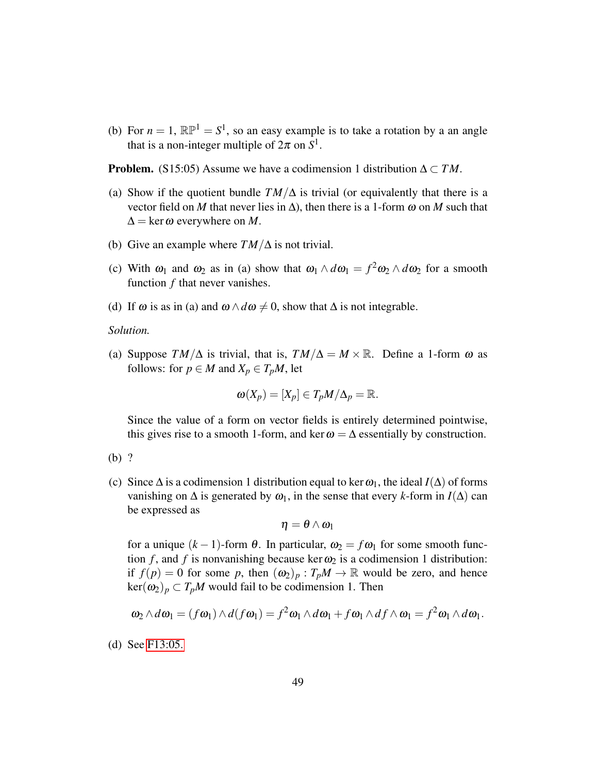(b) For  $n = 1$ ,  $\mathbb{RP}^1 = S^1$ , so an easy example is to take a rotation by a an angle that is a non-integer multiple of  $2\pi$  on  $S^1$ .

**Problem.** (S15:05) Assume we have a codimension 1 distribution  $\Delta \subset TM$ .

- (a) Show if the quotient bundle  $TM/\Delta$  is trivial (or equivalently that there is a vector field on *M* that never lies in  $\Delta$ ), then there is a 1-form  $\omega$  on *M* such that  $\Delta = \ker \omega$  everywhere on *M*.
- (b) Give an example where *TM*/∆ is not trivial.
- (c) With  $\omega_1$  and  $\omega_2$  as in (a) show that  $\omega_1 \wedge d\omega_1 = f^2 \omega_2 \wedge d\omega_2$  for a smooth function *f* that never vanishes.
- (d) If  $\omega$  is as in (a) and  $\omega \wedge d\omega \neq 0$ , show that  $\Delta$  is not integrable.

*Solution.*

(a) Suppose  $TM/\Delta$  is trivial, that is,  $TM/\Delta = M \times \mathbb{R}$ . Define a 1-form  $\omega$  as follows: for  $p \in M$  and  $X_p \in T_pM$ , let

$$
\omega(X_p)=[X_p]\in T_pM/\Delta_p=\mathbb{R}.
$$

Since the value of a form on vector fields is entirely determined pointwise, this gives rise to a smooth 1-form, and ker  $\omega = \Delta$  essentially by construction.

- (b) ?
- (c) Since  $\Delta$  is a codimension 1 distribution equal to ker  $\omega_1$ , the ideal *I*( $\Delta$ ) of forms vanishing on  $\Delta$  is generated by  $\omega_1$ , in the sense that every *k*-form in *I*( $\Delta$ ) can be expressed as

$$
\eta=\theta\wedge\omega_l
$$

for a unique  $(k-1)$ -form  $\theta$ . In particular,  $\omega_2 = f \omega_1$  for some smooth function *f*, and *f* is nonvanishing because ker  $\omega_2$  is a codimension 1 distribution: if  $f(p) = 0$  for some p, then  $(\omega_2)_p : T_pM \to \mathbb{R}$  would be zero, and hence  $\ker(\omega_2)_p \subset T_pM$  would fail to be codimension 1. Then

$$
\omega_2 \wedge d\omega_1 = (f\omega_1) \wedge d(f\omega_1) = f^2\omega_1 \wedge d\omega_1 + f\omega_1 \wedge df \wedge \omega_1 = f^2\omega_1 \wedge d\omega_1.
$$

(d) See [F13:05.](#page-30-0)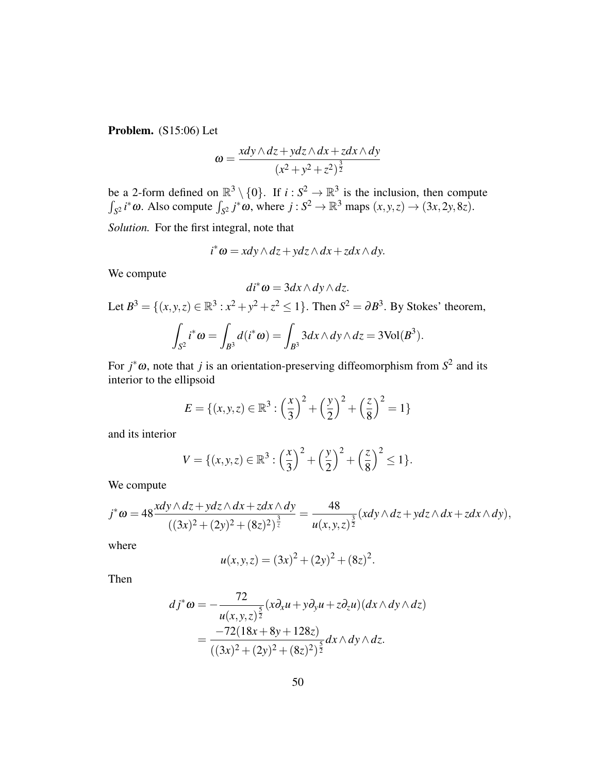Problem. (S15:06) Let

$$
\omega = \frac{xdy \wedge dz + ydz \wedge dx + zdx \wedge dy}{(x^2 + y^2 + z^2)^{\frac{3}{2}}}
$$

be a 2-form defined on  $\mathbb{R}^3 \setminus \{0\}$ . If  $i : S^2 \to \mathbb{R}^3$  is the inclusion, then compute  $\int_{S^2} i^* \omega$ . Also compute  $\int_{S^2} j^* \omega$ , where  $j : S^2 \to \mathbb{R}^3$  maps  $(x, y, z) \to (3x, 2y, 8z)$ .

*Solution.* For the first integral, note that

$$
i^*\omega = x dy \wedge dz + y dz \wedge dx + z dx \wedge dy.
$$

We compute

$$
di^*\omega=3dx\wedge dy\wedge dz.
$$

Let  $B^3 = \{(x, y, z) \in \mathbb{R}^3 : x^2 + y^2 + z^2 \le 1\}$ . Then  $S^2 = \partial B^3$ . By Stokes' theorem, 3

$$
\int_{S^2} i^* \omega = \int_{B^3} d(i^* \omega) = \int_{B^3} 3 dx \wedge dy \wedge dz = 3 \text{Vol}(B^3).
$$

For  $j^* \omega$ , note that *j* is an orientation-preserving diffeomorphism from  $S^2$  and its interior to the ellipsoid

$$
E = \{(x, y, z) \in \mathbb{R}^3 : \left(\frac{x}{3}\right)^2 + \left(\frac{y}{2}\right)^2 + \left(\frac{z}{8}\right)^2 = 1\}
$$

and its interior

$$
V = \{(x, y, z) \in \mathbb{R}^3 : \left(\frac{x}{3}\right)^2 + \left(\frac{y}{2}\right)^2 + \left(\frac{z}{8}\right)^2 \le 1\}.
$$

We compute

$$
j^*\omega=48\frac{xdy\wedge dz+ydz\wedge dx+zdx\wedge dy}{((3x)^2+(2y)^2+(8z)^2)^{\frac{3}{2}}}=\frac{48}{u(x,y,z)^{\frac{3}{2}}}(xdy\wedge dz+ydz\wedge dx+zdx\wedge dy),
$$

where

$$
u(x, y, z) = (3x)^2 + (2y)^2 + (8z)^2.
$$

Then

$$
dj^*\omega = -\frac{72}{u(x,y,z)^{\frac{5}{2}}}(x\partial_x u + y\partial_y u + z\partial_z u)(dx \wedge dy \wedge dz)
$$
  
= 
$$
\frac{-72(18x + 8y + 128z)}{((3x)^2 + (2y)^2 + (8z)^2)^{\frac{5}{2}}}dx \wedge dy \wedge dz.
$$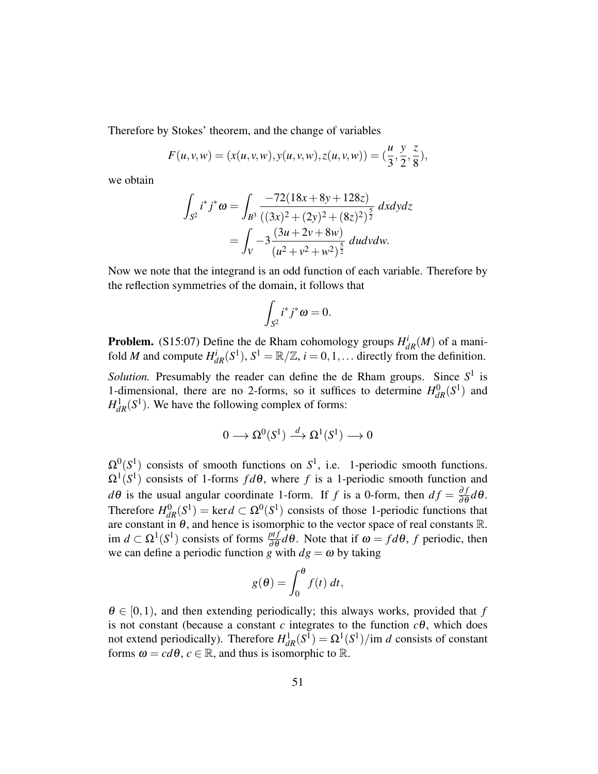Therefore by Stokes' theorem, and the change of variables

$$
F(u, v, w) = (x(u, v, w), y(u, v, w), z(u, v, w)) = (\frac{u}{3}, \frac{y}{2}, \frac{z}{8}),
$$

we obtain

$$
\int_{S^2} i^* j^* \omega = \int_{B^3} \frac{-72(18x + 8y + 128z)}{((3x)^2 + (2y)^2 + (8z)^2)^{\frac{5}{2}}} dx dy dz
$$

$$
= \int_V -3 \frac{(3u + 2v + 8w)}{(u^2 + v^2 + w^2)^{\frac{5}{2}}} du dv dw.
$$

Now we note that the integrand is an odd function of each variable. Therefore by the reflection symmetries of the domain, it follows that

$$
\int_{S^2} i^* j^* \omega = 0.
$$

**Problem.** (S15:07) Define the de Rham cohomology groups  $H_{dR}^{i}(M)$  of a manifold *M* and compute  $H_{dR}^i(S^1), S^1 = \mathbb{R}/\mathbb{Z}, i = 0, 1, \dots$  directly from the definition.

*Solution*. Presumably the reader can define the de Rham groups. Since  $S^1$  is 1-dimensional, there are no 2-forms, so it suffices to determine  $H_{dR}^{0}(S^{1})$  and  $H_{dR}^1(S^1)$ . We have the following complex of forms:

$$
0\longrightarrow \Omega^0(S^1)\stackrel{d}{\longrightarrow}\Omega^1(S^1)\longrightarrow 0
$$

 $\Omega^0(S^1)$  consists of smooth functions on  $S^1$ , i.e. 1-periodic smooth functions.  $\Omega^1(S^1)$  consists of 1-forms  $fd\theta$ , where f is a 1-periodic smooth function and  $d\theta$  is the usual angular coordinate 1-form. If *f* is a 0-form, then  $df = \frac{\partial f}{\partial \theta} d\theta$ . Therefore  $H_{dR}^{0}(S^1) = \text{ker } d \subset \Omega^{0}(S^1)$  consists of those 1-periodic functions that are constant in  $\theta$ , and hence is isomorphic to the vector space of real constants R. im  $d \subset \Omega^1(S^1)$  consists of forms  $\frac{ptf}{\partial \theta} d\theta$ . Note that if  $\omega = fd\theta$ , *f* periodic, then we can define a periodic function *g* with  $dg = \omega$  by taking

$$
g(\theta) = \int_0^{\theta} f(t) dt,
$$

 $\theta \in [0,1)$ , and then extending periodically; this always works, provided that f is not constant (because a constant  $c$  integrates to the function  $c\theta$ , which does not extend periodically). Therefore  $H_{dR}^1(S^1) = \Omega^1(S^1)/\text{im } d$  consists of constant forms  $\omega = cd\theta$ ,  $c \in \mathbb{R}$ , and thus is isomorphic to  $\mathbb{R}$ .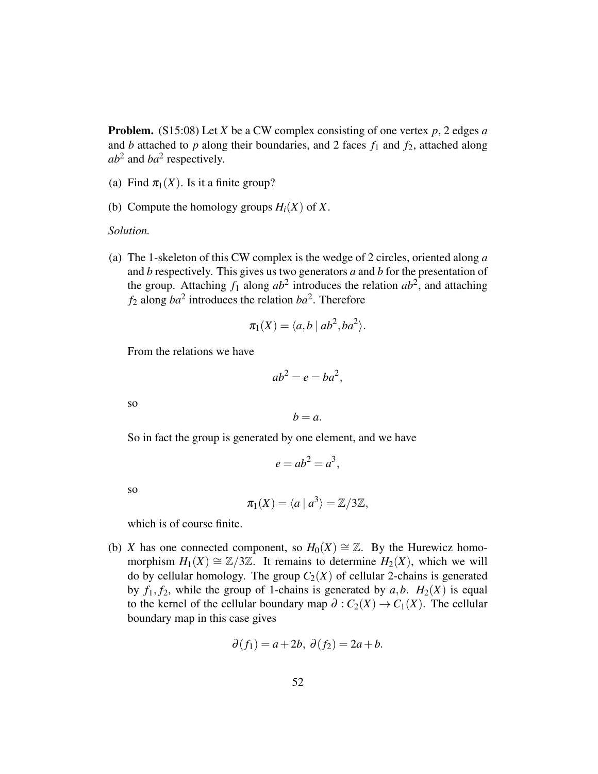Problem. (S15:08) Let *X* be a CW complex consisting of one vertex *p*, 2 edges *a* and *b* attached to *p* along their boundaries, and 2 faces  $f_1$  and  $f_2$ , attached along  $ab^2$  and  $ba^2$  respectively.

- (a) Find  $\pi_1(X)$ . Is it a finite group?
- (b) Compute the homology groups  $H_i(X)$  of X.

### *Solution.*

(a) The 1-skeleton of this CW complex is the wedge of 2 circles, oriented along *a* and *b* respectively. This gives us two generators *a* and *b* for the presentation of the group. Attaching  $f_1$  along  $ab^2$  introduces the relation  $ab^2$ , and attaching  $f_2$  along  $ba^2$  introduces the relation  $ba^2$ . Therefore

$$
\pi_1(X) = \langle a, b \mid ab^2, ba^2 \rangle.
$$

From the relations we have

$$
ab^2 = e = ba^2,
$$

so

$$
b=a.
$$

So in fact the group is generated by one element, and we have

$$
e = ab^2 = a^3,
$$

so

$$
\pi_1(X) = \langle a \mid a^3 \rangle = \mathbb{Z}/3\mathbb{Z},
$$

which is of course finite.

<span id="page-51-0"></span>(b) *X* has one connected component, so  $H_0(X) \cong \mathbb{Z}$ . By the Hurewicz homomorphism  $H_1(X) \cong \mathbb{Z}/3\mathbb{Z}$ . It remains to determine  $H_2(X)$ , which we will do by cellular homology. The group  $C_2(X)$  of cellular 2-chains is generated by  $f_1, f_2$ , while the group of 1-chains is generated by  $a, b$ .  $H_2(X)$  is equal to the kernel of the cellular boundary map  $\partial$  :  $C_2(X) \rightarrow C_1(X)$ . The cellular boundary map in this case gives

$$
\partial(f_1) = a + 2b, \ \partial(f_2) = 2a + b.
$$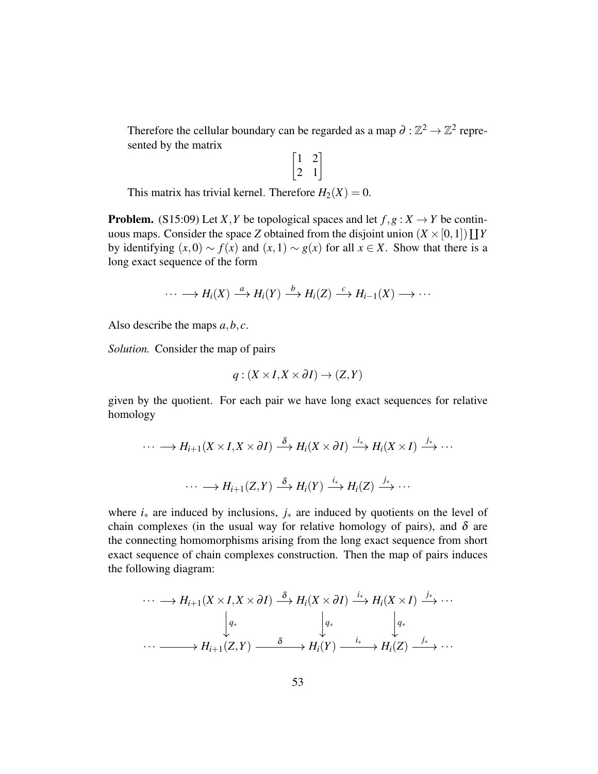Therefore the cellular boundary can be regarded as a map  $\partial : \mathbb{Z}^2 \to \mathbb{Z}^2$  represented by the matrix

 $\begin{bmatrix} 1 & 2 \\ 2 & 1 \end{bmatrix}$ 

This matrix has trivial kernel. Therefore  $H_2(X) = 0$ .

**Problem.** (S15:09) Let *X*, *Y* be topological spaces and let  $f, g: X \rightarrow Y$  be continuous maps. Consider the space *Z* obtained from the disjoint union  $(X \times [0,1]) \coprod Y$ by identifying  $(x,0) \sim f(x)$  and  $(x,1) \sim g(x)$  for all  $x \in X$ . Show that there is a long exact sequence of the form

$$
\cdots \longrightarrow H_i(X) \stackrel{a}{\longrightarrow} H_i(Y) \stackrel{b}{\longrightarrow} H_i(Z) \stackrel{c}{\longrightarrow} H_{i-1}(X) \longrightarrow \cdots
$$

Also describe the maps *a*,*b*, *c*.

*Solution.* Consider the map of pairs

$$
q: (X \times I, X \times \partial I) \to (Z, Y)
$$

given by the quotient. For each pair we have long exact sequences for relative homology

$$
\cdots \longrightarrow H_{i+1}(X \times I, X \times \partial I) \stackrel{\delta}{\longrightarrow} H_i(X \times \partial I) \stackrel{i_*}{\longrightarrow} H_i(X \times I) \stackrel{j_*}{\longrightarrow} \cdots
$$

$$
\cdots \longrightarrow H_{i+1}(Z, Y) \stackrel{\delta}{\longrightarrow} H_i(Y) \stackrel{i_*}{\longrightarrow} H_i(Z) \stackrel{j_*}{\longrightarrow} \cdots
$$

where *i*<sup>∗</sup> are induced by inclusions, *j*<sup>∗</sup> are induced by quotients on the level of chain complexes (in the usual way for relative homology of pairs), and  $\delta$  are the connecting homomorphisms arising from the long exact sequence from short exact sequence of chain complexes construction. Then the map of pairs induces the following diagram:

$$
\cdots \longrightarrow H_{i+1}(X \times I, X \times \partial I) \stackrel{\delta}{\longrightarrow} H_i(X \times \partial I) \stackrel{i_*}{\longrightarrow} H_i(X \times I) \stackrel{j_*}{\longrightarrow} \cdots
$$

$$
\downarrow q_* \qquad \qquad \downarrow q_*
$$

$$
\cdots \longrightarrow H_{i+1}(Z, Y) \stackrel{\delta}{\longrightarrow} H_i(Y) \stackrel{i_*}{\longrightarrow} H_i(Z) \stackrel{j_*}{\longrightarrow} \cdots
$$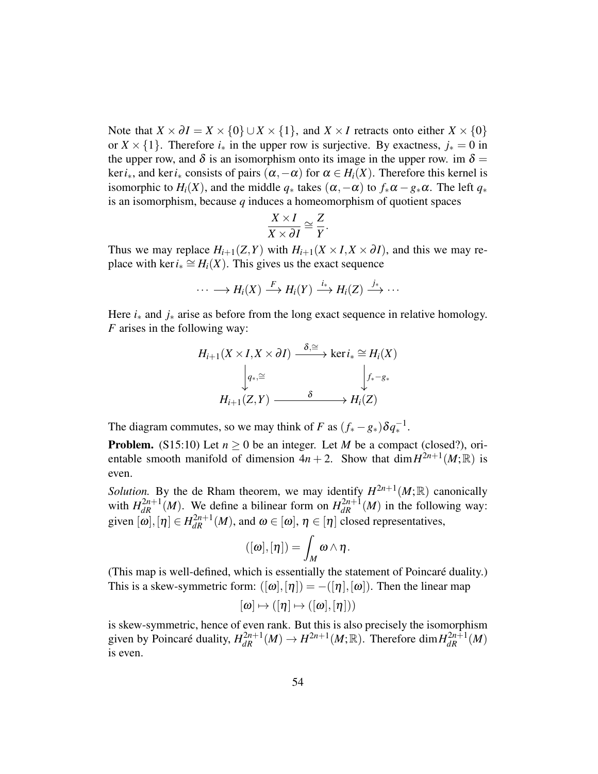Note that  $X \times \partial I = X \times \{0\} \cup X \times \{1\}$ , and  $X \times I$  retracts onto either  $X \times \{0\}$ or  $X \times \{1\}$ . Therefore  $i_*$  in the upper row is surjective. By exactness,  $j_* = 0$  in the upper row, and  $\delta$  is an isomorphism onto its image in the upper row. im  $\delta$  = ker*i*∗, and ker*i*<sup>∗</sup> consists of pairs (α,−α) for α ∈ *Hi*(*X*). Therefore this kernel is isomorphic to  $H_i(X)$ , and the middle  $q_*$  takes  $(\alpha, -\alpha)$  to  $f_*\alpha - g_*\alpha$ . The left  $q_*$ is an isomorphism, because *q* induces a homeomorphism of quotient spaces

$$
\frac{X \times I}{X \times \partial I} \cong \frac{Z}{Y}.
$$

Thus we may replace  $H_{i+1}(Z, Y)$  with  $H_{i+1}(X \times I, X \times \partial I)$ , and this we may replace with ker  $i_* \cong H_i(X)$ . This gives us the exact sequence

$$
\cdots \longrightarrow H_i(X) \stackrel{F}{\longrightarrow} H_i(Y) \stackrel{i_*}{\longrightarrow} H_i(Z) \stackrel{j_*}{\longrightarrow} \cdots
$$

Here *i*<sup>∗</sup> and *j*<sup>∗</sup> arise as before from the long exact sequence in relative homology. *F* arises in the following way:

$$
H_{i+1}(X \times I, X \times \partial I) \xrightarrow{\delta, \cong} \ker i_* \cong H_i(X)
$$

$$
\downarrow q_{*,} \cong \qquad \qquad \downarrow f_* - g_*
$$

$$
H_{i+1}(Z, Y) \xrightarrow{\delta} H_i(Z)
$$

The diagram commutes, so we may think of *F* as  $(f_* - g_*) \delta q_*^{-1}$ .

**Problem.** (S15:10) Let  $n \ge 0$  be an integer. Let *M* be a compact (closed?), orientable smooth manifold of dimension  $4n + 2$ . Show that  $\dim H^{2n+1}(M;\mathbb{R})$  is even.

*Solution*. By the de Rham theorem, we may identify  $H^{2n+1}(M;\mathbb{R})$  canonically with  $H_{dR}^{2n+1}(M)$ . We define a bilinear form on  $H_{dR}^{2n+1}(M)$  in the following way: given  $[\omega], [\eta] \in H_{dR}^{2n+1}(M)$ , and  $\omega \in [\omega], \eta \in [\eta]$  closed representatives,

$$
([\omega],[\eta])=\int_M\omega\wedge\eta.
$$

(This map is well-defined, which is essentially the statement of Poincare duality.) ´ This is a skew-symmetric form:  $([\omega], [\eta]) = -([\eta], [\omega])$ . Then the linear map

$$
[\omega]\mapsto ([\eta]\mapsto ([\omega],[\eta]))
$$

is skew-symmetric, hence of even rank. But this is also precisely the isomorphism given by Poincaré duality,  $H_{dR}^{2n+1}(M) \to H^{2n+1}(M;\mathbb{R})$ . Therefore dim $H_{dR}^{2n+1}(M)$ is even.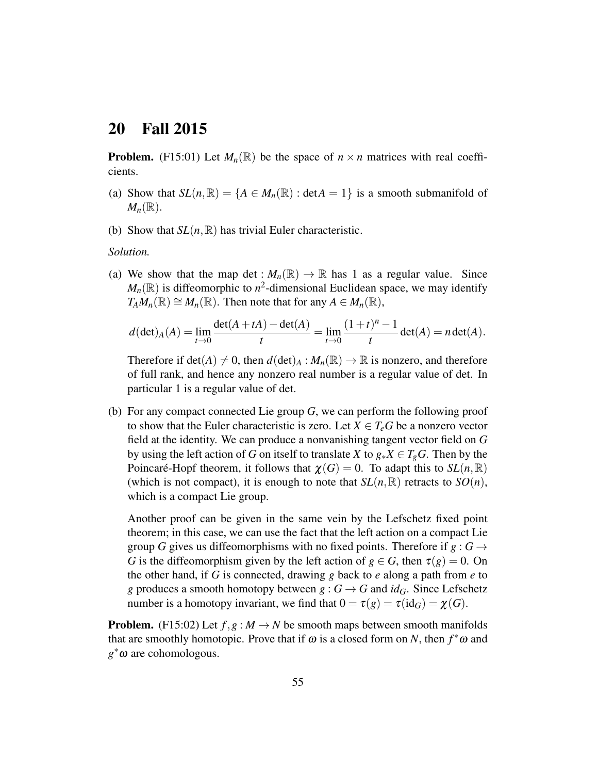# <span id="page-54-0"></span>20 Fall 2015

**Problem.** (F15:01) Let  $M_n(\mathbb{R})$  be the space of  $n \times n$  matrices with real coefficients.

- (a) Show that  $SL(n, \mathbb{R}) = \{A \in M_n(\mathbb{R}) : \text{det}A = 1\}$  is a smooth submanifold of  $M_n(\mathbb{R})$ .
- (b) Show that  $SL(n, \mathbb{R})$  has trivial Euler characteristic.

#### *Solution.*

(a) We show that the map det :  $M_n(\mathbb{R}) \to \mathbb{R}$  has 1 as a regular value. Since  $M_n(\mathbb{R})$  is diffeomorphic to  $n^2$ -dimensional Euclidean space, we may identify  $T_A M_n(\mathbb{R}) \cong M_n(\mathbb{R})$ . Then note that for any  $A \in M_n(\mathbb{R})$ ,

$$
d(\det)_A(A)=\lim_{t\to 0}\frac{\det(A+tA)-\det(A)}{t}=\lim_{t\to 0}\frac{(1+t)^n-1}{t}\det(A)=n\det(A).
$$

Therefore if  $det(A) \neq 0$ , then  $d(det)_A : M_n(\mathbb{R}) \to \mathbb{R}$  is nonzero, and therefore of full rank, and hence any nonzero real number is a regular value of det. In particular 1 is a regular value of det.

(b) For any compact connected Lie group *G*, we can perform the following proof to show that the Euler characteristic is zero. Let  $X \in T_e$ *G* be a nonzero vector field at the identity. We can produce a nonvanishing tangent vector field on *G* by using the left action of *G* on itself to translate *X* to  $g_*X \in T_gG$ . Then by the Poincaré-Hopf theorem, it follows that  $\chi(G) = 0$ . To adapt this to  $SL(n, \mathbb{R})$ (which is not compact), it is enough to note that  $SL(n,\mathbb{R})$  retracts to  $SO(n)$ , which is a compact Lie group.

Another proof can be given in the same vein by the Lefschetz fixed point theorem; in this case, we can use the fact that the left action on a compact Lie group *G* gives us diffeomorphisms with no fixed points. Therefore if  $g: G \rightarrow$ *G* is the diffeomorphism given by the left action of  $g \in G$ , then  $\tau(g) = 0$ . On the other hand, if *G* is connected, drawing *g* back to *e* along a path from *e* to *g* produces a smooth homotopy between  $g : G \to G$  and  $id_G$ . Since Lefschetz number is a homotopy invariant, we find that  $0 = \tau(g) = \tau(\mathrm{id}_G) = \chi(G)$ .

**Problem.** (F15:02) Let  $f, g: M \to N$  be smooth maps between smooth manifolds that are smoothly homotopic. Prove that if  $\omega$  is a closed form on *N*, then  $f^*\omega$  and *g* <sup>∗</sup>ω are cohomologous.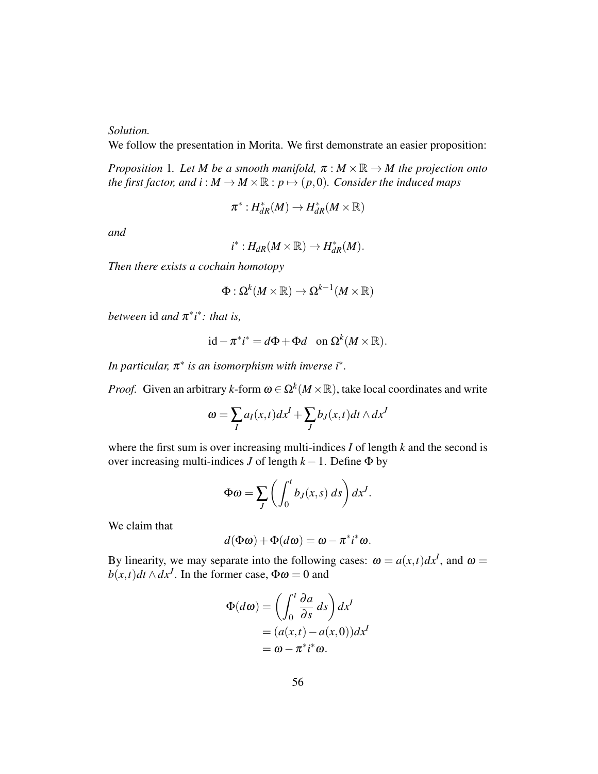*Solution.*

We follow the presentation in Morita. We first demonstrate an easier proposition:

<span id="page-55-0"></span>*Proposition* 1*. Let M be a smooth manifold,*  $\pi : M \times \mathbb{R} \to M$  the projection onto *the first factor, and i* :  $M \rightarrow M \times \mathbb{R}$  :  $p \mapsto (p,0)$ *. Consider the induced maps* 

$$
\pi^*: H^*_{dR}(M) \to H^*_{dR}(M\times \mathbb{R})
$$

*and*

$$
i^*: H_{dR}(M\times\mathbb{R})\to H^*_{dR}(M).
$$

*Then there exists a cochain homotopy*

$$
\Phi:\Omega^k(M\times\mathbb{R})\to\Omega^{k-1}(M\times\mathbb{R})
$$

*between* id *and*  $\pi^*$ *i*<sup> $*$ </sup>*: that is,* 

$$
id - \pi^* i^* = d\Phi + \Phi d \quad \text{on } \Omega^k(M \times \mathbb{R}).
$$

*In particular,* π ∗ *is an isomorphism with inverse i*<sup>∗</sup> *.*

*Proof.* Given an arbitrary *k*-form  $\omega \in \Omega^k(M \times \mathbb{R})$ , take local coordinates and write

$$
\omega = \sum_{I} a_{I}(x,t) dx^{I} + \sum_{J} b_{J}(x,t) dt \wedge dx^{J}
$$

where the first sum is over increasing multi-indices *I* of length *k* and the second is over increasing multi-indices *J* of length  $k - 1$ . Define  $\Phi$  by

$$
\Phi \omega = \sum_{J} \left( \int_0^t b_J(x, s) \, ds \right) dx^J.
$$

We claim that

$$
d(\Phi\omega) + \Phi(d\omega) = \omega - \pi^* i^* \omega.
$$

By linearity, we may separate into the following cases:  $\omega = a(x,t)dx^I$ , and  $\omega =$  $b(x,t)dt \wedge dx^J$ . In the former case,  $\Phi \omega = 0$  and

$$
\Phi(d\omega) = \left(\int_0^t \frac{\partial a}{\partial s} ds\right) dx^I
$$
  
=  $(a(x,t) - a(x,0))dx^I$   
=  $\omega - \pi^* i^* \omega$ .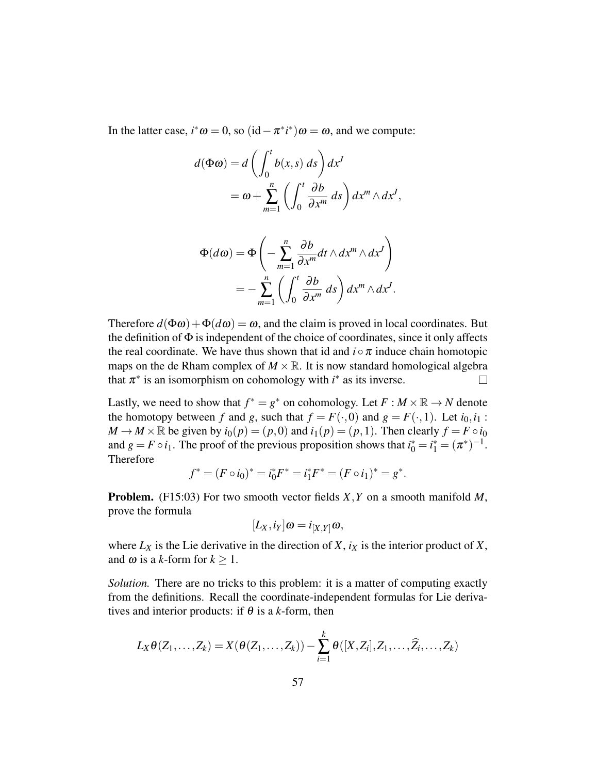In the latter case,  $i^* \omega = 0$ , so  $(id - \pi^* i^*) \omega = \omega$ , and we compute:

$$
d(\Phi \omega) = d \left( \int_0^t b(x, s) \, ds \right) dx^J
$$
  
=  $\omega + \sum_{m=1}^n \left( \int_0^t \frac{\partial b}{\partial x^m} \, ds \right) dx^m \wedge dx^J,$ 

$$
\Phi(d\omega) = \Phi\left(-\sum_{m=1}^{n} \frac{\partial b}{\partial x^m} dt \wedge dx^m \wedge dx^J\right)
$$
  
= 
$$
-\sum_{m=1}^{n} \left(\int_0^t \frac{\partial b}{\partial x^m} ds\right) dx^m \wedge dx^J.
$$

Therefore  $d(\Phi \omega) + \Phi(d\omega) = \omega$ , and the claim is proved in local coordinates. But the definition of  $\Phi$  is independent of the choice of coordinates, since it only affects the real coordinate. We have thus shown that id and  $i \circ \pi$  induce chain homotopic maps on the de Rham complex of  $M \times \mathbb{R}$ . It is now standard homological algebra that  $\pi^*$  is an isomorphism on cohomology with  $i^*$  as its inverse.  $\Box$ 

Lastly, we need to show that  $f^* = g^*$  on cohomology. Let  $F : M \times \mathbb{R} \to N$  denote the homotopy between *f* and *g*, such that  $f = F(\cdot, 0)$  and  $g = F(\cdot, 1)$ . Let  $i_0, i_1$ :  $M \rightarrow M \times \mathbb{R}$  be given by  $i_0(p) = (p, 0)$  and  $i_1(p) = (p, 1)$ . Then clearly  $f = F \circ i_0$ and  $g = F \circ i_1$ . The proof of the previous proposition shows that  $i_0^* = i_1^* = (\pi^*)^{-1}$ . Therefore

$$
f^* = (F \circ i_0)^* = i_0^* F^* = i_1^* F^* = (F \circ i_1)^* = g^*.
$$

Problem. (F15:03) For two smooth vector fields *X*,*Y* on a smooth manifold *M*, prove the formula

$$
[L_X,i_Y]\omega=i_{[X,Y]}\omega,
$$

where  $L_X$  is the Lie derivative in the direction of *X*,  $i_X$  is the interior product of *X*, and  $\omega$  is a *k*-form for  $k > 1$ .

*Solution.* There are no tricks to this problem: it is a matter of computing exactly from the definitions. Recall the coordinate-independent formulas for Lie derivatives and interior products: if  $\theta$  is a *k*-form, then

$$
L_X\theta(Z_1,\ldots,Z_k)=X(\theta(Z_1,\ldots,Z_k))-\sum_{i=1}^k\theta([X,Z_i],Z_1,\ldots,\widehat{Z_i},\ldots,Z_k)
$$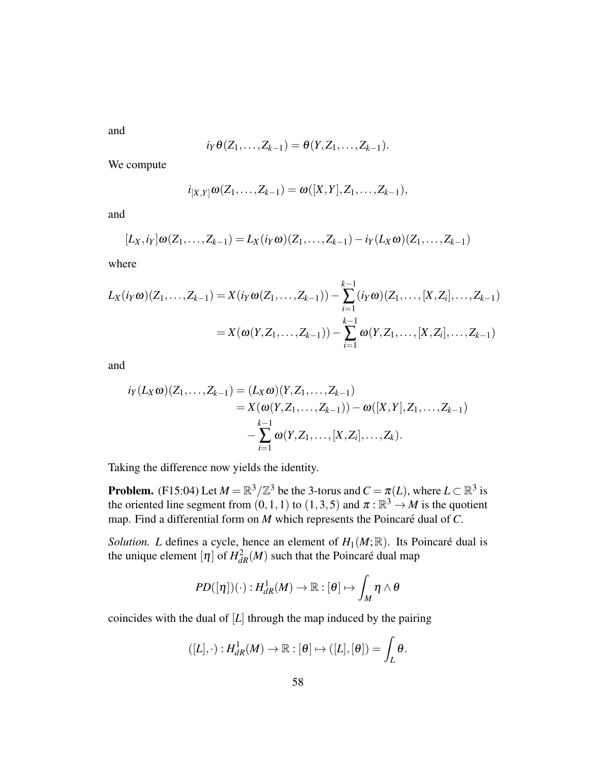and

$$
i_Y\theta(Z_1,\ldots,Z_{k-1})=\theta(Y,Z_1,\ldots,Z_{k-1}).
$$

We compute

$$
i_{[X,Y]}\omega(Z_1,\ldots,Z_{k-1})=\omega([X,Y],Z_1,\ldots,Z_{k-1}),
$$

and

$$
[L_X,i_Y]\omega(Z_1,\ldots,Z_{k-1})=L_X(i_Y\omega)(Z_1,\ldots,Z_{k-1})-i_Y(L_X\omega)(Z_1,\ldots,Z_{k-1})
$$

where

$$
L_X(i_Y\omega)(Z_1,\ldots,Z_{k-1}) = X(i_Y\omega(Z_1,\ldots,Z_{k-1})) - \sum_{i=1}^{k-1} (i_Y\omega)(Z_1,\ldots,[X,Z_i],\ldots,Z_{k-1})
$$
  
=  $X(\omega(Y,Z_1,\ldots,Z_{k-1})) - \sum_{i=1}^{k-1} \omega(Y,Z_1,\ldots,[X,Z_i],\ldots,Z_{k-1})$ 

and

$$
i_{Y}(L_{X}\omega)(Z_{1},...,Z_{k-1}) = (L_{X}\omega)(Y,Z_{1},...,Z_{k-1})
$$
  
=  $X(\omega(Y,Z_{1},...,Z_{k-1})) - \omega([X,Y],Z_{1},...,Z_{k-1})$   

$$
-\sum_{i=1}^{k-1} \omega(Y,Z_{1},...,[X,Z_{i}],...,Z_{k}).
$$

Taking the difference now yields the identity.

**Problem.** (F15:04) Let  $M = \mathbb{R}^3/\mathbb{Z}^3$  be the 3-torus and  $C = \pi(L)$ , where  $L \subset \mathbb{R}^3$  is the oriented line segment from  $(0,1,1)$  to  $(1,3,5)$  and  $\pi:\mathbb{R}^3 \to M$  is the quotient map. Find a differential form on  $M$  which represents the Poincaré dual of  $C$ .

*Solution. L* defines a cycle, hence an element of  $H_1(M;\mathbb{R})$ . Its Poincaré dual is the unique element  $[\eta]$  of  $H_{dR}^2(M)$  such that the Poincaré dual map

$$
PD([\eta])(\cdot):H^1_{dR}(M)\to\mathbb{R}:[\theta]\mapsto\int_M\eta\wedge\theta
$$

coincides with the dual of [*L*] through the map induced by the pairing

$$
([L], \cdot): H^1_{dR}(M) \to \mathbb{R}: [\theta] \mapsto ([L], [\theta]) = \int_L \theta.
$$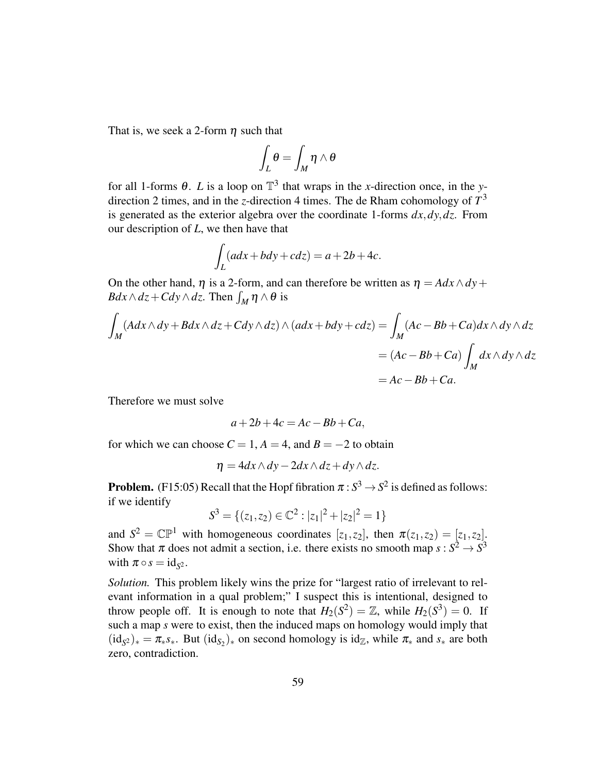That is, we seek a 2-form  $\eta$  such that

$$
\int_L\theta=\int_M\eta\wedge\theta
$$

for all 1-forms  $\theta$ . *L* is a loop on  $\mathbb{T}^3$  that wraps in the *x*-direction once, in the *y*direction 2 times, and in the *z*-direction 4 times. The de Rham cohomology of *T* 3 is generated as the exterior algebra over the coordinate 1-forms *dx*,*dy*,*dz*. From our description of *L*, we then have that

$$
\int_L (adx + bdy + cdz) = a + 2b + 4c.
$$

On the other hand,  $\eta$  is a 2-form, and can therefore be written as  $\eta = A dx \wedge dy +$  $Bdx \wedge dz + Cdy \wedge dz$ . Then  $\int_M \eta \wedge \theta$  is

$$
\int_{M} (Adx \wedge dy + Bdx \wedge dz + Cdy \wedge dz) \wedge (adx + bdy + cdz) = \int_{M} (Ac - Bb + Ca)dx \wedge dy \wedge dz
$$
  
=  $(Ac - Bb + Ca) \int_{M} dx \wedge dy \wedge dz$   
=  $Ac - Bb + Ca$ .

Therefore we must solve

$$
a+2b+4c = Ac - Bb + Ca,
$$

for which we can choose  $C = 1$ ,  $A = 4$ , and  $B = -2$  to obtain

$$
\eta = 4dx \wedge dy - 2dx \wedge dz + dy \wedge dz.
$$

**Problem.** (F15:05) Recall that the Hopf fibration  $\pi : S^3 \to S^2$  is defined as follows: if we identify

$$
S^3=\{(z_1,z_2)\in\mathbb{C}^2:|z_1|^2+|z_2|^2=1\}
$$

and  $S^2 = \mathbb{CP}^1$  with homogeneous coordinates  $[z_1, z_2]$ , then  $\pi(z_1, z_2) = [z_1, z_2]$ . Show that  $\pi$  does not admit a section, i.e. there exists no smooth map  $s: S^2 \to S^3$ with  $\pi \circ s = \mathrm{id}_{S^2}$ .

*Solution.* This problem likely wins the prize for "largest ratio of irrelevant to relevant information in a qual problem;" I suspect this is intentional, designed to throw people off. It is enough to note that  $H_2(S^2) = \mathbb{Z}$ , while  $H_2(S^3) = 0$ . If such a map *s* were to exist, then the induced maps on homology would imply that  $(id_{S^2})_* = \pi_* s_*$ . But  $(id_{S_2})_*$  on second homology is  $id_{\mathbb{Z}}$ , while  $\pi_*$  and  $s_*$  are both zero, contradiction.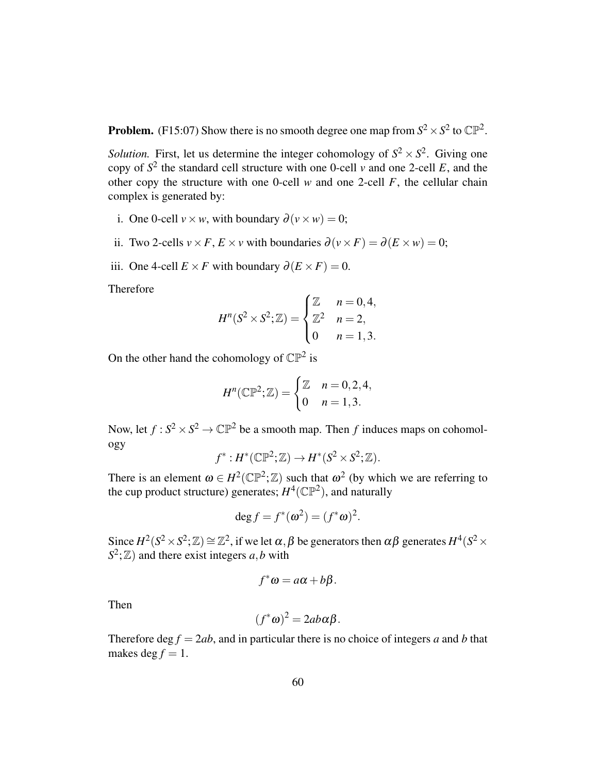**Problem.** (F15:07) Show there is no smooth degree one map from  $S^2 \times S^2$  to  $\mathbb{CP}^2$ .

*Solution.* First, let us determine the integer cohomology of  $S^2 \times S^2$ . Giving one copy of  $S^2$  the standard cell structure with one 0-cell *v* and one 2-cell *E*, and the other copy the structure with one 0-cell  $w$  and one 2-cell  $F$ , the cellular chain complex is generated by:

- i. One 0-cell  $v \times w$ , with boundary  $\partial (v \times w) = 0$ ;
- ii. Two 2-cells  $v \times F$ ,  $E \times v$  with boundaries  $\partial(v \times F) = \partial(E \times w) = 0$ ;
- iii. One 4-cell  $E \times F$  with boundary  $\partial(E \times F) = 0$ .

Therefore

$$
H^{n}(S^{2} \times S^{2}; \mathbb{Z}) = \begin{cases} \mathbb{Z} & n = 0, 4, \\ \mathbb{Z}^{2} & n = 2, \\ 0 & n = 1, 3. \end{cases}
$$

On the other hand the cohomology of  $\mathbb{CP}^2$  is

$$
H^{n}(\mathbb{CP}^{2}; \mathbb{Z}) = \begin{cases} \mathbb{Z} & n = 0, 2, 4, \\ 0 & n = 1, 3. \end{cases}
$$

Now, let  $f: S^2 \times S^2 \to \mathbb{CP}^2$  be a smooth map. Then *f* induces maps on cohomology

$$
f^*: H^*(\mathbb{CP}^2; \mathbb{Z}) \to H^*(S^2 \times S^2; \mathbb{Z}).
$$

There is an element  $\omega \in H^2(\mathbb{CP}^2;\mathbb{Z})$  such that  $\omega^2$  (by which we are referring to the cup product structure) generates;  $H^4(\mathbb{CP}^2)$ , and naturally

$$
\deg f = f^*(\omega^2) = (f^*\omega)^2.
$$

Since  $H^2(S^2 \times S^2; \mathbb{Z}) \cong \mathbb{Z}^2$ , if we let  $\alpha, \beta$  be generators then  $\alpha\beta$  generates  $H^4(S^2 \times S^2; \mathbb{Z})$  $S^2$ ;  $\mathbb{Z}$ ) and there exist integers *a*,*b* with

$$
f^*\omega = a\alpha + b\beta.
$$

Then

$$
(f^*\omega)^2 = 2ab\alpha\beta.
$$

Therefore deg  $f = 2ab$ , and in particular there is no choice of integers *a* and *b* that makes deg  $f = 1$ .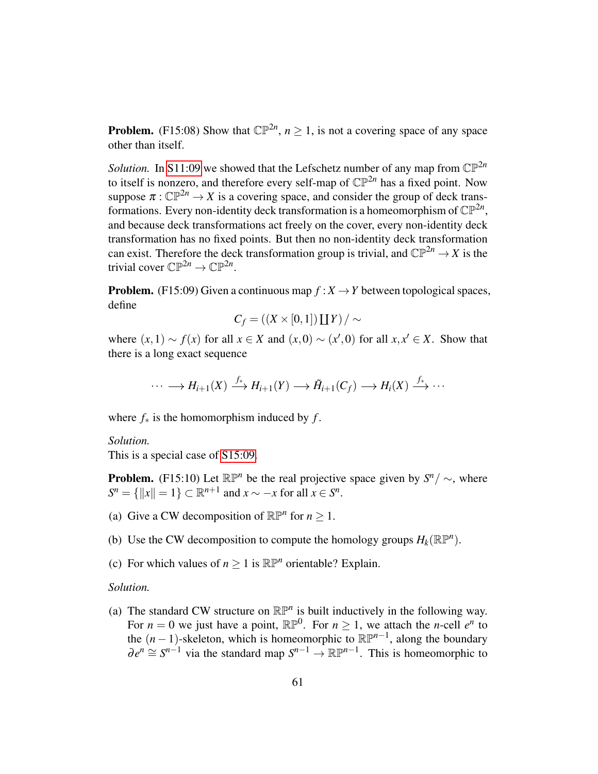**Problem.** (F15:08) Show that  $\mathbb{CP}^{2n}$ ,  $n \geq 1$ , is not a covering space of any space other than itself.

*Solution.* In [S11:09](#page-13-1) we showed that the Lefschetz number of any map from  $\mathbb{CP}^{2n}$ to itself is nonzero, and therefore every self-map of  $\mathbb{CP}^{2n}$  has a fixed point. Now suppose  $\pi: \mathbb{CP}^{2n} \to X$  is a covering space, and consider the group of deck transformations. Every non-identity deck transformation is a homeomorphism of  $\mathbb{CP}^{2n}$ , and because deck transformations act freely on the cover, every non-identity deck transformation has no fixed points. But then no non-identity deck transformation can exist. Therefore the deck transformation group is trivial, and  $\mathbb{CP}^{2n} \to X$  is the trivial cover  $\mathbb{CP}^{2n} \to \mathbb{CP}^{2n}$ .

**Problem.** (F15:09) Given a continuous map  $f: X \rightarrow Y$  between topological spaces, define

$$
C_f = ((X \times [0,1]) \coprod Y) / \sim
$$

where  $(x,1) \sim f(x)$  for all  $x \in X$  and  $(x,0) \sim (x',0)$  for all  $x, x' \in X$ . Show that there is a long exact sequence

$$
\cdots \longrightarrow H_{i+1}(X) \stackrel{f_*}{\longrightarrow} H_{i+1}(Y) \longrightarrow \tilde{H}_{i+1}(C_f) \longrightarrow H_i(X) \stackrel{f_*}{\longrightarrow} \cdots
$$

where  $f_*$  is the homomorphism induced by  $f$ .

*Solution.*

This is a special case of [S15:09.](#page-51-0)

**Problem.** (F15:10) Let  $\mathbb{RP}^n$  be the real projective space given by  $S^n / \sim$ , where  $S^n = \{ ||x|| = 1 \} \subset \mathbb{R}^{n+1}$  and  $x \sim -x$  for all  $x \in S^n$ .

- (a) Give a CW decomposition of  $\mathbb{RP}^n$  for  $n \geq 1$ .
- (b) Use the CW decomposition to compute the homology groups  $H_k(\mathbb{RP}^n)$ .
- (c) For which values of  $n \geq 1$  is  $\mathbb{RP}^n$  orientable? Explain.

*Solution.*

(a) The standard CW structure on  $\mathbb{RP}^n$  is built inductively in the following way. For  $n = 0$  we just have a point,  $\mathbb{RP}^0$ . For  $n \ge 1$ , we attach the *n*-cell  $e^n$  to the  $(n-1)$ -skeleton, which is homeomorphic to  $\mathbb{RP}^{n-1}$ , along the boundary  $\partial e^n \cong S^{n-1}$  via the standard map  $S^{n-1} \to \mathbb{R} \mathbb{P}^{n-1}$ . This is homeomorphic to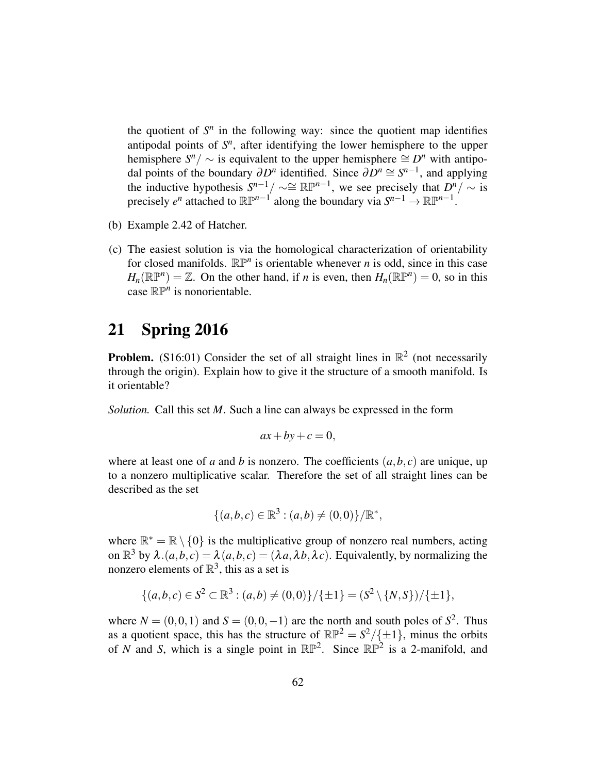the quotient of  $S<sup>n</sup>$  in the following way: since the quotient map identifies antipodal points of  $S<sup>n</sup>$ , after identifying the lower hemisphere to the upper hemisphere  $S^n / \sim$  is equivalent to the upper hemisphere  $\cong D^n$  with antipodal points of the boundary  $\partial D^n$  identified. Since  $\partial D^n \cong S^{n-1}$ , and applying the inductive hypothesis  $S^{n-1}/\sim \cong \mathbb{RP}^{n-1}$ , we see precisely that  $D^n/\sim$  is precisely  $e^n$  attached to  $\mathbb{RP}^{n-1}$  along the boundary via  $S^{n-1} \to \mathbb{RP}^{n-1}$ .

- (b) Example 2.42 of Hatcher.
- (c) The easiest solution is via the homological characterization of orientability for closed manifolds.  $\mathbb{RP}^n$  is orientable whenever *n* is odd, since in this case  $H_n(\mathbb{RP}^n) = \mathbb{Z}$ . On the other hand, if *n* is even, then  $H_n(\mathbb{RP}^n) = 0$ , so in this case  $\mathbb{RP}^n$  is nonorientable.

# <span id="page-61-0"></span>21 Spring 2016

**Problem.** (S16:01) Consider the set of all straight lines in  $\mathbb{R}^2$  (not necessarily through the origin). Explain how to give it the structure of a smooth manifold. Is it orientable?

*Solution.* Call this set *M*. Such a line can always be expressed in the form

$$
ax + by + c = 0,
$$

where at least one of *a* and *b* is nonzero. The coefficients  $(a, b, c)$  are unique, up to a nonzero multiplicative scalar. Therefore the set of all straight lines can be described as the set

$$
\{(a,b,c) \in \mathbb{R}^3 : (a,b) \neq (0,0)\}/\mathbb{R}^*,
$$

where  $\mathbb{R}^* = \mathbb{R} \setminus \{0\}$  is the multiplicative group of nonzero real numbers, acting on  $\mathbb{R}^3$  by  $\lambda.(a,b,c) = \lambda(a,b,c) = (\lambda a, \lambda b, \lambda c)$ . Equivalently, by normalizing the nonzero elements of  $\mathbb{R}^3$ , this as a set is

$$
\{(a,b,c)\in S^2\subset \mathbb{R}^3 : (a,b)\neq (0,0)\}/\{\pm 1\} = (S^2\setminus \{N,S\})/\{\pm 1\},\
$$

where  $N = (0,0,1)$  and  $S = (0,0,-1)$  are the north and south poles of  $S^2$ . Thus as a quotient space, this has the structure of  $\mathbb{RP}^2 = S^2/\{\pm 1\}$ , minus the orbits of *N* and *S*, which is a single point in  $\mathbb{RP}^2$ . Since  $\mathbb{RP}^2$  is a 2-manifold, and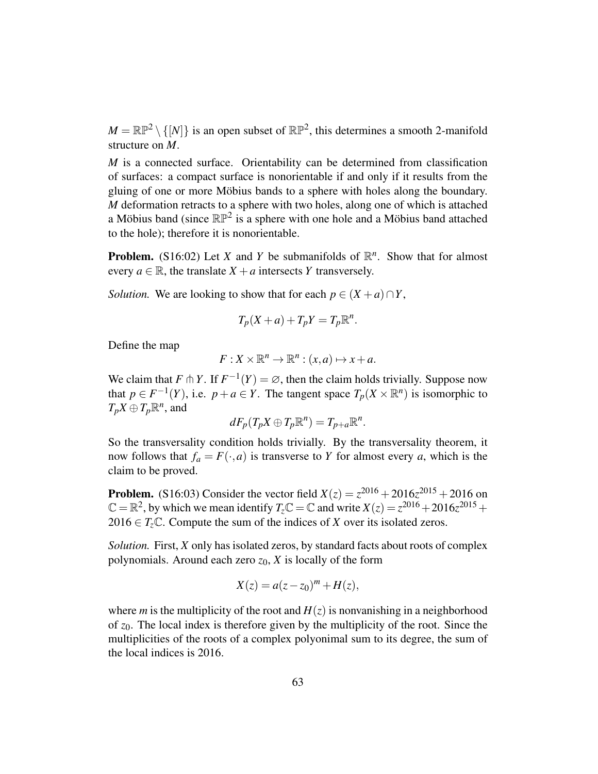$M = \mathbb{RP}^2 \setminus \{[N]\}$  is an open subset of  $\mathbb{RP}^2$ , this determines a smooth 2-manifold structure on *M*.

*M* is a connected surface. Orientability can be determined from classification of surfaces: a compact surface is nonorientable if and only if it results from the gluing of one or more Möbius bands to a sphere with holes along the boundary. *M* deformation retracts to a sphere with two holes, along one of which is attached a Möbius band (since  $\mathbb{RP}^2$  is a sphere with one hole and a Möbius band attached to the hole); therefore it is nonorientable.

**Problem.** (S16:02) Let *X* and *Y* be submanifolds of  $\mathbb{R}^n$ . Show that for almost every  $a \in \mathbb{R}$ , the translate  $X + a$  intersects *Y* transversely.

*Solution.* We are looking to show that for each  $p \in (X + a) \cap Y$ ,

$$
T_p(X+a)+T_pY=T_p\mathbb{R}^n.
$$

Define the map

$$
F: X \times \mathbb{R}^n \to \mathbb{R}^n : (x, a) \mapsto x + a.
$$

We claim that *F*  $\uparrow$  *Y*. If  $F^{-1}(Y) = \emptyset$ , then the claim holds trivially. Suppose now that  $p \in F^{-1}(Y)$ , i.e.  $p + a \in Y$ . The tangent space  $T_p(X \times \mathbb{R}^n)$  is isomorphic to  $T_pX \oplus T_p\mathbb{R}^n$ , and

$$
dF_p(T_pX\oplus T_p\mathbb{R}^n)=T_{p+a}\mathbb{R}^n.
$$

So the transversality condition holds trivially. By the transversality theorem, it now follows that  $f_a = F(\cdot, a)$  is transverse to *Y* for almost every *a*, which is the claim to be proved.

**Problem.** (S16:03) Consider the vector field  $X(z) = z^{2016} + 2016z^{2015} + 2016$  on  $\mathbb{C} = \mathbb{R}^2$ , by which we mean identify  $T_z \mathbb{C} = \mathbb{C}$  and write  $X(z) = z^{2016} + 2016z^{2015} +$  $2016 \in T<sub>z</sub>\mathbb{C}$ . Compute the sum of the indices of *X* over its isolated zeros.

*Solution.* First, *X* only has isolated zeros, by standard facts about roots of complex polynomials. Around each zero  $z_0$ ,  $X$  is locally of the form

$$
X(z) = a(z - z_0)^m + H(z),
$$

where *m* is the multiplicity of the root and  $H(z)$  is nonvanishing in a neighborhood of *z*0. The local index is therefore given by the multiplicity of the root. Since the multiplicities of the roots of a complex polyonimal sum to its degree, the sum of the local indices is 2016.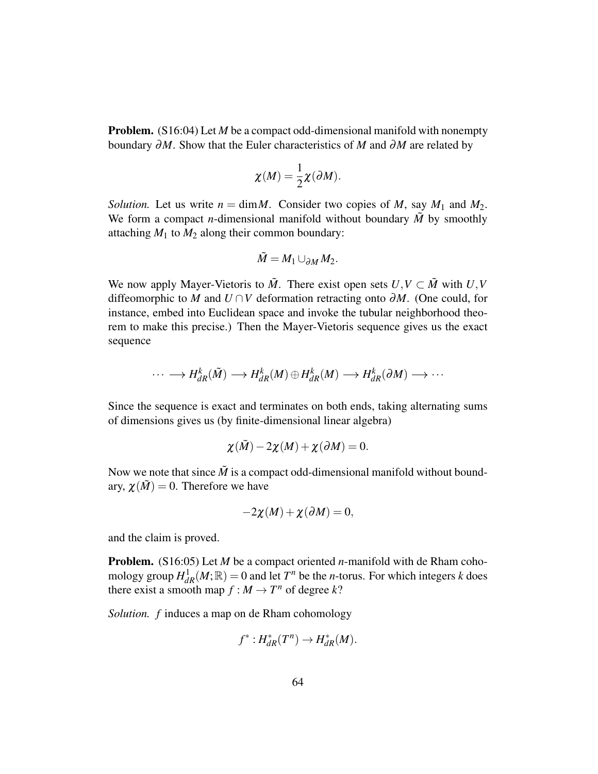**Problem.** (S16:04) Let *M* be a compact odd-dimensional manifold with nonempty boundary ∂*M*. Show that the Euler characteristics of *M* and ∂*M* are related by

$$
\chi(M) = \frac{1}{2}\chi(\partial M).
$$

*Solution.* Let us write  $n = \dim M$ . Consider two copies of M, say  $M_1$  and  $M_2$ . We form a compact *n*-dimensional manifold without boundary  $\tilde{M}$  by smoothly attaching  $M_1$  to  $M_2$  along their common boundary:

$$
\tilde{M}=M_1\cup_{\partial M}M_2.
$$

We now apply Mayer-Vietoris to  $\tilde{M}$ . There exist open sets  $U, V \subset \tilde{M}$  with  $U, V$ diffeomorphic to *M* and *U* ∩*V* deformation retracting onto ∂*M*. (One could, for instance, embed into Euclidean space and invoke the tubular neighborhood theorem to make this precise.) Then the Mayer-Vietoris sequence gives us the exact sequence

$$
\cdots \longrightarrow H_{dR}^k(\tilde{M}) \longrightarrow H_{dR}^k(M) \oplus H_{dR}^k(M) \longrightarrow H_{dR}^k(\partial M) \longrightarrow \cdots
$$

Since the sequence is exact and terminates on both ends, taking alternating sums of dimensions gives us (by finite-dimensional linear algebra)

$$
\chi(\tilde{M})-2\chi(M)+\chi(\partial M)=0.
$$

Now we note that since  $\tilde{M}$  is a compact odd-dimensional manifold without boundary,  $\chi(\tilde{M}) = 0$ . Therefore we have

$$
-2\chi(M)+\chi(\partial M)=0,
$$

and the claim is proved.

Problem. (S16:05) Let *M* be a compact oriented *n*-manifold with de Rham cohomology group  $H_{dR}^1(M; \mathbb{R}) = 0$  and let  $T^n$  be the *n*-torus. For which integers *k* does there exist a smooth map  $f : M \to T^n$  of degree k?

*Solution. f* induces a map on de Rham cohomology

$$
f^*: H^*_{dR}(T^n) \to H^*_{dR}(M).
$$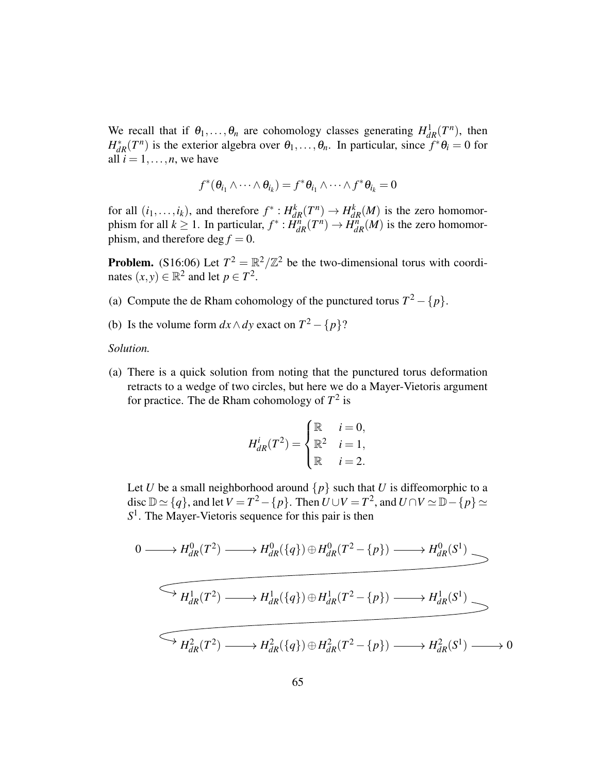We recall that if  $\theta_1, \ldots, \theta_n$  are cohomology classes generating  $H^1_{dR}(T^n)$ , then  $H_{dR}^*(T^n)$  is the exterior algebra over  $\theta_1, \ldots, \theta_n$ . In particular, since  $f^* \theta_i = 0$  for all  $i = 1, \ldots, n$ , we have

$$
f^*(\theta_{i_1} \wedge \cdots \wedge \theta_{i_k}) = f^* \theta_{i_1} \wedge \cdots \wedge f^* \theta_{i_k} = 0
$$

for all  $(i_1,...,i_k)$ , and therefore  $f^*: H_{dR}^k(T^n) \to H_{dR}^k(M)$  is the zero homomorphism for all  $k \ge 1$ . In particular,  $f^* : H_{dR}^n(T^n) \to H_{dR}^n(M)$  is the zero homomorphism, and therefore  $\deg f = 0$ .

**Problem.** (S16:06) Let  $T^2 = \mathbb{R}^2/\mathbb{Z}^2$  be the two-dimensional torus with coordinates  $(x, y) \in \mathbb{R}^2$  and let  $p \in T^2$ .

- (a) Compute the de Rham cohomology of the punctured torus  $T^2 \{p\}$ .
- (b) Is the volume form  $dx \wedge dy$  exact on  $T^2 \{p\}$ ?

*Solution.*

(a) There is a quick solution from noting that the punctured torus deformation retracts to a wedge of two circles, but here we do a Mayer-Vietoris argument for practice. The de Rham cohomology of *T* 2 is

$$
H_{dR}^i(T^2) = \begin{cases} \mathbb{R} & i = 0, \\ \mathbb{R}^2 & i = 1, \\ \mathbb{R} & i = 2. \end{cases}
$$

Let *U* be a small neighborhood around  $\{p\}$  such that *U* is diffeomorphic to a disc  $\mathbb{D} \simeq \{q\}$ , and let  $V = T^2 - \{p\}$ . Then  $\overline{U} \cup V = T^2$ , and  $\overline{U} \cap V \simeq \mathbb{D} - \{p\} \simeq 0$ *S* 1 . The Mayer-Vietoris sequence for this pair is then

$$
0 \longrightarrow H_{dR}^{0}(T^{2}) \longrightarrow H_{dR}^{0}(\lbrace q \rbrace) \oplus H_{dR}^{0}(T^{2} - \lbrace p \rbrace) \longrightarrow H_{dR}^{0}(S^{1})
$$
  

$$
\longrightarrow H_{dR}^{1}(T^{2}) \longrightarrow H_{dR}^{1}(\lbrace q \rbrace) \oplus H_{dR}^{1}(T^{2} - \lbrace p \rbrace) \longrightarrow H_{dR}^{1}(S^{1})
$$
  

$$
\longrightarrow H_{dR}^{2}(T^{2}) \longrightarrow H_{dR}^{2}(\lbrace q \rbrace) \oplus H_{dR}^{2}(T^{2} - \lbrace p \rbrace) \longrightarrow H_{dR}^{2}(S^{1}) \longrightarrow 0
$$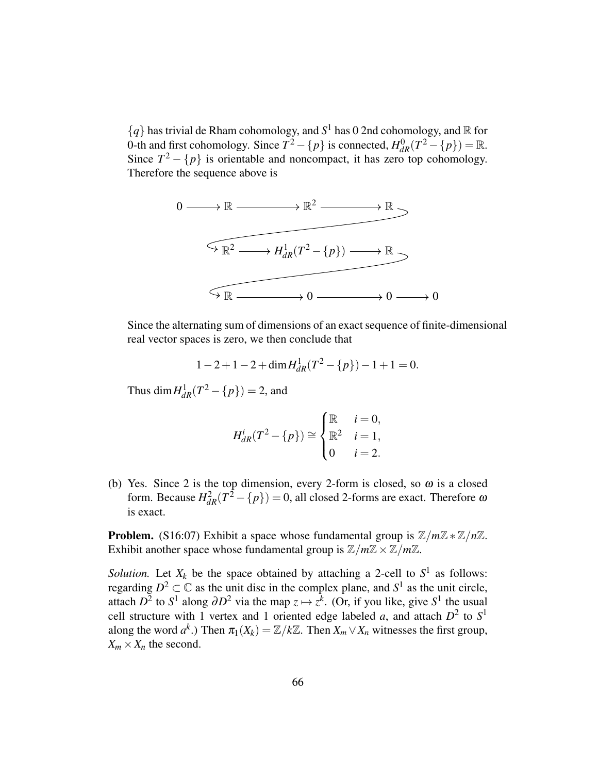${q}$  has trivial de Rham cohomology, and  $S<sup>1</sup>$  has 0 2nd cohomology, and  $\mathbb R$  for 0-th and first cohomology. Since  $\overline{T^2} - \{p\}$  is connected,  $H_{dR}^0(T^2 - \{p\}) = \mathbb{R}$ . Since  $T^2 - \{p\}$  is orientable and noncompact, it has zero top cohomology. Therefore the sequence above is



Since the alternating sum of dimensions of an exact sequence of finite-dimensional real vector spaces is zero, we then conclude that

$$
1 - 2 + 1 - 2 + \dim H_{dR}^1(T^2 - \{p\}) - 1 + 1 = 0.
$$

Thus  $\dim H^1_{dR}(T^2 - \{p\}) = 2$ , and

$$
H_{dR}^i(T^2 - \{p\}) \cong \begin{cases} \mathbb{R} & i = 0, \\ \mathbb{R}^2 & i = 1, \\ 0 & i = 2. \end{cases}
$$

<span id="page-65-0"></span>(b) Yes. Since 2 is the top dimension, every 2-form is closed, so  $\omega$  is a closed form. Because  $H_{dR}^2(T^2 - \{p\}) = 0$ , all closed 2-forms are exact. Therefore  $\omega$ is exact.

**Problem.** (S16:07) Exhibit a space whose fundamental group is  $\mathbb{Z}/m\mathbb{Z} \times \mathbb{Z}/n\mathbb{Z}$ . Exhibit another space whose fundamental group is  $\mathbb{Z}/m\mathbb{Z} \times \mathbb{Z}/m\mathbb{Z}$ .

*Solution.* Let  $X_k$  be the space obtained by attaching a 2-cell to  $S^1$  as follows: regarding  $D^2 \subset \mathbb{C}$  as the unit disc in the complex plane, and  $S^1$  as the unit circle, attach  $D^2$  to  $S^1$  along  $\partial D^2$  via the map  $z \mapsto z^k$ . (Or, if you like, give  $S^1$  the usual cell structure with 1 vertex and 1 oriented edge labeled *a*, and attach  $D^2$  to  $S^1$ along the word  $a^k$ .) Then  $\pi_1(X_k) = \mathbb{Z}/k\mathbb{Z}$ . Then  $X_m \vee X_n$  witnesses the first group,  $X_m \times X_n$  the second.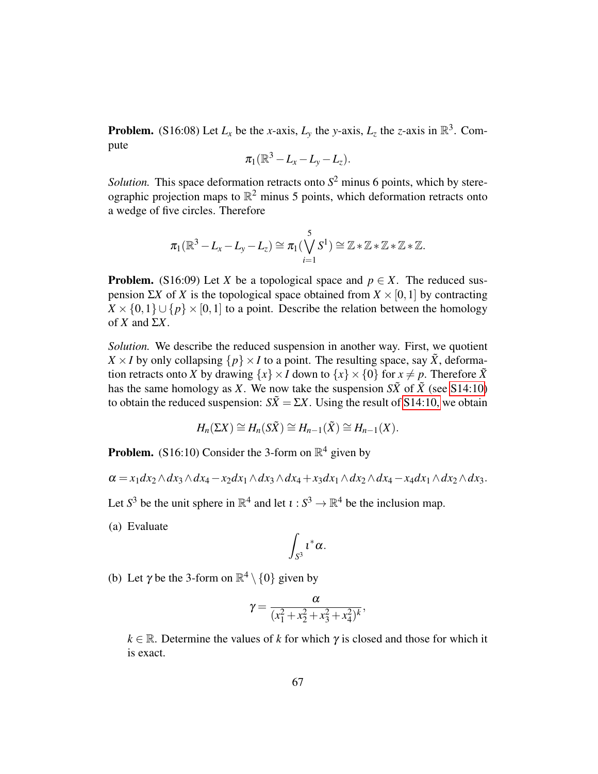**Problem.** (S16:08) Let  $L_x$  be the *x*-axis,  $L_y$  the *y*-axis,  $L_z$  the *z*-axis in  $\mathbb{R}^3$ . Compute

$$
\pi_1(\mathbb{R}^3-L_x-L_y-L_z).
$$

*Solution*. This space deformation retracts onto  $S<sup>2</sup>$  minus 6 points, which by stereographic projection maps to  $\mathbb{R}^2$  minus 5 points, which deformation retracts onto a wedge of five circles. Therefore

$$
\pi_1(\mathbb{R}^3-L_x-L_y-L_z)\cong \pi_1(\bigvee_{i=1}^5S^1)\cong \mathbb{Z}\ast \mathbb{Z}\ast \mathbb{Z}\ast \mathbb{Z}\ast \mathbb{Z}.
$$

**Problem.** (S16:09) Let *X* be a topological space and  $p \in X$ . The reduced suspension Σ*X* of *X* is the topological space obtained from *X* ×[0,1] by contracting  $X \times \{0,1\} \cup \{p\} \times [0,1]$  to a point. Describe the relation between the homology of  $X$  and  $\Sigma X$ .

*Solution.* We describe the reduced suspension in another way. First, we quotient  $X \times I$  by only collapsing  $\{p\} \times I$  to a point. The resulting space, say  $\tilde{X}$ , deformation retracts onto *X* by drawing  $\{x\} \times I$  down to  $\{x\} \times \{0\}$  for  $x \neq p$ . Therefore  $\tilde{X}$ has the same homology as *X*. We now take the suspension  $S\tilde{X}$  of  $\tilde{X}$  (see [S14:10\)](#page-38-0) to obtain the reduced suspension:  $S\tilde{X} = \Sigma X$ . Using the result of [S14:10,](#page-38-0) we obtain

$$
H_n(\Sigma X) \cong H_n(S\tilde{X}) \cong H_{n-1}(\tilde{X}) \cong H_{n-1}(X).
$$

**Problem.** (S16:10) Consider the 3-form on  $\mathbb{R}^4$  given by

$$
\alpha = x_1 dx_2 \wedge dx_3 \wedge dx_4 - x_2 dx_1 \wedge dx_3 \wedge dx_4 + x_3 dx_1 \wedge dx_2 \wedge dx_4 - x_4 dx_1 \wedge dx_2 \wedge dx_3.
$$

Let  $S^3$  be the unit sphere in  $\mathbb{R}^4$  and let  $\iota : S^3 \to \mathbb{R}^4$  be the inclusion map.

(a) Evaluate

$$
\int_{S^3} \iota^*\alpha.
$$

(b) Let  $\gamma$  be the 3-form on  $\mathbb{R}^4 \setminus \{0\}$  given by

$$
\gamma = \frac{\alpha}{(x_1^2 + x_2^2 + x_3^2 + x_4^2)^k},
$$

 $k \in \mathbb{R}$ . Determine the values of *k* for which  $\gamma$  is closed and those for which it is exact.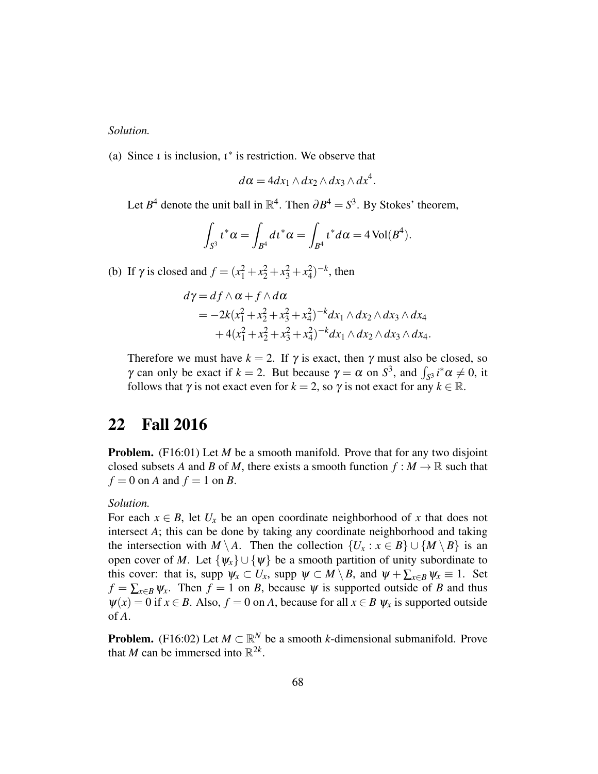*Solution.*

(a) Since *t* is inclusion,  $t^*$  is restriction. We observe that

$$
d\alpha = 4dx_1 \wedge dx_2 \wedge dx_3 \wedge dx^4.
$$

Let  $B^4$  denote the unit ball in  $\mathbb{R}^4$ . Then  $\partial B^4 = S^3$ . By Stokes' theorem,

$$
\int_{S^3} t^*\alpha = \int_{B^4} dt^*\alpha = \int_{B^4} t^*d\alpha = 4 \operatorname{Vol}(B^4).
$$

(b) If  $\gamma$  is closed and  $f = (x_1^2 + x_2^2 + x_3^2 + x_4^2)^{-k}$ , then

$$
d\gamma = df \wedge \alpha + f \wedge d\alpha
$$
  
=  $-2k(x_1^2 + x_2^2 + x_3^2 + x_4^2)^{-k} dx_1 \wedge dx_2 \wedge dx_3 \wedge dx_4$   
+  $4(x_1^2 + x_2^2 + x_3^2 + x_4^2)^{-k} dx_1 \wedge dx_2 \wedge dx_3 \wedge dx_4.$ 

Therefore we must have  $k = 2$ . If  $\gamma$  is exact, then  $\gamma$  must also be closed, so  $\gamma$  can only be exact if  $k = 2$ . But because  $\gamma = \alpha$  on  $S^3$ , and  $\int_{S^3} i^* \alpha \neq 0$ , it follows that  $\gamma$  is not exact even for  $k = 2$ , so  $\gamma$  is not exact for any  $k \in \mathbb{R}$ .

# <span id="page-67-0"></span>22 Fall 2016

**Problem.** (F16:01) Let *M* be a smooth manifold. Prove that for any two disjoint closed subsets *A* and *B* of *M*, there exists a smooth function  $f : M \to \mathbb{R}$  such that  $f = 0$  on *A* and  $f = 1$  on *B*.

#### *Solution.*

For each  $x \in B$ , let  $U_x$  be an open coordinate neighborhood of x that does not intersect *A*; this can be done by taking any coordinate neighborhood and taking the intersection with *M* \ *A*. Then the collection  $\{U_x : x \in B\} \cup \{M \setminus B\}$  is an open cover of *M*. Let  $\{\psi_x\} \cup \{\psi\}$  be a smooth partition of unity subordinate to this cover: that is, supp  $\psi_x \subset U_x$ , supp  $\psi \subset M \setminus B$ , and  $\psi + \sum_{x \in B} \psi_x \equiv 1$ . Set  $f = \sum_{x \in B} \psi_x$ . Then  $f = 1$  on *B*, because  $\psi$  is supported outside of *B* and thus  $\psi(x) = 0$  if  $x \in B$ . Also,  $f = 0$  on *A*, because for all  $x \in B$   $\psi_x$  is supported outside of *A*.

**Problem.** (F16:02) Let  $M \subset \mathbb{R}^N$  be a smooth *k*-dimensional submanifold. Prove that *M* can be immersed into  $\mathbb{R}^{2k}$ .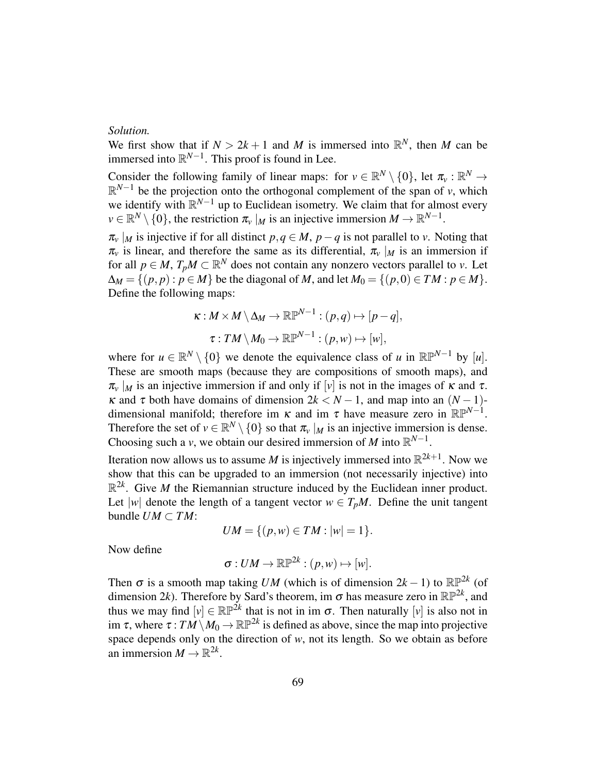### *Solution.*

We first show that if  $N > 2k + 1$  and *M* is immersed into  $\mathbb{R}^N$ , then *M* can be immersed into  $\mathbb{R}^{N-1}$ . This proof is found in Lee.

Consider the following family of linear maps: for  $v \in \mathbb{R}^N \setminus \{0\}$ , let  $\pi_v : \mathbb{R}^N \to$  $\mathbb{R}^{N-1}$  be the projection onto the orthogonal complement of the span of *v*, which we identify with  $\mathbb{R}^{N-1}$  up to Euclidean isometry. We claim that for almost every  $\nu \in \mathbb{R}^N \setminus \{0\}$ , the restriction  $\pi_\nu |_M$  is an injective immersion  $M \to \mathbb{R}^{N-1}$ .

 $\pi_v |_M$  is injective if for all distinct  $p, q \in M$ ,  $p - q$  is not parallel to *v*. Noting that  $\pi$ <sup>*v*</sup> is linear, and therefore the same as its differential,  $\pi$ <sup>*v*</sup> |*M* is an immersion if for all  $p \in M$ ,  $T_p M \subset \mathbb{R}^N$  does not contain any nonzero vectors parallel to *v*. Let  $\Delta_M = \{(p, p) : p \in M\}$  be the diagonal of *M*, and let  $M_0 = \{(p, 0) \in TM : p \in M\}$ . Define the following maps:

$$
\kappa: M \times M \setminus \Delta_M \to \mathbb{RP}^{N-1} : (p,q) \mapsto [p-q],
$$
  

$$
\tau: TM \setminus M_0 \to \mathbb{RP}^{N-1} : (p,w) \mapsto [w],
$$

where for  $u \in \mathbb{R}^N \setminus \{0\}$  we denote the equivalence class of *u* in  $\mathbb{RP}^{N-1}$  by [*u*]. These are smooth maps (because they are compositions of smooth maps), and  $\pi$ <sup>*v*</sup> |*M* is an injective immersion if and only if [*v*] is not in the images of  $\kappa$  and  $\tau$ . κ and τ both have domains of dimension 2*k* < *N* − 1, and map into an (*N* − 1) dimensional manifold; therefore im  $\kappa$  and im  $\tau$  have measure zero in  $\mathbb{RP}^{N-1}$ . Therefore the set of  $v \in \mathbb{R}^N \setminus \{0\}$  so that  $\pi_v |_M$  is an injective immersion is dense. Choosing such a *v*, we obtain our desired immersion of *M* into  $\mathbb{R}^{N-1}$ .

Iteration now allows us to assume *M* is injectively immersed into  $\mathbb{R}^{2k+1}$ . Now we show that this can be upgraded to an immersion (not necessarily injective) into  $\mathbb{R}^{2k}$ . Give *M* the Riemannian structure induced by the Euclidean inner product. Let |*w*| denote the length of a tangent vector  $w \in T_pM$ . Define the unit tangent bundle  $UM \subset TM$ :

$$
UM = \{ (p, w) \in TM : |w| = 1 \}.
$$

Now define

$$
\sigma: UM\to \mathbb{RP}^{2k}:(p,w)\mapsto [w].
$$

Then  $\sigma$  is a smooth map taking *UM* (which is of dimension  $2k - 1$ ) to  $\mathbb{RP}^{2k}$  (of dimension 2*k*). Therefore by Sard's theorem, im  $\sigma$  has measure zero in  $\mathbb{RP}^{2k}$ , and thus we may find  $[v] \in \mathbb{RP}^{\tilde{2}k}$  that is not in im  $\sigma$ . Then naturally  $[v]$  is also not in im  $\tau$ , where  $\tau : TM \setminus M_0 \to \mathbb{RP}^{2k}$  is defined as above, since the map into projective space depends only on the direction of *w*, not its length. So we obtain as before an immersion  $M \to \mathbb{R}^{2k}$ .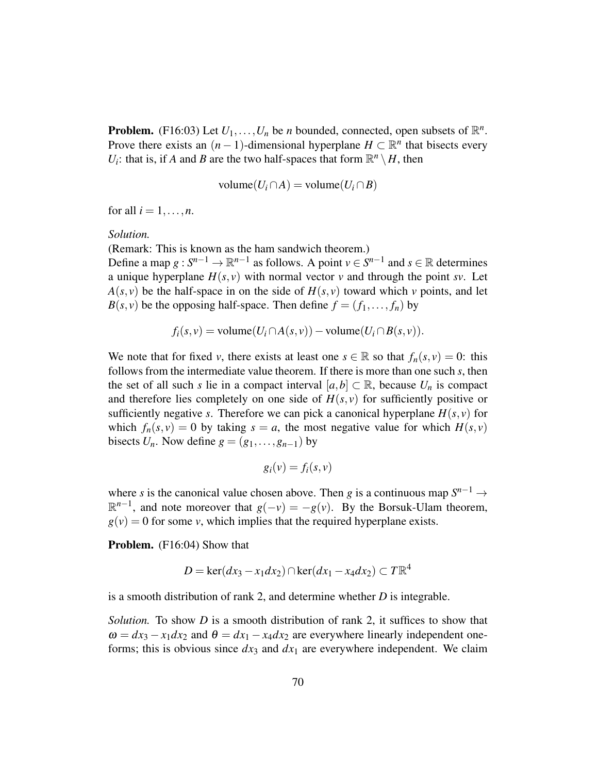**Problem.** (F16:03) Let  $U_1, \ldots, U_n$  be *n* bounded, connected, open subsets of  $\mathbb{R}^n$ . Prove there exists an  $(n-1)$ -dimensional hyperplane  $H \subset \mathbb{R}^n$  that bisects every *U*<sub>*i*</sub>: that is, if *A* and *B* are the two half-spaces that form  $\mathbb{R}^n \setminus H$ , then

$$
volume(U_i \cap A) = volume(U_i \cap B)
$$

for all  $i = 1, \ldots, n$ .

#### *Solution.*

(Remark: This is known as the ham sandwich theorem.)

Define a map  $g: S^{n-1} \to \mathbb{R}^{n-1}$  as follows. A point  $v \in S^{n-1}$  and  $s \in \mathbb{R}$  determines a unique hyperplane  $H(s, v)$  with normal vector *v* and through the point *sv*. Let  $A(s, v)$  be the half-space in on the side of  $H(s, v)$  toward which *v* points, and let  $B(s, v)$  be the opposing half-space. Then define  $f = (f_1, \ldots, f_n)$  by

$$
f_i(s,v) = \text{volume}(U_i \cap A(s,v)) - \text{volume}(U_i \cap B(s,v)).
$$

We note that for fixed *v*, there exists at least one  $s \in \mathbb{R}$  so that  $f_n(s, v) = 0$ : this follows from the intermediate value theorem. If there is more than one such *s*, then the set of all such *s* lie in a compact interval  $[a,b] \subset \mathbb{R}$ , because  $U_n$  is compact and therefore lies completely on one side of  $H(s, v)$  for sufficiently positive or sufficiently negative *s*. Therefore we can pick a canonical hyperplane  $H(s, v)$  for which  $f_n(s, v) = 0$  by taking  $s = a$ , the most negative value for which  $H(s, v)$ bisects  $U_n$ . Now define  $g = (g_1, \ldots, g_{n-1})$  by

$$
g_i(v) = f_i(s, v)
$$

where *s* is the canonical value chosen above. Then *g* is a continuous map  $S^{n-1} \rightarrow$  $\mathbb{R}^{n-1}$ , and note moreover that  $g(-v) = -g(v)$ . By the Borsuk-Ulam theorem,  $g(v) = 0$  for some *v*, which implies that the required hyperplane exists.

Problem. (F16:04) Show that

$$
D = \ker(dx_3 - x_1 dx_2) \cap \ker(dx_1 - x_4 dx_2) \subset T\mathbb{R}^4
$$

is a smooth distribution of rank 2, and determine whether *D* is integrable.

*Solution.* To show *D* is a smooth distribution of rank 2, it suffices to show that  $\omega = dx_3 - x_1 dx_2$  and  $\theta = dx_1 - x_4 dx_2$  are everywhere linearly independent oneforms; this is obvious since  $dx_3$  and  $dx_1$  are everywhere independent. We claim